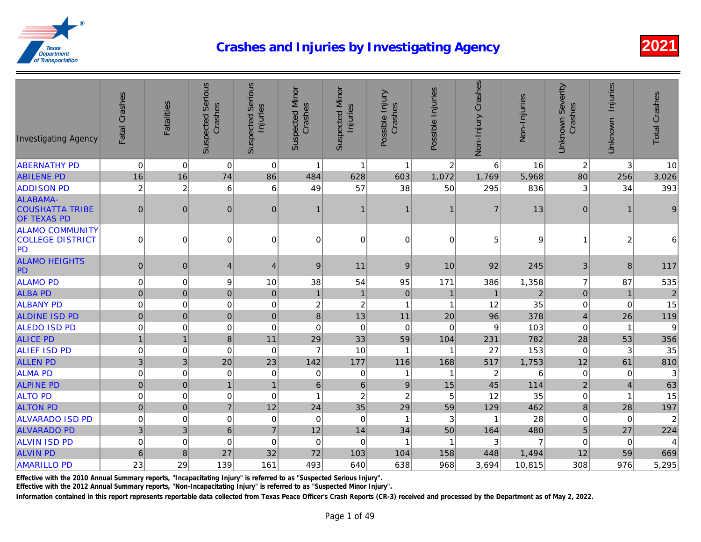| <b>Investigating Agency</b>                              | Fatal Crashes             | Fatalities     | <b>Suspected Serious</b><br>Crashes | <b>Suspected Serious</b><br>Injuries | <b>Suspected Minor</b><br>Crashes | <b>Suspected Minor</b><br>Injuries | Possible Injury<br>Crashes | Possible Injuries | Non-Injury Crashes        | Non-Injuries |
|----------------------------------------------------------|---------------------------|----------------|-------------------------------------|--------------------------------------|-----------------------------------|------------------------------------|----------------------------|-------------------|---------------------------|--------------|
| <b>ABERNATHY PD</b>                                      | $\mathbf 0$               | 0              | $\mathbf 0$                         | $\mathbf 0$                          | $\mathbf{1}$                      | $\mathbf{1}$                       | $\mathbf{1}$               | $\overline{c}$    | 6                         | 16           |
| <b>ABILENE PD</b>                                        | 16                        | 16             | 74                                  | 86                                   | 484                               | 628                                | 603                        | 1,072             | 1,769                     | 5,968        |
| <b>ADDISON PD</b>                                        | $\overline{c}$            | $\overline{c}$ | 6                                   | 6                                    | 49                                | 57                                 | 38                         | 50                | 295                       | 836          |
| ALABAMA-<br><b>COUSHATTA TRIBE</b><br><b>OF TEXAS PD</b> | $\mathbf 0$               | $\mathbf 0$    | $\pmb{0}$                           | $\mathbf 0$                          | $\mathbf{1}$                      |                                    | 1                          | 1                 | $\overline{7}$            | 13           |
| <b>ALAMO COMMUNITY</b><br>COLLEGE DISTRICT<br>PD         | 0                         | 0              | 0                                   | 0                                    | $\overline{0}$                    | $\Omega$                           | $\mathbf 0$                | 0                 | 5                         |              |
| <b>ALAMO HEIGHTS</b><br>PD                               | $\pmb{0}$                 | $\pmb{0}$      | $\overline{4}$                      | $\overline{4}$                       | $\boldsymbol{9}$                  | 11                                 | $9\,$                      | 10                | 92                        | 245          |
| <b>ALAMO PD</b>                                          | $\pmb{0}$                 | $\mathbf 0$    | 9                                   | 10                                   | 38                                | 54                                 | 95                         | 171               | 386                       | 1,358        |
| <b>ALBA PD</b>                                           | $\pmb{0}$                 | $\mathbf 0$    | $\pmb{0}$                           | $\overline{0}$                       | $\mathbf{1}$                      | $\mathbf{1}$                       | $\pmb{0}$                  | $\mathbf{1}$      | $\mathbf{1}$              |              |
| <b>ALBANY PD</b>                                         | $\pmb{0}$                 | $\mathbf 0$    | $\mathbf 0$                         | $\mathbf 0$                          | $\overline{\mathbf{c}}$           | $\overline{c}$                     | $\mathbf{1}$               | 1                 | 12                        | 35           |
| <b>ALDINE ISD PD</b>                                     | $\overline{0}$            | $\pmb{0}$      | $\mathbf 0$                         | $\pmb{0}$                            | $\bf 8$                           | 13                                 | 11                         | 20                | 96                        | 378          |
| <b>ALEDO ISD PD</b>                                      | $\pmb{0}$                 | $\mathbf 0$    | $\mathsf 0$                         | $\mathbf 0$                          | $\mathbf 0$                       | $\mathbf 0$                        | 0                          | $\overline{0}$    | 9                         | 103          |
| <b>ALICE PD</b>                                          | $\overline{1}$            | $\mathbf{1}$   | $\bf 8$                             | 11                                   | 29                                | 33                                 | 59                         | 104               | 231                       | 782          |
| <b>ALIEF ISD PD</b>                                      | $\pmb{0}$                 | 0              | $\mathbf 0$                         | $\mathbf 0$                          | $\overline{7}$                    | 10                                 | -1                         | 1                 | 27                        | 153          |
| <b>ALLEN PD</b>                                          | $\ensuremath{\mathsf{3}}$ | 3              | 20                                  | 23                                   | 142                               | 177                                | 116                        | 168               | 517                       | 1,753        |
| <b>ALMA PD</b>                                           | $\mathbf 0$               | $\mathbf 0$    | 0                                   | 0                                    | 0                                 | $\Omega$                           | $\mathbf 1$                | 1                 | $\overline{c}$            | R            |
| <b>ALPINE PD</b>                                         | $\mathbf 0$               | $\mathbf 0$    | $\mathbf{1}$                        | $\overline{1}$                       | $\,6\,$                           | $\,$ 6 $\,$                        | $\boldsymbol{9}$           | 15                | 45                        | 114          |
| <b>ALTO PD</b>                                           | $\pmb{0}$                 | $\mathbf 0$    | $\mathsf 0$                         | $\mathbf 0$                          | $\mathbf{1}$                      | $\overline{c}$                     | $\overline{c}$             | 5                 | 12                        | 35           |
| <b>ALTON PD</b>                                          | $\mathbf 0$               | $\mathbf 0$    | $\overline{7}$                      | 12                                   | 24                                | 35                                 | 29                         | 59                | 129                       | 462          |
| <b>ALVARADO ISD PD</b>                                   | $\pmb{0}$                 | $\mathbf 0$    | $\boldsymbol{0}$                    | $\mathbf 0$                          | 0                                 | $\mathbf 0$                        | $\mathbf{1}$               | $\sqrt{3}$        | $\overline{1}$            | 28           |
| <b>ALVARADO PD</b>                                       | $\mathbf{3}$              | 3              | $\,6$                               | $\overline{7}$                       | 12                                | 14                                 | 34                         | 50                | 164                       | 480          |
| <b>ALVIN ISD PD</b>                                      | $\pmb{0}$                 | $\pmb{0}$      | $\mathbf 0$                         | $\mathbf 0$                          | $\Omega$                          | $\mathbf 0$                        | -1                         | 1                 | $\ensuremath{\mathsf{3}}$ |              |
| <b>ALVIN PD</b>                                          | $\,6\,$                   | 8              | 27                                  | 32                                   | 72                                | 103                                | 104                        | 158               | 448                       | 1,494        |
| <b>AMARILLO PD</b>                                       | 23                        | 29             | 139                                 | 161                                  | 493                               | 640                                | 638                        | 968               | 3,694                     | 10,815       |

Effective with the 2010 Annual Summary reports, "Incapacitating Injury" is referred to as "Suspected Serious Injury".

Effective with the 2012 Annual Summary reports, "Non-Incapacitating Injury" is referred to as "Suspected Minor Injury".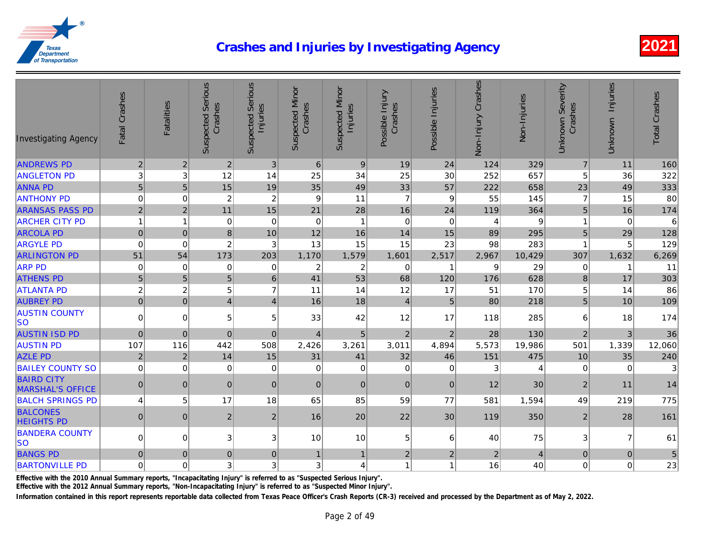| <b>Investigating Agency</b>                  | Fatal Crashes  | <b>Fatalities</b> | <b>Suspected Serious</b><br>Crashes | <b>Suspected Serious</b><br>Injuries | <b>Suspected Minor</b><br>Crashes | <b>Suspected Minor</b><br>Injuries | Possible Injury<br>Crashes | Possible Injuries | Non-Injury Crashes | Non-Injuries |
|----------------------------------------------|----------------|-------------------|-------------------------------------|--------------------------------------|-----------------------------------|------------------------------------|----------------------------|-------------------|--------------------|--------------|
| <b>ANDREWS PD</b>                            | $\overline{2}$ | $\overline{2}$    | $\overline{2}$                      | $\mathfrak{B}$                       | $6\phantom{1}$                    | 9                                  | 19                         | 24                | 124                | 329          |
| <b>ANGLETON PD</b>                           | $\mathsf 3$    | 3                 | 12                                  | 14                                   | 25                                | 34                                 | 25                         | 30                | 252                | 657          |
| <b>ANNA PD</b>                               | $\overline{5}$ | 5                 | 15                                  | 19                                   | 35                                | 49                                 | 33                         | 57                | 222                | 658          |
| <b>ANTHONY PD</b>                            | $\mathbf 0$    | $\mathbf 0$       | $\overline{c}$                      | $\overline{c}$                       | 9                                 | 11                                 | $\overline{7}$             | 9                 | 55                 | 145          |
| <b>ARANSAS PASS PD</b>                       | $\overline{2}$ | $\overline{2}$    | 11                                  | 15                                   | 21                                | 28                                 | 16                         | 24                | 119                | 364          |
| <b>ARCHER CITY PD</b>                        | $\mathbf{1}$   | $\overline{1}$    | $\mathbf 0$                         | $\mathbf 0$                          | 0                                 | $\overline{1}$                     | $\mathbf 0$                | $\mathbf 0$       | 4                  |              |
| <b>ARCOLA PD</b>                             | $\pmb{0}$      | $\mathbf 0$       | 8                                   | 10                                   | 12                                | 16                                 | 14                         | 15                | 89                 | 295          |
| <b>ARGYLE PD</b>                             | $\pmb{0}$      | $\mathbf 0$       | $\overline{c}$                      | 3                                    | 13                                | 15                                 | 15                         | 23                | 98                 | 283          |
| <b>ARLINGTON PD</b>                          | 51             | 54                | 173                                 | 203                                  | 1,170                             | 1,579                              | 1,601                      | 2,517             | 2,967              | 10,429       |
| <b>ARP PD</b>                                | $\mathbf 0$    | $\mathbf 0$       | 0                                   | $\Omega$                             | 2                                 | $\overline{2}$                     | $\mathbf 0$                | 1                 | 9                  | 29           |
| <b>ATHENS PD</b>                             | $\sqrt{5}$     | 5                 | 5                                   | 6                                    | 41                                | 53                                 | 68                         | 120               | 176                | 628          |
| <b>ATLANTA PD</b>                            | $\overline{c}$ | $\overline{c}$    | 5                                   | $\overline{7}$                       | 11                                | 14                                 | 12                         | 17                | 51                 | 170          |
| <b>AUBREY PD</b>                             | $\mathbf 0$    | $\mathbf 0$       | $\overline{4}$                      | $\overline{4}$                       | 16                                | 18                                 | $\vert 4 \vert$            | $5\phantom{1}$    | 80                 | 218          |
| <b>AUSTIN COUNTY</b><br>lso                  | $\overline{0}$ | $\mathbf 0$       | 5                                   | 5                                    | 33                                | 42                                 | 12                         | 17                | 118                | 285          |
| <b>AUSTIN ISD PD</b>                         | $\mathbf 0$    | $\mathbf 0$       | $\overline{0}$                      | $\mathbf{0}$                         | $\overline{4}$                    | 5                                  | $\overline{2}$             | $\overline{2}$    | 28                 | 130          |
| <b>AUSTIN PD</b>                             | 107            | 116               | 442                                 | 508                                  | 2,426                             | 3,261                              | 3,011                      | 4,894             | 5,573              | 19,986       |
| <b>AZLE PD</b>                               | $\overline{2}$ | $\overline{2}$    | 14                                  | 15                                   | 31                                | 41                                 | 32                         | 46                | 151                | 475          |
| <b>BAILEY COUNTY SO</b>                      | $\mathbf 0$    | 0                 | 0                                   | 0                                    | 0                                 | $\mathbf 0$                        | 0                          | $\mathbf 0$       | 3                  |              |
| <b>BAIRD CITY</b><br><b>MARSHAL'S OFFICE</b> | $\mathbf 0$    | $\mathbf 0$       | $\pmb{0}$                           | $\mathbf{0}$                         | $\overline{0}$                    | $\mathbf{0}$                       | $\pmb{0}$                  | $\overline{0}$    | 12                 | 30           |
| <b>BALCH SPRINGS PD</b>                      | 4              | 5                 | 17                                  | 18                                   | 65                                | 85                                 | 59                         | 77                | 581                | 1,594        |
| <b>BALCONES</b><br><b>HEIGHTS PD</b>         | 0              | $\mathbf{0}$      | $\overline{c}$                      | $\overline{2}$                       | 16                                | 20                                 | 22                         | 30                | 119                | 350          |
| <b>BANDERA COUNTY</b><br> SO                 | $\mathbf 0$    | 0                 | 3                                   | 3                                    | 10                                | 10                                 | 5                          | 6                 | 40                 | 75           |
| <b>BANGS PD</b>                              | $\pmb{0}$      | $\mathbf{0}$      | 0                                   | $\mathbf{0}$                         | $\mathbf{1}$                      | $\mathbf{1}$                       | $\overline{2}$             | $\overline{c}$    | $\sqrt{2}$         |              |
| <b>BARTONVILLE PD</b>                        | 0              | $\mathbf 0$       | 3                                   | 3                                    | 3 <sup>1</sup>                    | 4                                  | $\mathbf{1}$               | 1                 | 16                 | 40           |

Effective with the 2010 Annual Summary reports, "Incapacitating Injury" is referred to as "Suspected Serious Injury".

Effective with the 2012 Annual Summary reports, "Non-Incapacitating Injury" is referred to as "Suspected Minor Injury".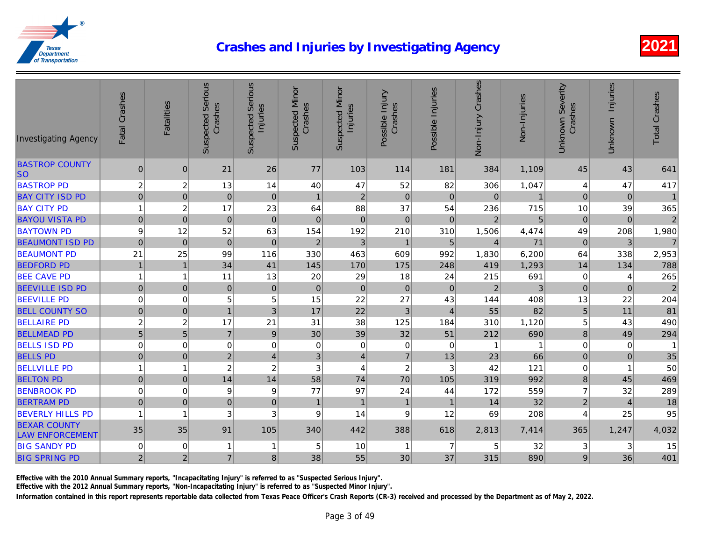| <b>Investigating Agency</b>                   | Fatal Crashes    | <b>Fatalities</b> | <b>Suspected Serious</b><br>Crashes | <b>Suspected Serious</b><br>Injuries | <b>Suspected Minor</b><br>Crashes | <b>Suspected Minor</b><br>Injuries | Possible Injury<br>Crashes | Possible Injuries | Non-Injury Crashes | Non-Injuries |
|-----------------------------------------------|------------------|-------------------|-------------------------------------|--------------------------------------|-----------------------------------|------------------------------------|----------------------------|-------------------|--------------------|--------------|
| <b>BASTROP COUNTY</b><br><b>SO</b>            | $\mathbf 0$      | $\mathbf 0$       | 21                                  | 26                                   | 77                                | 103                                | 114                        | 181               | 384                | 1,109        |
| <b>BASTROP PD</b>                             | $\overline{c}$   | $\overline{c}$    | 13                                  | 14                                   | 40                                | 47                                 | 52                         | 82                | 306                | 1,047        |
| <b>BAY CITY ISD PD</b>                        | $\mathbf 0$      | $\mathbf 0$       | $\boldsymbol{0}$                    | $\mathbf{0}$                         | $\mathbf 1$                       | $\overline{2}$                     | $\mathbf{0}$               | $\overline{0}$    | $\mathbf{0}$       |              |
| <b>BAY CITY PD</b>                            | $\overline{1}$   | $\overline{2}$    | 17                                  | 23                                   | 64                                | 88                                 | 37                         | 54                | 236                | 715          |
| <b>BAYOU VISTA PD</b>                         | $\pmb{0}$        | $\pmb{0}$         | $\mathbf 0$                         | $\mathbf 0$                          | $\pmb{0}$                         | 0                                  | $\pmb{0}$                  | $\mathbf 0$       | $\overline{2}$     |              |
| <b>BAYTOWN PD</b>                             | $\boldsymbol{9}$ | 12                | 52                                  | 63                                   | 154                               | 192                                | 210                        | 310               | 1,506              | 4,474        |
| <b>BEAUMONT ISD PD</b>                        | $\mathbf 0$      | $\pmb{0}$         | $\mathbf 0$                         | $\mathbf{0}$                         | $\boldsymbol{2}$                  | $\mathbf{3}$                       | $\overline{1}$             | $\sqrt{5}$        | $\overline{4}$     | 71           |
| <b>BEAUMONT PD</b>                            | 21               | 25                | 99                                  | 116                                  | 330                               | 463                                | 609                        | 992               | 1,830              | 6,200        |
| <b>BEDFORD PD</b>                             | $\mathbf{1}$     | $\overline{1}$    | 34                                  | 41                                   | 145                               | 170                                | 175                        | 248               | 419                | 1,293        |
| <b>BEE CAVE PD</b>                            | $\overline{1}$   | $\mathbf{1}$      | 11                                  | 13                                   | 20                                | 29                                 | 18                         | 24                | 215                | 691          |
| <b>BEEVILLE ISD PD</b>                        | $\pmb{0}$        | $\mathbf 0$       | $\mathbf 0$                         | $\mathbf 0$                          | $\pmb{0}$                         | 0                                  | $\mathbf 0$                | $\mathbf 0$       | $\mathbf 2$        |              |
| <b>BEEVILLE PD</b>                            | $\mathbf 0$      | $\mathbf 0$       | 5                                   | 5                                    | 15                                | 22                                 | 27                         | 43                | 144                | 408          |
| <b>BELL COUNTY SO</b>                         | $\mathbf 0$      | $\mathbf 0$       | $\overline{1}$                      | 3                                    | 17                                | 22                                 | $\mathfrak{B}$             | $\overline{4}$    | 55                 | 82           |
| <b>BELLAIRE PD</b>                            | $\overline{c}$   | $\overline{c}$    | 17                                  | 21                                   | 31                                | 38                                 | 125                        | 184               | 310                | 1,120        |
| <b>BELLMEAD PD</b>                            | $\overline{5}$   | $\overline{5}$    | $\overline{7}$                      | $\boldsymbol{9}$                     | 30                                | 39                                 | 32                         | 51                | 212                | 690          |
| <b>BELLS ISD PD</b>                           | $\mathbf 0$      | $\mathbf 0$       | 0                                   | 0                                    | 0                                 | 0                                  | $\mathbf 0$                | $\mathbf 0$       | $\mathbf 1$        |              |
| <b>BELLS PD</b>                               | $\pmb{0}$        | $\mathbf 0$       | $\mathbf 2$                         | $\overline{4}$                       | 3 <sup>1</sup>                    | $\overline{4}$                     | $\overline{7}$             | 13                | 23                 | 66           |
| <b>BELLVILLE PD</b>                           | $\overline{1}$   | $\mathbf{1}$      | $\overline{c}$                      | $\overline{\mathbf{c}}$              | 3                                 | $\overline{4}$                     | $\boldsymbol{2}$           | 3                 | 42                 | 121          |
| <b>BELTON PD</b>                              | $\pmb{0}$        | $\mathbf 0$       | 14                                  | 14                                   | 58                                | 74                                 | 70                         | 105               | 319                | 992          |
| <b>BENBROOK PD</b>                            | $\mathbf 0$      | 0                 | 9                                   | 9                                    | 77                                | 97                                 | 24                         | 44                | 172                | 559          |
| <b>BERTRAM PD</b>                             | $\mathbf 0$      | $\mathbf 0$       | $\mathbf 0$                         | $\mathbf{0}$                         | $\overline{1}$                    | $\mathbf{1}$                       | $\mathbf{1}$               | $\overline{1}$    | 14                 | 32           |
| <b>BEVERLY HILLS PD</b>                       | 1                | 1                 | 3                                   | 3                                    | 9                                 | 14                                 | $\boldsymbol{9}$           | 12                | 69                 | 208          |
| <b>BEXAR COUNTY</b><br><b>LAW ENFORCEMENT</b> | 35               | 35                | 91                                  | 105                                  | 340                               | 442                                | 388                        | 618               | 2,813              | 7,414        |
| <b>BIG SANDY PD</b>                           | $\mathbf 0$      | $\mathbf 0$       | $\mathbf 1$                         | 1                                    | 5                                 | 10                                 |                            | $\overline{7}$    | 5                  | 32           |
| <b>BIG SPRING PD</b>                          | $\mathbf 2$      | $\overline{2}$    | $\overline{7}$                      | 8                                    | 38                                | 55                                 | 30                         | 37                | 315                | 890          |

Effective with the 2010 Annual Summary reports, "Incapacitating Injury" is referred to as "Suspected Serious Injury".

Effective with the 2012 Annual Summary reports, "Non-Incapacitating Injury" is referred to as "Suspected Minor Injury".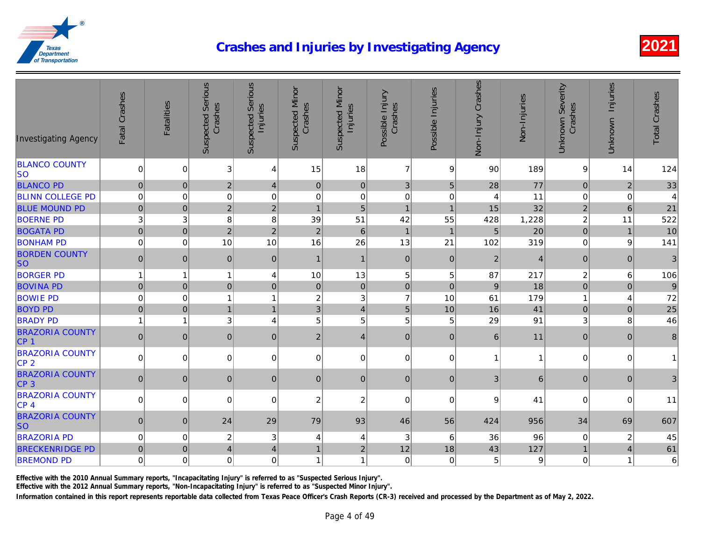| <b>BLANCO COUNTY</b><br>$\overline{7}$<br>$\pmb{0}$<br>$\pmb{0}$<br>3<br>15<br>18<br>9<br>90<br>189<br>4<br><b>SO</b><br>77<br>$\mathbf 0$<br>$\sqrt{2}$<br>$\sqrt{5}$<br><b>BLANCO PD</b><br>$\pmb{0}$<br>$\overline{0}$<br>$\mathfrak{B}$<br>28<br>$\pmb{0}$<br>4<br><b>BLINN COLLEGE PD</b><br>$\mathbf 0$<br>$\pmb{0}$<br>$\mathbf 0$<br>11<br>$\overline{0}$<br>$\mathbf 0$<br>0<br>$\mathbf 0$<br>$\mathbf 0$<br>4<br>32<br>$\overline{2}$<br>15<br><b>BLUE MOUND PD</b><br>$\mathbf 0$<br>$\mathbf 0$<br>$\overline{c}$<br>5<br>$\overline{1}$<br>$\mathbf{1}$<br>$\overline{1}$<br><b>BOERNE PD</b><br>3<br>3<br>8<br>42<br>1,228<br>8<br>39<br>51<br>428<br>55<br>20<br>$\pmb{0}$<br>$\overline{5}$<br><b>BOGATA PD</b><br>$\boldsymbol{0}$<br>$\sqrt{2}$<br>$\overline{2}$<br>$\sqrt{2}$<br>$\,6$<br>$\mathbf{1}$<br>$\mathbf{1}$<br>319<br>$\mathbf 0$<br>10<br>16<br>13<br>102<br><b>BONHAM PD</b><br>$\mathbf 0$<br>10<br>26<br>21<br><b>BORDEN COUNTY</b><br>$\pmb{0}$<br>$\pmb{0}$<br> 0 <br>$\pmb{0}$<br>$\mathbf 2$<br> 0 <br>$\mathbf 0$<br>$\mathbf{1}$<br>$\mathbf{1}$<br><b>SO</b><br>5<br>5<br>87<br><b>BORGER PD</b><br>$\mathbf{1}$<br>10<br>13<br>217<br>$\mathbf{1}$<br>$\overline{1}$<br>4<br>18<br>$\mathbf 0$<br>$\pmb{0}$<br>$\boldsymbol{9}$<br><b>BOVINA PD</b><br>$\mathbf 0$<br>$\mathbf 0$<br>$\mathbf 0$<br>$\mathbf 0$<br>$\mathbf 0$<br>$\pmb{0}$<br>$\overline{7}$<br>$\mathbf 0$<br>$\mathbf 0$<br>$\overline{c}$<br>10<br>61<br>179<br><b>BOWIE PD</b><br>$\mathbf{1}$<br>3<br>1<br>41<br>$\overline{5}$<br>$\mathbf 0$<br>$\overline{1}$<br>3<br>16<br><b>BOYD PD</b><br>$\pmb{0}$<br>10<br>$\mathbf{1}$<br>$\overline{\mathbf{4}}$<br>5<br>3<br>29<br>91<br><b>BRADY PD</b><br>$\mathbf{1}$<br>5<br>5<br>5<br>$\overline{1}$<br>4<br><b>BRAZORIA COUNTY</b><br>11<br>$\pmb{0}$<br>$\pmb{0}$<br>$\overline{0}$<br>$\mathbf 2$<br> 0 <br>$\pmb{0}$<br>$\mathbf 0$<br>$\,6\,$<br>$\overline{4}$<br>CP <sub>1</sub><br><b>BRAZORIA COUNTY</b><br>$\pmb{0}$<br>$\overline{0}$<br>$\pmb{0}$<br>$\mathbf 0$<br>0<br>0<br>$\overline{0}$<br>0<br>$\mathbf{1}$<br>CP <sub>2</sub><br><b>BRAZORIA COUNTY</b><br>$\mathbf 0$<br>$\pmb{0}$<br>$\pmb{0}$<br>$\mathfrak{B}$<br>$\pmb{0}$<br> 0 <br>$\mathbf 0$<br>$\pmb{0}$<br>$\overline{0}$<br>6<br>CP <sub>3</sub><br><b>BRAZORIA COUNTY</b><br>$\mathbf 0$<br>41<br>$\mathsf 0$<br>0<br>0<br>$\overline{c}$<br>$\overline{c}$<br>$\mathbf 0$<br>$\mathbf 0$<br>9<br>CP 4<br><b>BRAZORIA COUNTY</b><br>$\mathbf 0$<br>$\mathbf 0$<br>29<br>93<br>424<br>956<br>24<br>79<br>46<br>56<br><b>SO</b><br><b>BRAZORIA PD</b><br>$\pmb{0}$<br>$\boldsymbol{0}$<br>$\sqrt{2}$<br>$\ensuremath{\mathsf{3}}$<br>96<br>3<br>6<br>36<br>4<br>4<br>127<br>12<br>43<br>$\mathbf 0$<br>$\overline{4}$<br>18<br><b>BRECKENRIDGE PD</b><br>$\mathbf 0$<br>$\overline{2}$<br>$\mathbf{1}$<br>$\overline{4}$<br><b>BREMOND PD</b><br>$\mathbf 0$<br>0<br>$\pmb{0}$<br>5<br>$\mathbf 0$<br>$\mathbf 0$<br>1<br>$\mathbf 0$<br>1 | <b>Investigating Agency</b> | Fatal Crashes | <b>Fatalities</b> | <b>Suspected Serious</b><br>Crashes | <b>Suspected Serious</b><br>Injuries | <b>Suspected Minor</b><br>Crashes | <b>Suspected Minor</b><br>Injuries | Possible Injury<br>Crashes | Possible Injuries | Non-Injury Crashes | Non-Injuries |
|---------------------------------------------------------------------------------------------------------------------------------------------------------------------------------------------------------------------------------------------------------------------------------------------------------------------------------------------------------------------------------------------------------------------------------------------------------------------------------------------------------------------------------------------------------------------------------------------------------------------------------------------------------------------------------------------------------------------------------------------------------------------------------------------------------------------------------------------------------------------------------------------------------------------------------------------------------------------------------------------------------------------------------------------------------------------------------------------------------------------------------------------------------------------------------------------------------------------------------------------------------------------------------------------------------------------------------------------------------------------------------------------------------------------------------------------------------------------------------------------------------------------------------------------------------------------------------------------------------------------------------------------------------------------------------------------------------------------------------------------------------------------------------------------------------------------------------------------------------------------------------------------------------------------------------------------------------------------------------------------------------------------------------------------------------------------------------------------------------------------------------------------------------------------------------------------------------------------------------------------------------------------------------------------------------------------------------------------------------------------------------------------------------------------------------------------------------------------------------------------------------------------------------------------------------------------------------------------------------------------------------------------------------------------------------------------------------------------------------------------------------------------------------------------------------------------------------------------------------------------------------------------------------------------------------------------------------------------------------------------|-----------------------------|---------------|-------------------|-------------------------------------|--------------------------------------|-----------------------------------|------------------------------------|----------------------------|-------------------|--------------------|--------------|
|                                                                                                                                                                                                                                                                                                                                                                                                                                                                                                                                                                                                                                                                                                                                                                                                                                                                                                                                                                                                                                                                                                                                                                                                                                                                                                                                                                                                                                                                                                                                                                                                                                                                                                                                                                                                                                                                                                                                                                                                                                                                                                                                                                                                                                                                                                                                                                                                                                                                                                                                                                                                                                                                                                                                                                                                                                                                                                                                                                                             |                             |               |                   |                                     |                                      |                                   |                                    |                            |                   |                    |              |
|                                                                                                                                                                                                                                                                                                                                                                                                                                                                                                                                                                                                                                                                                                                                                                                                                                                                                                                                                                                                                                                                                                                                                                                                                                                                                                                                                                                                                                                                                                                                                                                                                                                                                                                                                                                                                                                                                                                                                                                                                                                                                                                                                                                                                                                                                                                                                                                                                                                                                                                                                                                                                                                                                                                                                                                                                                                                                                                                                                                             |                             |               |                   |                                     |                                      |                                   |                                    |                            |                   |                    |              |
|                                                                                                                                                                                                                                                                                                                                                                                                                                                                                                                                                                                                                                                                                                                                                                                                                                                                                                                                                                                                                                                                                                                                                                                                                                                                                                                                                                                                                                                                                                                                                                                                                                                                                                                                                                                                                                                                                                                                                                                                                                                                                                                                                                                                                                                                                                                                                                                                                                                                                                                                                                                                                                                                                                                                                                                                                                                                                                                                                                                             |                             |               |                   |                                     |                                      |                                   |                                    |                            |                   |                    |              |
|                                                                                                                                                                                                                                                                                                                                                                                                                                                                                                                                                                                                                                                                                                                                                                                                                                                                                                                                                                                                                                                                                                                                                                                                                                                                                                                                                                                                                                                                                                                                                                                                                                                                                                                                                                                                                                                                                                                                                                                                                                                                                                                                                                                                                                                                                                                                                                                                                                                                                                                                                                                                                                                                                                                                                                                                                                                                                                                                                                                             |                             |               |                   |                                     |                                      |                                   |                                    |                            |                   |                    |              |
|                                                                                                                                                                                                                                                                                                                                                                                                                                                                                                                                                                                                                                                                                                                                                                                                                                                                                                                                                                                                                                                                                                                                                                                                                                                                                                                                                                                                                                                                                                                                                                                                                                                                                                                                                                                                                                                                                                                                                                                                                                                                                                                                                                                                                                                                                                                                                                                                                                                                                                                                                                                                                                                                                                                                                                                                                                                                                                                                                                                             |                             |               |                   |                                     |                                      |                                   |                                    |                            |                   |                    |              |
|                                                                                                                                                                                                                                                                                                                                                                                                                                                                                                                                                                                                                                                                                                                                                                                                                                                                                                                                                                                                                                                                                                                                                                                                                                                                                                                                                                                                                                                                                                                                                                                                                                                                                                                                                                                                                                                                                                                                                                                                                                                                                                                                                                                                                                                                                                                                                                                                                                                                                                                                                                                                                                                                                                                                                                                                                                                                                                                                                                                             |                             |               |                   |                                     |                                      |                                   |                                    |                            |                   |                    |              |
|                                                                                                                                                                                                                                                                                                                                                                                                                                                                                                                                                                                                                                                                                                                                                                                                                                                                                                                                                                                                                                                                                                                                                                                                                                                                                                                                                                                                                                                                                                                                                                                                                                                                                                                                                                                                                                                                                                                                                                                                                                                                                                                                                                                                                                                                                                                                                                                                                                                                                                                                                                                                                                                                                                                                                                                                                                                                                                                                                                                             |                             |               |                   |                                     |                                      |                                   |                                    |                            |                   |                    |              |
|                                                                                                                                                                                                                                                                                                                                                                                                                                                                                                                                                                                                                                                                                                                                                                                                                                                                                                                                                                                                                                                                                                                                                                                                                                                                                                                                                                                                                                                                                                                                                                                                                                                                                                                                                                                                                                                                                                                                                                                                                                                                                                                                                                                                                                                                                                                                                                                                                                                                                                                                                                                                                                                                                                                                                                                                                                                                                                                                                                                             |                             |               |                   |                                     |                                      |                                   |                                    |                            |                   |                    |              |
|                                                                                                                                                                                                                                                                                                                                                                                                                                                                                                                                                                                                                                                                                                                                                                                                                                                                                                                                                                                                                                                                                                                                                                                                                                                                                                                                                                                                                                                                                                                                                                                                                                                                                                                                                                                                                                                                                                                                                                                                                                                                                                                                                                                                                                                                                                                                                                                                                                                                                                                                                                                                                                                                                                                                                                                                                                                                                                                                                                                             |                             |               |                   |                                     |                                      |                                   |                                    |                            |                   |                    |              |
|                                                                                                                                                                                                                                                                                                                                                                                                                                                                                                                                                                                                                                                                                                                                                                                                                                                                                                                                                                                                                                                                                                                                                                                                                                                                                                                                                                                                                                                                                                                                                                                                                                                                                                                                                                                                                                                                                                                                                                                                                                                                                                                                                                                                                                                                                                                                                                                                                                                                                                                                                                                                                                                                                                                                                                                                                                                                                                                                                                                             |                             |               |                   |                                     |                                      |                                   |                                    |                            |                   |                    |              |
|                                                                                                                                                                                                                                                                                                                                                                                                                                                                                                                                                                                                                                                                                                                                                                                                                                                                                                                                                                                                                                                                                                                                                                                                                                                                                                                                                                                                                                                                                                                                                                                                                                                                                                                                                                                                                                                                                                                                                                                                                                                                                                                                                                                                                                                                                                                                                                                                                                                                                                                                                                                                                                                                                                                                                                                                                                                                                                                                                                                             |                             |               |                   |                                     |                                      |                                   |                                    |                            |                   |                    |              |
|                                                                                                                                                                                                                                                                                                                                                                                                                                                                                                                                                                                                                                                                                                                                                                                                                                                                                                                                                                                                                                                                                                                                                                                                                                                                                                                                                                                                                                                                                                                                                                                                                                                                                                                                                                                                                                                                                                                                                                                                                                                                                                                                                                                                                                                                                                                                                                                                                                                                                                                                                                                                                                                                                                                                                                                                                                                                                                                                                                                             |                             |               |                   |                                     |                                      |                                   |                                    |                            |                   |                    |              |
|                                                                                                                                                                                                                                                                                                                                                                                                                                                                                                                                                                                                                                                                                                                                                                                                                                                                                                                                                                                                                                                                                                                                                                                                                                                                                                                                                                                                                                                                                                                                                                                                                                                                                                                                                                                                                                                                                                                                                                                                                                                                                                                                                                                                                                                                                                                                                                                                                                                                                                                                                                                                                                                                                                                                                                                                                                                                                                                                                                                             |                             |               |                   |                                     |                                      |                                   |                                    |                            |                   |                    |              |
|                                                                                                                                                                                                                                                                                                                                                                                                                                                                                                                                                                                                                                                                                                                                                                                                                                                                                                                                                                                                                                                                                                                                                                                                                                                                                                                                                                                                                                                                                                                                                                                                                                                                                                                                                                                                                                                                                                                                                                                                                                                                                                                                                                                                                                                                                                                                                                                                                                                                                                                                                                                                                                                                                                                                                                                                                                                                                                                                                                                             |                             |               |                   |                                     |                                      |                                   |                                    |                            |                   |                    |              |
|                                                                                                                                                                                                                                                                                                                                                                                                                                                                                                                                                                                                                                                                                                                                                                                                                                                                                                                                                                                                                                                                                                                                                                                                                                                                                                                                                                                                                                                                                                                                                                                                                                                                                                                                                                                                                                                                                                                                                                                                                                                                                                                                                                                                                                                                                                                                                                                                                                                                                                                                                                                                                                                                                                                                                                                                                                                                                                                                                                                             |                             |               |                   |                                     |                                      |                                   |                                    |                            |                   |                    |              |
|                                                                                                                                                                                                                                                                                                                                                                                                                                                                                                                                                                                                                                                                                                                                                                                                                                                                                                                                                                                                                                                                                                                                                                                                                                                                                                                                                                                                                                                                                                                                                                                                                                                                                                                                                                                                                                                                                                                                                                                                                                                                                                                                                                                                                                                                                                                                                                                                                                                                                                                                                                                                                                                                                                                                                                                                                                                                                                                                                                                             |                             |               |                   |                                     |                                      |                                   |                                    |                            |                   |                    |              |
|                                                                                                                                                                                                                                                                                                                                                                                                                                                                                                                                                                                                                                                                                                                                                                                                                                                                                                                                                                                                                                                                                                                                                                                                                                                                                                                                                                                                                                                                                                                                                                                                                                                                                                                                                                                                                                                                                                                                                                                                                                                                                                                                                                                                                                                                                                                                                                                                                                                                                                                                                                                                                                                                                                                                                                                                                                                                                                                                                                                             |                             |               |                   |                                     |                                      |                                   |                                    |                            |                   |                    |              |
|                                                                                                                                                                                                                                                                                                                                                                                                                                                                                                                                                                                                                                                                                                                                                                                                                                                                                                                                                                                                                                                                                                                                                                                                                                                                                                                                                                                                                                                                                                                                                                                                                                                                                                                                                                                                                                                                                                                                                                                                                                                                                                                                                                                                                                                                                                                                                                                                                                                                                                                                                                                                                                                                                                                                                                                                                                                                                                                                                                                             |                             |               |                   |                                     |                                      |                                   |                                    |                            |                   |                    |              |
|                                                                                                                                                                                                                                                                                                                                                                                                                                                                                                                                                                                                                                                                                                                                                                                                                                                                                                                                                                                                                                                                                                                                                                                                                                                                                                                                                                                                                                                                                                                                                                                                                                                                                                                                                                                                                                                                                                                                                                                                                                                                                                                                                                                                                                                                                                                                                                                                                                                                                                                                                                                                                                                                                                                                                                                                                                                                                                                                                                                             |                             |               |                   |                                     |                                      |                                   |                                    |                            |                   |                    |              |
|                                                                                                                                                                                                                                                                                                                                                                                                                                                                                                                                                                                                                                                                                                                                                                                                                                                                                                                                                                                                                                                                                                                                                                                                                                                                                                                                                                                                                                                                                                                                                                                                                                                                                                                                                                                                                                                                                                                                                                                                                                                                                                                                                                                                                                                                                                                                                                                                                                                                                                                                                                                                                                                                                                                                                                                                                                                                                                                                                                                             |                             |               |                   |                                     |                                      |                                   |                                    |                            |                   |                    |              |
|                                                                                                                                                                                                                                                                                                                                                                                                                                                                                                                                                                                                                                                                                                                                                                                                                                                                                                                                                                                                                                                                                                                                                                                                                                                                                                                                                                                                                                                                                                                                                                                                                                                                                                                                                                                                                                                                                                                                                                                                                                                                                                                                                                                                                                                                                                                                                                                                                                                                                                                                                                                                                                                                                                                                                                                                                                                                                                                                                                                             |                             |               |                   |                                     |                                      |                                   |                                    |                            |                   |                    |              |

Effective with the 2010 Annual Summary reports, "Incapacitating Injury" is referred to as "Suspected Serious Injury".

Effective with the 2012 Annual Summary reports, "Non-Incapacitating Injury" is referred to as "Suspected Minor Injury".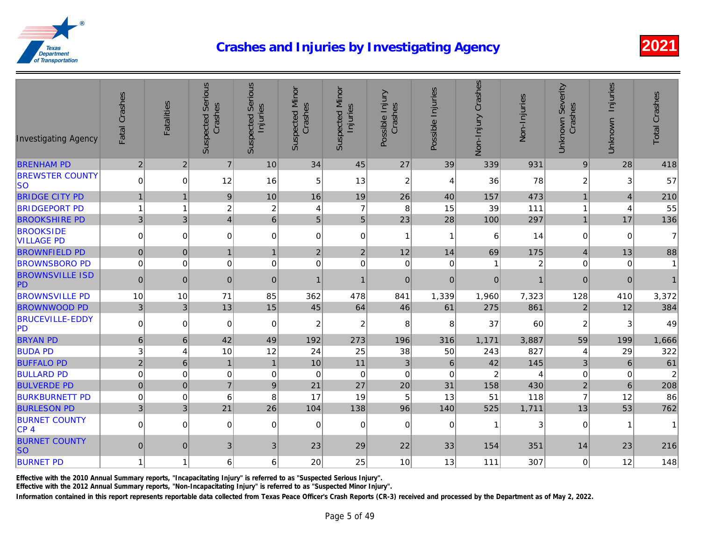| <b>Investigating Agency</b>             | Fatal Crashes  | <b>Fatalities</b> | <b>Suspected Serious</b><br>Crashes | <b>Suspected Serious</b><br>Injuries | <b>Suspected Minor</b><br>Crashes | <b>Suspected Minor</b><br>Injuries | Possible Injury<br>Crashes | Possible Injuries | Non-Injury Crashes | Non-Injuries |
|-----------------------------------------|----------------|-------------------|-------------------------------------|--------------------------------------|-----------------------------------|------------------------------------|----------------------------|-------------------|--------------------|--------------|
| <b>BRENHAM PD</b>                       | $\overline{2}$ | $\overline{2}$    | $\overline{7}$                      | 10                                   | 34                                | 45                                 | 27                         | 39                | 339                | 931          |
| <b>BREWSTER COUNTY</b><br>lso           | $\mathbf 0$    | $\Omega$          | 12                                  | 16                                   | 5                                 | 13                                 | $\overline{c}$             | $\overline{4}$    | 36                 | 78           |
| <b>BRIDGE CITY PD</b>                   | $\overline{1}$ | $\mathbf{1}$      | $9\,$                               | 10                                   | 16                                | 19                                 | 26                         | 40                | 157                | 473          |
| <b>BRIDGEPORT PD</b>                    | $\overline{1}$ | 1                 | $\overline{c}$                      | $\overline{2}$                       | 4                                 | $\overline{7}$                     | 8                          | 15                | 39                 | 111          |
| <b>BROOKSHIRE PD</b>                    | $\mathfrak{S}$ | 3 <sup>1</sup>    | $\overline{\mathbf{4}}$             | $6\phantom{1}$                       | 5                                 | 5 <sup>1</sup>                     | 23                         | 28                | 100                | 297          |
| <b>BROOKSIDE</b><br><b>VILLAGE PD</b>   | $\mathbf 0$    | $\mathbf 0$       | 0                                   | $\Omega$                             | 0                                 | $\Omega$                           | $\overline{1}$             | $\mathbf{1}$      | 6                  | 14           |
| <b>BROWNFIELD PD</b>                    | $\pmb{0}$      | $\pmb{0}$         | $\mathbf{1}$                        | $\mathbf{1}$                         | $\mathbf 2$                       | $\overline{2}$                     | 12                         | 14                | 69                 | 175          |
| <b>BROWNSBORO PD</b>                    | $\mathbf 0$    | $\Omega$          | 0                                   | 0                                    | $\mathbf 0$                       | $\Omega$                           | $\mathbf 0$                | $\mathbf 0$       | $\mathbf{1}$       |              |
| <b>BROWNSVILLE ISD</b><br>PD            | $\mathbf 0$    | $\mathbf 0$       | $\mathbf 0$                         | $\mathbf{0}$                         | 1                                 | $\mathbf{1}$                       | $\mathbf{0}$               | $\mathbf{0}$      | $\pmb{0}$          |              |
| <b>BROWNSVILLE PD</b>                   | 10             | 10                | 71                                  | 85                                   | 362                               | 478                                | 841                        | 1,339             | 1,960              | 7,323        |
| <b>BROWNWOOD PD</b>                     | $\mathbf{3}$   | $\mathbf{3}$      | 13                                  | 15                                   | 45                                | 64                                 | 46                         | 61                | 275                | 861          |
| <b>BRUCEVILLE-EDDY</b><br><b>PD</b>     | $\mathbf 0$    | $\mathbf 0$       | 0                                   | 0                                    | $\overline{c}$                    | 2                                  | 8                          | 8                 | 37                 | 60           |
| <b>BRYAN PD</b>                         | $\,$ 6 $\,$    | 6                 | 42                                  | 49                                   | 192                               | 273                                | 196                        | 316               | 1,171              | 3,887        |
| <b>BUDA PD</b>                          | 3              | 4                 | 10                                  | 12                                   | 24                                | 25                                 | 38                         | 50                | 243                | 827          |
| <b>BUFFALO PD</b>                       | $\overline{2}$ | $6\phantom{1}$    | $\mathbf{1}$                        | $\mathbf{1}$                         | 10                                | 11                                 | $\overline{3}$             | $6\phantom{1}$    | 42                 | 145          |
| <b>BULLARD PD</b>                       | $\mathbf 0$    | $\mathbf 0$       | $\pmb{0}$                           | $\mathbf 0$                          | $\mathbf 0$                       | $\mathbf 0$                        | $\mathbf 0$                | $\mathbf 0$       | $\boldsymbol{2}$   |              |
| <b>BULVERDE PD</b>                      | $\mathbf 0$    | $\mathbf 0$       | $\overline{7}$                      | $9$                                  | 21                                | 27                                 | 20                         | 31                | 158                | 430          |
| <b>BURKBURNETT PD</b>                   | $\mathbf 0$    | $\mathbf 0$       | 6                                   | 8                                    | 17                                | 19                                 | 5                          | 13                | 51                 | 118          |
| <b>BURLESON PD</b>                      | $\mathfrak{S}$ | 3 <sup>1</sup>    | 21                                  | 26                                   | 104                               | 138                                | 96                         | 140               | 525                | 1,711        |
| <b>BURNET COUNTY</b><br>CP <sub>4</sub> | $\mathbf 0$    | $\overline{0}$    | $\mathbf 0$                         | $\Omega$                             | $\mathbf 0$                       | $\Omega$                           | $\mathbf 0$                | $\mathbf 0$       | $\mathbf{1}$       |              |
| <b>BURNET COUNTY</b><br><b>SO</b>       | $\mathbf 0$    | $\mathbf{0}$      | 3                                   | 3                                    | 23                                | 29                                 | 22                         | 33                | 154                | 351          |
| <b>BURNET PD</b>                        | $\overline{1}$ | 1                 | 6                                   | 6                                    | 20                                | 25                                 | 10                         | 13                | 111                | 307          |

Effective with the 2010 Annual Summary reports, "Incapacitating Injury" is referred to as "Suspected Serious Injury".

Effective with the 2012 Annual Summary reports, "Non-Incapacitating Injury" is referred to as "Suspected Minor Injury".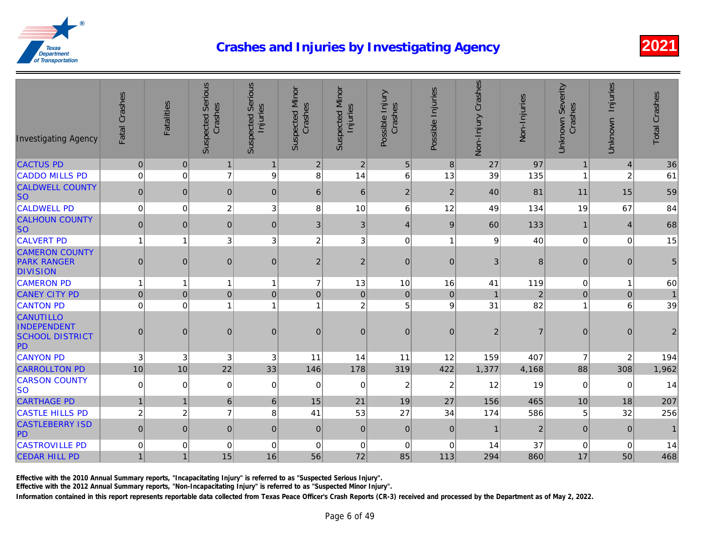| <b>Investigating Agency</b>                                     | Fatal Crashes  | <b>Fatalities</b> | <b>Suspected Serious</b><br>Crashes | <b>Suspected Serious</b><br>Injuries | <b>Suspected Minor</b><br>Crashes | <b>Suspected Minor</b><br>Injuries | Possible Injury<br>Crashes | Possible Injuries | Non-Injury Crashes | Non-Injuries   |
|-----------------------------------------------------------------|----------------|-------------------|-------------------------------------|--------------------------------------|-----------------------------------|------------------------------------|----------------------------|-------------------|--------------------|----------------|
| <b>CACTUS PD</b>                                                | $\mathbf 0$    | $\pmb{0}$         | $\mathbf{1}$                        | $\mathbf{1}$                         | $\overline{c}$                    | $\overline{2}$                     | $\sqrt{5}$                 | 8                 | 27                 | 97             |
| <b>CADDO MILLS PD</b>                                           | $\mathbf 0$    | $\overline{0}$    | $\overline{7}$                      | 9                                    | 8                                 | 14                                 | 6                          | 13                | 39                 | 135            |
| <b>CALDWELL COUNTY</b><br><b>SO</b>                             | $\pmb{0}$      | $\mathbf{0}$      | 0                                   | $\mathbf{0}$                         | 6                                 | 6                                  | $\mathbf 2$                | $\overline{2}$    | 40                 | 81             |
| <b>CALDWELL PD</b>                                              | $\mathbf 0$    | $\mathbf 0$       | $\overline{c}$                      | 3                                    | 8                                 | 10                                 | 6                          | 12                | 49                 | 134            |
| <b>CALHOUN COUNTY</b><br><b>SO</b>                              | $\pmb{0}$      | $\pmb{0}$         | $\pmb{0}$                           | $\mathbf 0$                          | 3                                 | $\sqrt{3}$                         | $\overline{4}$             | $9\,$             | 60                 | 133            |
| <b>CALVERT PD</b>                                               | $\mathbf{1}$   | $\mathbf{1}$      | 3 <sup>1</sup>                      | 3                                    | $\overline{c}$                    | 3                                  | $\mathbf 0$                | $\mathbf{1}$      | 9                  | 40             |
| <b>CAMERON COUNTY</b><br><b>PARK RANGER</b><br><b>DIVISION</b>  | $\bf 0$        | $\pmb{0}$         | $\overline{0}$                      | $\mathbf 0$                          | $\overline{c}$                    | $\sqrt{2}$                         | $\pmb{0}$                  | $\mathbf 0$       | $\mathfrak{B}$     |                |
| <b>CAMERON PD</b>                                               | $\mathbf{1}$   | $\overline{1}$    | $\mathbf{1}$                        | 1                                    | $\overline{7}$                    | 13                                 | 10                         | 16                | 41                 | 119            |
| <b>CANEY CITY PD</b>                                            | $\mathbf 0$    | $\mathbf 0$       | $\pmb{0}$                           | $\mathbf 0$                          | $\mathsf{O}\xspace$               | $\mathbf{0}$                       | $\pmb{0}$                  | $\mathbf 0$       | $\overline{1}$     |                |
| <b>CANTON PD</b>                                                | $\mathbf 0$    | $\Omega$          | $\mathbf{1}$                        | 1                                    | 1                                 | $\overline{c}$                     | 5                          | 9                 | 31                 | 82             |
| <b>CANUTILLO</b><br>INDEPENDENT<br><b>SCHOOL DISTRICT</b><br>PD | $\mathbf 0$    | $\mathbf 0$       | $\mathbf 0$                         | $\overline{0}$                       | $\pmb{0}$                         | $\overline{0}$                     | $\mathbf 0$                | $\mathbf{0}$      | $\mathbf 2$        |                |
| <b>CANYON PD</b>                                                | 3              | 3                 | 3                                   | 3                                    | 11                                | 14                                 | 11                         | 12                | 159                | 407            |
| <b>CARROLLTON PD</b>                                            | 10             | 10                | 22                                  | 33                                   | 146                               | 178                                | 319                        | 422               | 1,377              | 4,168          |
| <b>CARSON COUNTY</b><br><b>SO</b>                               | $\mathbf 0$    | $\mathbf 0$       | $\mathbf 0$                         | 0                                    | 0                                 | 0                                  | $\boldsymbol{2}$           | $\boldsymbol{2}$  | 12                 | 19             |
| <b>CARTHAGE PD</b>                                              | $\overline{1}$ | $\mathbf{1}$      | $6\phantom{1}6$                     | 6                                    | 15                                | 21                                 | 19                         | 27                | 156                | 465            |
| <b>CASTLE HILLS PD</b>                                          | $\overline{c}$ | $\overline{c}$    | $\overline{7}$                      | 8                                    | 41                                | 53                                 | 27                         | 34                | 174                | 586            |
| <b>CASTLEBERRY ISD</b><br>PD                                    | $\mathbf 0$    | $\mathbf 0$       | $\pmb{0}$                           | $\mathbf 0$                          | $\pmb{0}$                         | $\pmb{0}$                          | $\mathbf 0$                | $\pmb{0}$         | $\mathbf{1}$       | $\overline{a}$ |
| <b>CASTROVILLE PD</b>                                           | $\mathbf 0$    | $\mathbf 0$       | 0                                   | 0                                    | 0                                 | $\mathbf 0$                        | $\pmb{0}$                  | $\mathbf 0$       | 14                 | 37             |
| <b>CEDAR HILL PD</b>                                            | $\mathbf{1}$   | $\overline{1}$    | 15                                  | 16                                   | 56                                | 72                                 | 85                         | 113               | 294                | 860            |

Effective with the 2010 Annual Summary reports, "Incapacitating Injury" is referred to as "Suspected Serious Injury".

Effective with the 2012 Annual Summary reports, "Non-Incapacitating Injury" is referred to as "Suspected Minor Injury".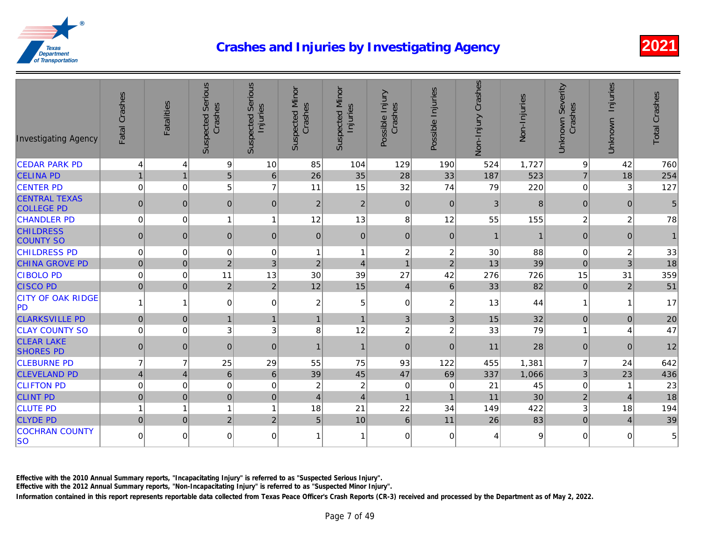| 9 <br>10<br>129<br>190<br>1,727<br><b>CEDAR PARK PD</b><br>$\overline{4}$<br>85<br>104<br>524<br>$\overline{4}$<br>$\overline{5}$<br>28<br>26<br>523<br>35<br><b>CELINA PD</b><br>$\mathbf{1}$<br>$\mathbf{1}$<br>$\,6\,$<br>33<br>187<br>5<br>$\overline{7}$<br>32<br>$\mathbf 0$<br>$\mathbf 0$<br>15<br>74<br>79<br><b>CENTER PD</b><br>11<br>220<br><b>CENTRAL TEXAS</b><br>$\mathbf 0$<br>$\mathbf 0$<br>$\mathfrak{B}$<br>$\pmb{0}$<br> 0 <br>$\mathbf 0$<br>$\overline{2}$<br>$\overline{2}$<br> 0 <br><b>COLLEGE PD</b><br>8<br>55<br><b>CHANDLER PD</b><br>$\mathbf 0$<br>$\mathbf 0$<br>12<br>13<br>12<br>155<br>$\mathbf{1}$<br>$\overline{1}$<br><b>CHILDRESS</b><br>$\pmb{0}$<br> 0 <br>$\mathbf 0$<br>$\mathbf{0}$<br> 0 <br>$\mathbf{0}$<br>$\pmb{0}$<br>$\overline{0}$<br>$\mathbf{1}$<br><b>COUNTY SO</b><br>$\boldsymbol{2}$<br>$\mathbf 0$<br>0<br>$\boldsymbol{2}$<br>30<br><b>CHILDRESS PD</b><br>$\mathbf 0$<br>$\mathbf 0$<br>88<br>1<br>$\mathbf{1}$<br>39<br>$\pmb{0}$<br>$\sqrt{2}$<br>3<br>$\overline{2}$<br><b>CHINA GROVE PD</b><br>$\mathbf 0$<br>$\overline{c}$<br>$\overline{1}$<br>13<br>$\overline{4}$<br>27<br>30<br>42<br>726<br><b>CIBOLO PD</b><br>$\mathbf 0$<br>$\mathbf 0$<br>11<br>13<br>39<br>276<br>82<br><b>CISCO PD</b><br>$\pmb{0}$<br>$\mathbf 0$<br>$\overline{2}$<br>$\overline{2}$<br>12<br>15<br>$\,6$<br>33<br>$\overline{4}$<br><b>CITY OF OAK RIDGE</b><br>44<br>$\overline{0}$<br>$\overline{c}$<br>$\pmb{0}$<br>$\boldsymbol{2}$<br>13<br>$\mathbf{1}$<br>$\overline{1}$<br>0<br>5<br><b>PD</b><br>32<br><b>CLARKSVILLE PD</b><br>$\pmb{0}$<br>$\mathbf 0$<br>$\mathbf{1}$<br>$\mathfrak{B}$<br>3<br>15<br>$\mathbf{1}$<br>$\mathbf{1}$<br>$\mathbf{1}$<br>79<br>$\mathsf 3$<br>$\boldsymbol{2}$<br>$\boldsymbol{2}$<br><b>CLAY COUNTY SO</b><br>$\mathbf 0$<br>3<br>8<br>12<br>33<br>$\overline{0}$<br><b>CLEAR LAKE</b><br>28<br>$\pmb{0}$<br>$\mathbf 0$<br>$\mathbf{0}$<br>$\mathbf 0$<br>$\overline{0}$<br>$\mathbf 0$<br>$\overline{1}$<br>11<br>$\mathbf{1}$<br><b>SHORES PD</b><br><b>CLEBURNE PD</b><br>$\overline{7}$<br>$\overline{7}$<br>25<br>29<br>93<br>55<br>75<br>122<br>455<br>1,381<br>$\overline{4}$<br>$\,6\,$<br>$6\phantom{1}$<br>45<br>47<br><b>CLEVELAND PD</b><br>$\overline{4}$<br>39<br>69<br>337<br>1,066<br>$\mathbf 0$<br>$\mathbf 0$<br>$\overline{\mathbf{c}}$<br><b>CLIFTON PD</b><br>$\overline{0}$<br>$\overline{c}$<br>21<br>45<br>0<br>0<br>0<br>30<br>$\mathbf 0$<br>$\mathbf 0$<br> 0 <br>11<br><b>CLINT PD</b><br>$\mathbf{0}$<br>$\overline{4}$<br>$\mathbf{1}$<br>$\mathbf{1}$<br>$\overline{4}$<br>22<br>422<br>18<br>$\overline{1}$<br>21<br>34<br>149<br><b>CLUTE PD</b><br>$\mathbf{1}$<br>$\overline{1}$<br>1<br>83<br>5<br>$\overline{2}$<br>$\overline{2}$<br>10<br>$\,6\,$<br>11<br>26<br><b>CLYDE PD</b><br>$\mathbf 0$<br>$\mathbf 0$<br><b>COCHRAN COUNTY</b><br>$\mathbf 0$<br>$\mathbf 0$<br>$\mathbf 0$<br>$\overline{0}$<br>$\mathbf 0$<br>$\mathbf 0$<br>1<br>4<br>c<br>1 | <b>Investigating Agency</b> | Fatal Crashes | <b>Fatalities</b> | <b>Suspected Serious</b><br>Crashes | <b>Suspected Serious</b><br>Injuries | <b>Suspected Minor</b><br>Crashes | <b>Suspected Minor</b><br>Injuries | Possible Injury<br>Crashes | Possible Injuries | Non-Injury Crashes | Non-Injuries |
|-----------------------------------------------------------------------------------------------------------------------------------------------------------------------------------------------------------------------------------------------------------------------------------------------------------------------------------------------------------------------------------------------------------------------------------------------------------------------------------------------------------------------------------------------------------------------------------------------------------------------------------------------------------------------------------------------------------------------------------------------------------------------------------------------------------------------------------------------------------------------------------------------------------------------------------------------------------------------------------------------------------------------------------------------------------------------------------------------------------------------------------------------------------------------------------------------------------------------------------------------------------------------------------------------------------------------------------------------------------------------------------------------------------------------------------------------------------------------------------------------------------------------------------------------------------------------------------------------------------------------------------------------------------------------------------------------------------------------------------------------------------------------------------------------------------------------------------------------------------------------------------------------------------------------------------------------------------------------------------------------------------------------------------------------------------------------------------------------------------------------------------------------------------------------------------------------------------------------------------------------------------------------------------------------------------------------------------------------------------------------------------------------------------------------------------------------------------------------------------------------------------------------------------------------------------------------------------------------------------------------------------------------------------------------------------------------------------------------------------------------------------------------------------------------------------------------------------------------------------------------------------------------------------------------------------------------------------------------------------------------|-----------------------------|---------------|-------------------|-------------------------------------|--------------------------------------|-----------------------------------|------------------------------------|----------------------------|-------------------|--------------------|--------------|
|                                                                                                                                                                                                                                                                                                                                                                                                                                                                                                                                                                                                                                                                                                                                                                                                                                                                                                                                                                                                                                                                                                                                                                                                                                                                                                                                                                                                                                                                                                                                                                                                                                                                                                                                                                                                                                                                                                                                                                                                                                                                                                                                                                                                                                                                                                                                                                                                                                                                                                                                                                                                                                                                                                                                                                                                                                                                                                                                                                                               |                             |               |                   |                                     |                                      |                                   |                                    |                            |                   |                    |              |
|                                                                                                                                                                                                                                                                                                                                                                                                                                                                                                                                                                                                                                                                                                                                                                                                                                                                                                                                                                                                                                                                                                                                                                                                                                                                                                                                                                                                                                                                                                                                                                                                                                                                                                                                                                                                                                                                                                                                                                                                                                                                                                                                                                                                                                                                                                                                                                                                                                                                                                                                                                                                                                                                                                                                                                                                                                                                                                                                                                                               |                             |               |                   |                                     |                                      |                                   |                                    |                            |                   |                    |              |
|                                                                                                                                                                                                                                                                                                                                                                                                                                                                                                                                                                                                                                                                                                                                                                                                                                                                                                                                                                                                                                                                                                                                                                                                                                                                                                                                                                                                                                                                                                                                                                                                                                                                                                                                                                                                                                                                                                                                                                                                                                                                                                                                                                                                                                                                                                                                                                                                                                                                                                                                                                                                                                                                                                                                                                                                                                                                                                                                                                                               |                             |               |                   |                                     |                                      |                                   |                                    |                            |                   |                    |              |
|                                                                                                                                                                                                                                                                                                                                                                                                                                                                                                                                                                                                                                                                                                                                                                                                                                                                                                                                                                                                                                                                                                                                                                                                                                                                                                                                                                                                                                                                                                                                                                                                                                                                                                                                                                                                                                                                                                                                                                                                                                                                                                                                                                                                                                                                                                                                                                                                                                                                                                                                                                                                                                                                                                                                                                                                                                                                                                                                                                                               |                             |               |                   |                                     |                                      |                                   |                                    |                            |                   |                    |              |
|                                                                                                                                                                                                                                                                                                                                                                                                                                                                                                                                                                                                                                                                                                                                                                                                                                                                                                                                                                                                                                                                                                                                                                                                                                                                                                                                                                                                                                                                                                                                                                                                                                                                                                                                                                                                                                                                                                                                                                                                                                                                                                                                                                                                                                                                                                                                                                                                                                                                                                                                                                                                                                                                                                                                                                                                                                                                                                                                                                                               |                             |               |                   |                                     |                                      |                                   |                                    |                            |                   |                    |              |
|                                                                                                                                                                                                                                                                                                                                                                                                                                                                                                                                                                                                                                                                                                                                                                                                                                                                                                                                                                                                                                                                                                                                                                                                                                                                                                                                                                                                                                                                                                                                                                                                                                                                                                                                                                                                                                                                                                                                                                                                                                                                                                                                                                                                                                                                                                                                                                                                                                                                                                                                                                                                                                                                                                                                                                                                                                                                                                                                                                                               |                             |               |                   |                                     |                                      |                                   |                                    |                            |                   |                    |              |
|                                                                                                                                                                                                                                                                                                                                                                                                                                                                                                                                                                                                                                                                                                                                                                                                                                                                                                                                                                                                                                                                                                                                                                                                                                                                                                                                                                                                                                                                                                                                                                                                                                                                                                                                                                                                                                                                                                                                                                                                                                                                                                                                                                                                                                                                                                                                                                                                                                                                                                                                                                                                                                                                                                                                                                                                                                                                                                                                                                                               |                             |               |                   |                                     |                                      |                                   |                                    |                            |                   |                    |              |
|                                                                                                                                                                                                                                                                                                                                                                                                                                                                                                                                                                                                                                                                                                                                                                                                                                                                                                                                                                                                                                                                                                                                                                                                                                                                                                                                                                                                                                                                                                                                                                                                                                                                                                                                                                                                                                                                                                                                                                                                                                                                                                                                                                                                                                                                                                                                                                                                                                                                                                                                                                                                                                                                                                                                                                                                                                                                                                                                                                                               |                             |               |                   |                                     |                                      |                                   |                                    |                            |                   |                    |              |
|                                                                                                                                                                                                                                                                                                                                                                                                                                                                                                                                                                                                                                                                                                                                                                                                                                                                                                                                                                                                                                                                                                                                                                                                                                                                                                                                                                                                                                                                                                                                                                                                                                                                                                                                                                                                                                                                                                                                                                                                                                                                                                                                                                                                                                                                                                                                                                                                                                                                                                                                                                                                                                                                                                                                                                                                                                                                                                                                                                                               |                             |               |                   |                                     |                                      |                                   |                                    |                            |                   |                    |              |
|                                                                                                                                                                                                                                                                                                                                                                                                                                                                                                                                                                                                                                                                                                                                                                                                                                                                                                                                                                                                                                                                                                                                                                                                                                                                                                                                                                                                                                                                                                                                                                                                                                                                                                                                                                                                                                                                                                                                                                                                                                                                                                                                                                                                                                                                                                                                                                                                                                                                                                                                                                                                                                                                                                                                                                                                                                                                                                                                                                                               |                             |               |                   |                                     |                                      |                                   |                                    |                            |                   |                    |              |
|                                                                                                                                                                                                                                                                                                                                                                                                                                                                                                                                                                                                                                                                                                                                                                                                                                                                                                                                                                                                                                                                                                                                                                                                                                                                                                                                                                                                                                                                                                                                                                                                                                                                                                                                                                                                                                                                                                                                                                                                                                                                                                                                                                                                                                                                                                                                                                                                                                                                                                                                                                                                                                                                                                                                                                                                                                                                                                                                                                                               |                             |               |                   |                                     |                                      |                                   |                                    |                            |                   |                    |              |
|                                                                                                                                                                                                                                                                                                                                                                                                                                                                                                                                                                                                                                                                                                                                                                                                                                                                                                                                                                                                                                                                                                                                                                                                                                                                                                                                                                                                                                                                                                                                                                                                                                                                                                                                                                                                                                                                                                                                                                                                                                                                                                                                                                                                                                                                                                                                                                                                                                                                                                                                                                                                                                                                                                                                                                                                                                                                                                                                                                                               |                             |               |                   |                                     |                                      |                                   |                                    |                            |                   |                    |              |
|                                                                                                                                                                                                                                                                                                                                                                                                                                                                                                                                                                                                                                                                                                                                                                                                                                                                                                                                                                                                                                                                                                                                                                                                                                                                                                                                                                                                                                                                                                                                                                                                                                                                                                                                                                                                                                                                                                                                                                                                                                                                                                                                                                                                                                                                                                                                                                                                                                                                                                                                                                                                                                                                                                                                                                                                                                                                                                                                                                                               |                             |               |                   |                                     |                                      |                                   |                                    |                            |                   |                    |              |
|                                                                                                                                                                                                                                                                                                                                                                                                                                                                                                                                                                                                                                                                                                                                                                                                                                                                                                                                                                                                                                                                                                                                                                                                                                                                                                                                                                                                                                                                                                                                                                                                                                                                                                                                                                                                                                                                                                                                                                                                                                                                                                                                                                                                                                                                                                                                                                                                                                                                                                                                                                                                                                                                                                                                                                                                                                                                                                                                                                                               |                             |               |                   |                                     |                                      |                                   |                                    |                            |                   |                    |              |
|                                                                                                                                                                                                                                                                                                                                                                                                                                                                                                                                                                                                                                                                                                                                                                                                                                                                                                                                                                                                                                                                                                                                                                                                                                                                                                                                                                                                                                                                                                                                                                                                                                                                                                                                                                                                                                                                                                                                                                                                                                                                                                                                                                                                                                                                                                                                                                                                                                                                                                                                                                                                                                                                                                                                                                                                                                                                                                                                                                                               |                             |               |                   |                                     |                                      |                                   |                                    |                            |                   |                    |              |
|                                                                                                                                                                                                                                                                                                                                                                                                                                                                                                                                                                                                                                                                                                                                                                                                                                                                                                                                                                                                                                                                                                                                                                                                                                                                                                                                                                                                                                                                                                                                                                                                                                                                                                                                                                                                                                                                                                                                                                                                                                                                                                                                                                                                                                                                                                                                                                                                                                                                                                                                                                                                                                                                                                                                                                                                                                                                                                                                                                                               |                             |               |                   |                                     |                                      |                                   |                                    |                            |                   |                    |              |
|                                                                                                                                                                                                                                                                                                                                                                                                                                                                                                                                                                                                                                                                                                                                                                                                                                                                                                                                                                                                                                                                                                                                                                                                                                                                                                                                                                                                                                                                                                                                                                                                                                                                                                                                                                                                                                                                                                                                                                                                                                                                                                                                                                                                                                                                                                                                                                                                                                                                                                                                                                                                                                                                                                                                                                                                                                                                                                                                                                                               |                             |               |                   |                                     |                                      |                                   |                                    |                            |                   |                    |              |
|                                                                                                                                                                                                                                                                                                                                                                                                                                                                                                                                                                                                                                                                                                                                                                                                                                                                                                                                                                                                                                                                                                                                                                                                                                                                                                                                                                                                                                                                                                                                                                                                                                                                                                                                                                                                                                                                                                                                                                                                                                                                                                                                                                                                                                                                                                                                                                                                                                                                                                                                                                                                                                                                                                                                                                                                                                                                                                                                                                                               |                             |               |                   |                                     |                                      |                                   |                                    |                            |                   |                    |              |
|                                                                                                                                                                                                                                                                                                                                                                                                                                                                                                                                                                                                                                                                                                                                                                                                                                                                                                                                                                                                                                                                                                                                                                                                                                                                                                                                                                                                                                                                                                                                                                                                                                                                                                                                                                                                                                                                                                                                                                                                                                                                                                                                                                                                                                                                                                                                                                                                                                                                                                                                                                                                                                                                                                                                                                                                                                                                                                                                                                                               |                             |               |                   |                                     |                                      |                                   |                                    |                            |                   |                    |              |
|                                                                                                                                                                                                                                                                                                                                                                                                                                                                                                                                                                                                                                                                                                                                                                                                                                                                                                                                                                                                                                                                                                                                                                                                                                                                                                                                                                                                                                                                                                                                                                                                                                                                                                                                                                                                                                                                                                                                                                                                                                                                                                                                                                                                                                                                                                                                                                                                                                                                                                                                                                                                                                                                                                                                                                                                                                                                                                                                                                                               |                             |               |                   |                                     |                                      |                                   |                                    |                            |                   |                    |              |
|                                                                                                                                                                                                                                                                                                                                                                                                                                                                                                                                                                                                                                                                                                                                                                                                                                                                                                                                                                                                                                                                                                                                                                                                                                                                                                                                                                                                                                                                                                                                                                                                                                                                                                                                                                                                                                                                                                                                                                                                                                                                                                                                                                                                                                                                                                                                                                                                                                                                                                                                                                                                                                                                                                                                                                                                                                                                                                                                                                                               | <b>SO</b>                   |               |                   |                                     |                                      |                                   |                                    |                            |                   |                    |              |

Effective with the 2010 Annual Summary reports, "Incapacitating Injury" is referred to as "Suspected Serious Injury".

Effective with the 2012 Annual Summary reports, "Non-Incapacitating Injury" is referred to as "Suspected Minor Injury".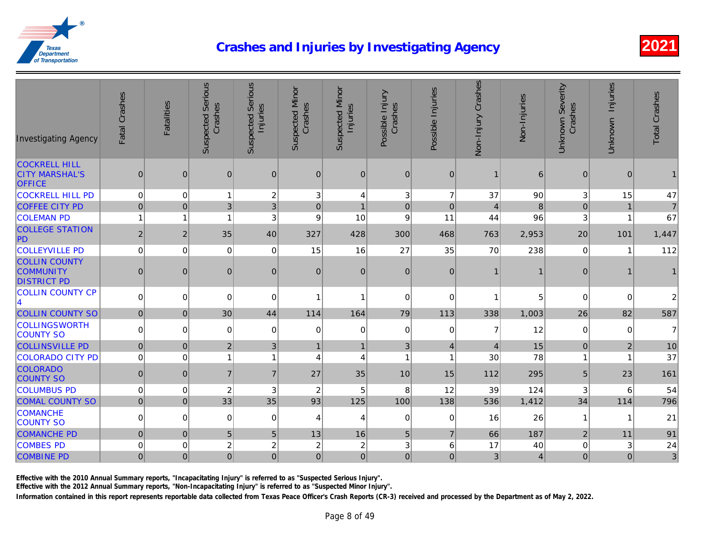| <b>Investigating Agency</b>                                    | Fatal Crashes  | <b>Fatalities</b> | <b>Suspected Serious</b><br>Crashes | <b>Suspected Serious</b><br>Injuries | <b>Suspected Minor</b><br>Crashes | <b>Suspected Minor</b><br>Injuries | Possible Injury<br>Crashes | Possible Injuries | Non-Injury Crashes | Non-Injuries |
|----------------------------------------------------------------|----------------|-------------------|-------------------------------------|--------------------------------------|-----------------------------------|------------------------------------|----------------------------|-------------------|--------------------|--------------|
| <b>COCKRELL HILL</b><br><b>CITY MARSHAL'S</b><br><b>OFFICE</b> | $\mathbf 0$    | $\mathbf 0$       | $\mathbf 0$                         | $\mathbf{0}$                         | $\mathbf{0}$                      | $\mathbf{0}$                       | $\mathbf{0}$               | $\mathbf 0$       | $\mathbf 1$        | 6            |
| <b>COCKRELL HILL PD</b>                                        | $\mathbf 0$    | $\mathbf 0$       | $\mathbf{1}$                        | $\overline{c}$                       | 3                                 | 4                                  | 3                          | $\overline{7}$    | 37                 | 90           |
| <b>COFFEE CITY PD</b>                                          | $\mathbf 0$    | $\boldsymbol{0}$  | 3                                   | 3                                    | $\pmb{0}$                         | $\mathbf 1$                        | $\mathbf 0$                | $\overline{0}$    | $\overline{4}$     |              |
| <b>COLEMAN PD</b>                                              | $\mathbf{1}$   | 1                 | 1                                   | 3                                    | 9                                 | 10                                 | 9                          | 11                | 44                 | 96           |
| <b>COLLEGE STATION</b><br>PD                                   | $\overline{2}$ | 2                 | 35                                  | 40                                   | 327                               | 428                                | 300                        | 468               | 763                | 2,953        |
| <b>COLLEYVILLE PD</b>                                          | $\mathbf 0$    | $\mathbf 0$       | 0                                   | 0                                    | 15                                | 16                                 | 27                         | 35                | 70                 | 238          |
| <b>COLLIN COUNTY</b><br><b>COMMUNITY</b><br><b>DISTRICT PD</b> | $\mathbf 0$    | $\mathbf 0$       | $\mathbf 0$                         | 0                                    | $\mathbf 0$                       | $\overline{0}$                     | $\mathbf 0$                | $\boldsymbol{0}$  | $\overline{1}$     |              |
| <b>COLLIN COUNTY CP</b><br>4                                   | $\pmb{0}$      | 0                 | 0                                   | 0                                    | 1                                 | 1                                  | 0                          | 0                 | 1                  |              |
| <b>COLLIN COUNTY SO</b>                                        | $\pmb{0}$      | $\mathbf 0$       | 30                                  | 44                                   | 114                               | 164                                | 79                         | 113               | 338                | 1,003        |
| <b>COLLINGSWORTH</b><br><b>COUNTY SO</b>                       | $\mathbf 0$    | 0                 | $\Omega$                            | $\mathbf 0$                          | 0                                 | $\overline{0}$                     | $\pmb{0}$                  | 0                 | $\overline{7}$     | 12           |
| <b>COLLINSVILLE PD</b>                                         | $\pmb{0}$      | $\mathbf 0$       | $\sqrt{2}$                          | 3                                    | $\mathbf{1}$                      | $\mathbf{1}$                       | $\mathfrak{B}$             | $\vert 4 \vert$   | $\overline{4}$     | 15           |
| COLORADO CITY PD                                               | $\mathbf 0$    | $\mathbf 0$       | $\mathbf{1}$                        | 1                                    | 4                                 | 4                                  | $\overline{1}$             | $\mathbf{1}$      | 30                 | 78           |
| <b>COLORADO</b><br><b>COUNTY SO</b>                            | $\pmb{0}$      | $\mathbf 0$       | $\overline{7}$                      | $\overline{7}$                       | 27                                | 35                                 | 10                         | 15                | 112                | 295          |
| <b>COLUMBUS PD</b>                                             | $\mathbf 0$    | $\mathbf 0$       | $\overline{2}$                      | $\ensuremath{\mathsf{3}}$            | $\overline{\mathbf{c}}$           | 5                                  | 8                          | 12                | 39                 | 124          |
| <b>COMAL COUNTY SO</b>                                         | $\mathbf 0$    | $\mathbf 0$       | 33                                  | 35                                   | 93                                | 125                                | 100                        | 138               | 536                | 1,412        |
| <b>COMANCHE</b><br><b>COUNTY SO</b>                            | $\pmb{0}$      | 0                 | $\Omega$                            | 0                                    | 4                                 | 4                                  | $\mathbf 0$                | $\Omega$          | 16                 | 26           |
| <b>COMANCHE PD</b>                                             | $\mathbf 0$    | $\overline{0}$    | 5                                   | 5                                    | 13                                | 16                                 | $5\phantom{.0}$            | $\overline{7}$    | 66                 | 187          |
| <b>COMBES PD</b>                                               | $\mathbf 0$    | $\overline{0}$    | $\overline{c}$                      | $\overline{c}$                       | $\overline{\mathbf{c}}$           | $\boldsymbol{2}$                   | 3                          | 6                 | 17                 | 40           |
| <b>COMBINE PD</b>                                              | $\pmb{0}$      | $\overline{0}$    | $\overline{0}$                      | $\mathbf 0$                          | $\mathsf{O}\xspace$               | $\overline{0}$                     | 0                          | $\pmb{0}$         | 3 <sup>2</sup>     |              |

Effective with the 2010 Annual Summary reports, "Incapacitating Injury" is referred to as "Suspected Serious Injury".

Effective with the 2012 Annual Summary reports, "Non-Incapacitating Injury" is referred to as "Suspected Minor Injury".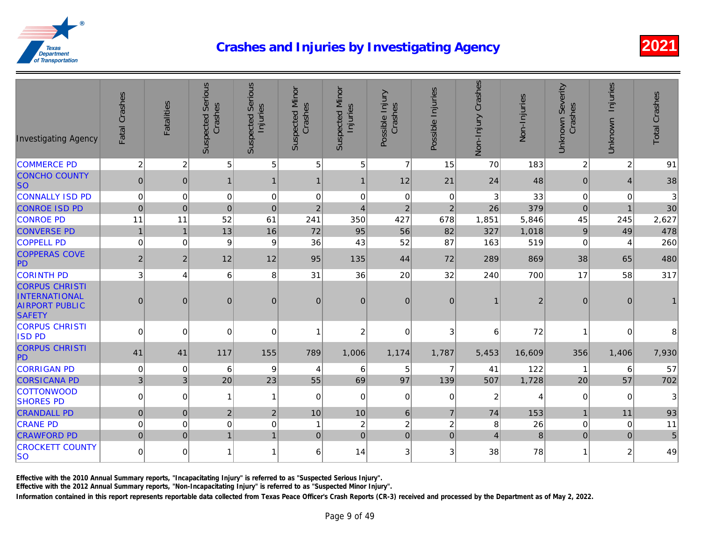| <b>Investigating Agency</b>                                                      | Fatal Crashes  | <b>Fatalities</b> | <b>Suspected Serious</b><br>Crashes | <b>Suspected Serious</b><br>Injuries | <b>Suspected Minor</b><br>Crashes | <b>Suspected Minor</b><br>Injuries | Possible Injury<br>Crashes | Possible Injuries | Non-Injury Crashes        | Non-Injuries   |
|----------------------------------------------------------------------------------|----------------|-------------------|-------------------------------------|--------------------------------------|-----------------------------------|------------------------------------|----------------------------|-------------------|---------------------------|----------------|
| <b>COMMERCE PD</b>                                                               | $\overline{c}$ | $\overline{c}$    | 5 <sup>5</sup>                      | 5                                    | 5                                 | 5 <sup>1</sup>                     | $\overline{7}$             | 15                | 70                        | 183            |
| <b>CONCHO COUNTY</b><br><b>SO</b>                                                | $\pmb{0}$      | $\mathbf{0}$      | $\mathbf{1}$                        | $\mathbf 1$                          | $\mathbf 1$                       | $\mathbf 1$                        | 12                         | 21                | 24                        | 48             |
| <b>CONNALLY ISD PD</b>                                                           | $\mathbf 0$    | $\mathbf 0$       | $\pmb{0}$                           | $\mathbf 0$                          | 0                                 | $\mathbf 0$                        | $\pmb{0}$                  | $\mathbf 0$       | $\ensuremath{\mathsf{3}}$ | 33             |
| <b>CONROE ISD PD</b>                                                             | $\mathbf 0$    | $\mathbf 0$       | $\pmb{0}$                           | $\mathbf 0$                          | $\overline{2}$                    | $\overline{4}$                     | $\mathbf 2$                | $\overline{2}$    | 26                        | 379            |
| <b>CONROE PD</b>                                                                 | 11             | 11                | 52                                  | 61                                   | 241                               | 350                                | 427                        | 678               | 1,851                     | 5,846          |
| <b>CONVERSE PD</b>                                                               | $\mathbf{1}$   | $\overline{1}$    | 13                                  | 16                                   | 72                                | 95                                 | 56                         | 82                | 327                       | 1,018          |
| <b>COPPELL PD</b>                                                                | $\mathbf 0$    | $\Omega$          | 9                                   | 9                                    | 36                                | 43                                 | 52                         | 87                | 163                       | 519            |
| <b>COPPERAS COVE</b><br>PD                                                       | $\vert$ 2      | $\overline{2}$    | 12                                  | 12                                   | 95                                | 135                                | 44                         | 72                | 289                       | 869            |
| <b>CORINTH PD</b>                                                                | 3              | $\overline{4}$    | 6                                   | 8                                    | 31                                | 36                                 | 20                         | 32                | 240                       | 700            |
| <b>CORPUS CHRISTI</b><br>INTERNATIONAL<br><b>AIRPORT PUBLIC</b><br><b>SAFETY</b> | $\mathbf 0$    | $\boldsymbol{0}$  | $\mathbf 0$                         | $\overline{0}$                       | $\pmb{0}$                         | $\overline{0}$                     | $\mathbf 0$                | $\mathbf{0}$      | $\mathbf{1}$              |                |
| <b>CORPUS CHRISTI</b><br><b>ISD PD</b>                                           | $\Omega$       | $\Omega$          | 0                                   | $\Omega$                             | 1                                 | 2                                  | $\mathbf 0$                | 3                 | 6                         | 72             |
| <b>CORPUS CHRISTI</b><br>PD                                                      | 41             | 41                | 117                                 | 155                                  | 789                               | 1,006                              | 1,174                      | 1,787             | 5,453                     | 16,609         |
| <b>CORRIGAN PD</b>                                                               | $\mathbf 0$    | $\mathbf 0$       | 6                                   | 9                                    | 4                                 | 6                                  | 5                          | $\overline{7}$    | 41                        | 122            |
| <b>CORSICANA PD</b>                                                              | $\mathbf{3}$   | $\mathbf{3}$      | 20                                  | 23                                   | 55                                | 69                                 | 97                         | 139               | 507                       | 1,728          |
| COTTONWOOD<br><b>SHORES PD</b>                                                   | $\mathbf 0$    | $\mathbf 0$       | $\mathbf{1}$                        | 1                                    | $\Omega$                          | $\Omega$                           | $\mathbf 0$                | $\Omega$          | $\boldsymbol{2}$          |                |
| <b>CRANDALL PD</b>                                                               | $\mathbf 0$    | $\mathbf 0$       | 2                                   | $\overline{2}$                       | 10                                | 10                                 | 6                          | $\overline{7}$    | 74                        | 153            |
| <b>CRANE PD</b>                                                                  | $\mathbf 0$    | $\Omega$          | $\mathbf 0$                         | 0                                    | 1                                 | $\overline{c}$                     | $\overline{c}$             | $\overline{c}$    | 8                         | 26             |
| <b>CRAWFORD PD</b>                                                               | $\mathbf 0$    | $\mathbf 0$       | $\mathbf{1}$                        | $\overline{1}$                       | $\mathbf 0$                       | $\Omega$                           | 0                          | $\mathbf 0$       | $\overline{4}$            | $\overline{8}$ |
| <b>CROCKETT COUNTY</b><br><b>SO</b>                                              | $\mathbf 0$    | $\Omega$          | $\mathbf{1}$                        | 1                                    | 6                                 | 14                                 | 3                          | $\lvert 3 \rvert$ | 38                        | 78             |
|                                                                                  |                |                   |                                     |                                      |                                   |                                    |                            |                   |                           |                |

Effective with the 2010 Annual Summary reports, "Incapacitating Injury" is referred to as "Suspected Serious Injury".

Effective with the 2012 Annual Summary reports, "Non-Incapacitating Injury" is referred to as "Suspected Minor Injury".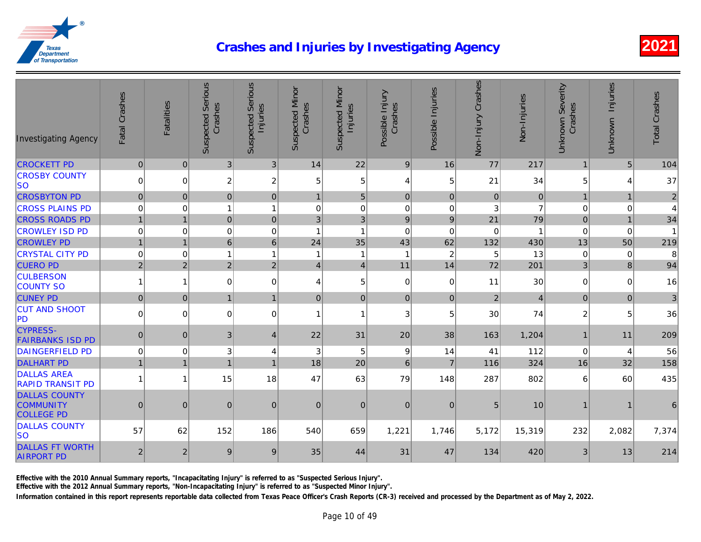| <b>Investigating Agency</b>                                   | Fatal Crashes  | <b>Fatalities</b> | <b>Suspected Serious</b><br>Crashes | <b>Suspected Serious</b><br>Injuries | <b>Suspected Minor</b><br>Crashes | <b>Suspected Minor</b><br>Injuries | Possible Injury<br>Crashes | Possible Injuries | Non-Injury Crashes | Non-Injuries |
|---------------------------------------------------------------|----------------|-------------------|-------------------------------------|--------------------------------------|-----------------------------------|------------------------------------|----------------------------|-------------------|--------------------|--------------|
| <b>CROCKETT PD</b>                                            | $\mathbf 0$    | $\mathbf{0}$      | 3 <sup>1</sup>                      | $\mathfrak{B}$                       | 14                                | 22                                 | 9                          | 16                | 77                 | 217          |
| <b>CROSBY COUNTY</b><br><b>SO</b>                             | $\mathbf 0$    | $\mathbf 0$       | $\overline{2}$                      | 2                                    | 5                                 | 5                                  | $\overline{4}$             | 5                 | 21                 | 34           |
| <b>CROSBYTON PD</b>                                           | $\overline{0}$ | $\mathbf{0}$      | 0                                   | $\overline{0}$                       | $\mathbf{1}$                      | 5 <sup>1</sup>                     | 0                          | $\mathbf{0}$      | $\mathbf 0$        | C            |
| <b>CROSS PLAINS PD</b>                                        | $\mathbf 0$    | $\overline{0}$    | $\mathbf{1}$                        | 1                                    | 0                                 | $\mathbf 0$                        | $\mathbf 0$                | $\mathbf 0$       | 3                  |              |
| <b>CROSS ROADS PD</b>                                         | $\overline{1}$ | $\overline{1}$    | 0                                   | $\overline{0}$                       | 3                                 | 3                                  | 9                          | 9                 | 21                 | 79           |
| <b>CROWLEY ISD PD</b>                                         | $\mathbf 0$    | $\mathbf 0$       | $\pmb{0}$                           | $\mathbf 0$                          | 1                                 | 1                                  | $\mathbf 0$                | $\mathbf 0$       | $\mathbf 0$        |              |
| <b>CROWLEY PD</b>                                             | $\mathbf{1}$   | $\overline{1}$    | 6                                   | 6                                    | 24                                | 35                                 | 43                         | 62                | 132                | 430          |
| <b>CRYSTAL CITY PD</b>                                        | $\mathbf 0$    | $\overline{0}$    | $\overline{1}$                      | 1                                    | 1                                 | 1                                  | -1                         | $\overline{c}$    | 5                  | 13           |
| <b>CUERO PD</b>                                               | $\overline{2}$ | $\overline{2}$    | $\overline{2}$                      | $\overline{2}$                       | $\overline{4}$                    | $\vert$                            | 11                         | 14                | 72                 | 201          |
| <b>CULBERSON</b><br><b>COUNTY SO</b>                          | $\mathbf{1}$   | $\mathbf{1}$      | $\overline{0}$                      | $\mathbf 0$                          | 4                                 | 5                                  | $\mathbf 0$                | $\mathbf 0$       | 11                 | 30           |
| <b>CUNEY PD</b>                                               | $\mathbf 0$    | $\mathbf 0$       | $\mathbf{1}$                        | $\overline{1}$                       | $\pmb{0}$                         | $\overline{0}$                     | 0                          | $\pmb{0}$         | $\overline{2}$     |              |
| <b>CUT AND SHOOT</b><br>PD                                    | $\Omega$       | $\mathbf 0$       | $\Omega$                            | $\Omega$                             | 1                                 | $\mathbf{1}$                       | 3                          | 5                 | 30                 | 74           |
| <b>CYPRESS-</b><br><b>FAIRBANKS ISD PD</b>                    | $\overline{0}$ | $\mathbf 0$       | 3                                   | 4                                    | 22                                | 31                                 | 20                         | 38                | 163                | 1,204        |
| <b>DAINGERFIELD PD</b>                                        | $\mathbf 0$    | $\overline{0}$    | 3                                   | 4                                    | 3                                 | 5                                  | 9                          | 14                | 41                 | 112          |
| <b>DALHART PD</b>                                             | $\overline{1}$ | $\overline{1}$    | $\overline{1}$                      | $\overline{1}$                       | 18                                | 20                                 | $\,6\,$                    | $\overline{7}$    | 116                | 324          |
| <b>DALLAS AREA</b><br><b>RAPID TRANSIT PD</b>                 | $\mathbf{1}$   | $\overline{1}$    | 15                                  | 18                                   | 47                                | 63                                 | 79                         | 148               | 287                | 802          |
| <b>DALLAS COUNTY</b><br><b>COMMUNITY</b><br><b>COLLEGE PD</b> | $\mathbf 0$    | $\mathbf 0$       | $\pmb{0}$                           | 0                                    | $\pmb{0}$                         | $\mathbf{0}$                       | $\mathbf 0$                | $\boldsymbol{0}$  | 5                  | 10           |
| <b>DALLAS COUNTY</b><br><b>SO</b>                             | 57             | 62                | 152                                 | 186                                  | 540                               | 659                                | 1,221                      | 1,746             | 5,172              | 15,319       |
| <b>DALLAS FT WORTH</b><br><b>AIRPORT PD</b>                   | $\overline{2}$ | $\overline{2}$    | 9                                   | 9                                    | 35                                | 44                                 | 31                         | 47                | 134                | 420          |

Effective with the 2010 Annual Summary reports, "Incapacitating Injury" is referred to as "Suspected Serious Injury".

Effective with the 2012 Annual Summary reports, "Non-Incapacitating Injury" is referred to as "Suspected Minor Injury".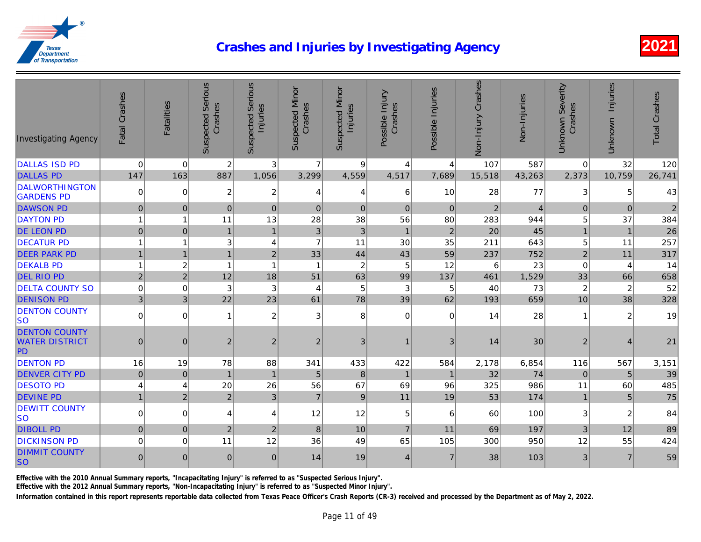| <b>Investigating Agency</b>                         | Fatal Crashes    | Fatalities     | <b>Suspected Serious</b><br>Crashes | <b>Suspected Serious</b><br>Injuries | <b>Suspected Minor</b><br>Crashes | <b>Suspected Minor</b><br>Injuries | Possible Injury<br>Crashes | Possible Injuries | Non-Injury Crashes | Non-Injuries |
|-----------------------------------------------------|------------------|----------------|-------------------------------------|--------------------------------------|-----------------------------------|------------------------------------|----------------------------|-------------------|--------------------|--------------|
| <b>DALLAS ISD PD</b>                                | $\mathbf 0$      | $\overline{0}$ | $\boldsymbol{2}$                    | 3 <sup>1</sup>                       | $\overline{7}$                    | 9                                  | $\overline{4}$             | 4                 | 107                | 587          |
| <b>DALLAS PD</b>                                    | 147              | 163            | 887                                 | 1,056                                | 3,299                             | 4,559                              | 4,517                      | 7,689             | 15,518             | 43,263       |
| <b>DALWORTHINGTON</b><br><b>GARDENS PD</b>          | $\mathbf 0$      | $\mathbf 0$    | 2                                   | $\overline{c}$                       | 4                                 | 4                                  | 6                          | 10                | 28                 | 77           |
| <b>DAWSON PD</b>                                    | $\mathbf 0$      | $\mathbf{0}$   | $\overline{0}$                      | $\mathbf{0}$                         | $\mathbf{0}$                      | $\Omega$                           | $\Omega$                   | $\Omega$          | $\overline{2}$     |              |
| <b>DAYTON PD</b>                                    | $\overline{1}$   | 1              | 11                                  | 13                                   | 28                                | 38                                 | 56                         | 80                | 283                | 944          |
| <b>DE LEON PD</b>                                   | $\mathbf 0$      | $\mathbf 0$    | $\mathbf{1}$                        | $\mathbf{1}$                         | $\mathfrak{B}$                    | $\mathbf{3}$                       | $\mathbf{1}$               | $\overline{2}$    | 20                 | 45           |
| <b>DECATUR PD</b>                                   | $\overline{1}$   | 1              | 3                                   | $\overline{\mathbf{4}}$              | $\overline{7}$                    | 11                                 | 30                         | 35                | 211                | 643          |
| <b>DEER PARK PD</b>                                 | $\overline{1}$   | $\overline{1}$ | $\mathbf{1}$                        | $\overline{2}$                       | 33                                | 44                                 | 43                         | 59                | 237                | 752          |
| <b>DEKALB PD</b>                                    | $\overline{1}$   | $\overline{c}$ | $\overline{1}$                      | 1                                    | $\overline{\phantom{a}}$          | $\overline{2}$                     | 5                          | 12                | 6                  | 23           |
| <b>DEL RIO PD</b>                                   | $\overline{2}$   | $\overline{2}$ | 12                                  | 18                                   | 51                                | 63                                 | 99                         | 137               | 461                | 1,529        |
| <b>DELTA COUNTY SO</b>                              | $\mathbf 0$      | 0              | 3                                   | 3                                    | 4                                 | 5                                  | 3                          | 5                 | 40                 | 73           |
| <b>DENISON PD</b>                                   | $\overline{3}$   | $\mathbf{3}$   | 22                                  | 23                                   | 61                                | 78                                 | 39                         | 62                | 193                | 659          |
| <b>DENTON COUNTY</b><br><b>SO</b>                   | $\mathbf 0$      | $\overline{0}$ | $\overline{1}$                      | $\overline{c}$                       | 3                                 | 8                                  | $\mathbf 0$                | $\mathbf 0$       | 14                 | 28           |
| <b>DENTON COUNTY</b><br><b>WATER DISTRICT</b><br>PD | $\mathbf 0$      | $\mathbf{0}$   | $\overline{2}$                      | $\overline{2}$                       | $\overline{2}$                    | 3                                  |                            | 3                 | 14                 | 30           |
| <b>DENTON PD</b>                                    | 16               | 19             | 78                                  | 88                                   | 341                               | 433                                | 422                        | 584               | 2,178              | 6,854        |
| <b>DENVER CITY PD</b>                               | $\mathbf 0$      | 0              | $\overline{1}$                      | $\overline{1}$                       | 5                                 | 8                                  | $\overline{1}$             | $\overline{1}$    | 32                 | 74           |
| <b>DESOTO PD</b>                                    | $\overline{4}$   | 4              | 20                                  | 26                                   | 56                                | 67                                 | 69                         | 96                | 325                | 986          |
| <b>DEVINE PD</b>                                    | $\mathbf{1}$     | $\overline{2}$ | $\overline{2}$                      | 3                                    | $\overline{7}$                    | 9                                  | 11                         | 19                | 53                 | 174          |
| <b>DEWITT COUNTY</b><br>lso                         | $\mathbf 0$      | $\overline{0}$ | 4                                   | 4                                    | 12                                | 12                                 | 5                          | $6\phantom{1}6$   | 60                 | 100          |
| <b>DIBOLL PD</b>                                    | $\mathbf 0$      | $\mathbf 0$    | $\boldsymbol{2}$                    | $\overline{2}$                       | 8                                 | 10                                 | $\overline{7}$             | 11                | 69                 | 197          |
| <b>DICKINSON PD</b>                                 | $\mathbf 0$      | 0              | 11                                  | 12                                   | 36                                | 49                                 | 65                         | 105               | 300                | 950          |
| <b>DIMMIT COUNTY</b><br><b>SO</b>                   | $\boldsymbol{0}$ | $\mathbf 0$    | $\mathbf 0$                         | $\mathbf{0}$                         | 14                                | 19                                 | $\overline{4}$             | $\overline{7}$    | 38                 | 103          |

Effective with the 2010 Annual Summary reports, "Incapacitating Injury" is referred to as "Suspected Serious Injury".

Effective with the 2012 Annual Summary reports, "Non-Incapacitating Injury" is referred to as "Suspected Minor Injury".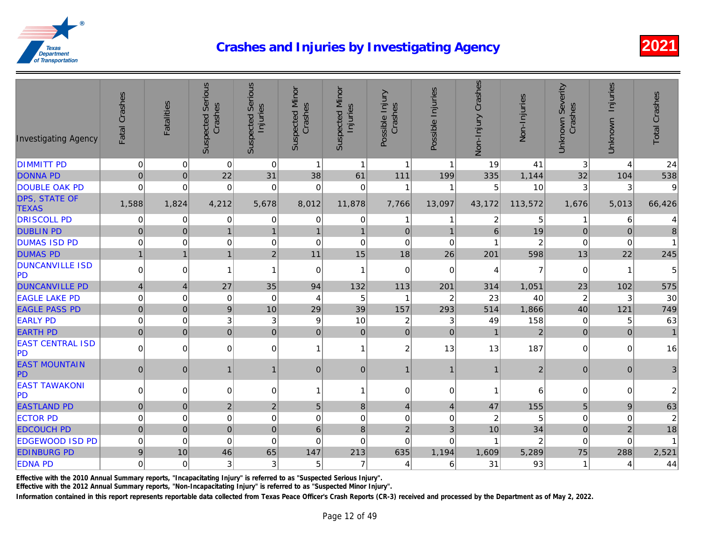| <b>Investigating Agency</b>          | Fatal Crashes    | Fatalities     | <b>Suspected Serious</b><br>Crashes | <b>Suspected Serious</b><br>Injuries | <b>Suspected Minor</b><br>Crashes | <b>Suspected Minor</b><br>Injuries | Possible Injury<br>Crashes | Possible Injuries       | Non-Injury Crashes | Non-Injuries   |
|--------------------------------------|------------------|----------------|-------------------------------------|--------------------------------------|-----------------------------------|------------------------------------|----------------------------|-------------------------|--------------------|----------------|
| <b>DIMMITT PD</b>                    | $\pmb{0}$        | $\Omega$       | $\mathbf 0$                         | $\mathbf 0$                          | $\mathbf{1}$                      | $\mathbf{1}$                       | $\mathbf{1}$               | $\mathbf{1}$            | 19                 | 41             |
| <b>DONNA PD</b>                      | $\mathbf 0$      | $\pmb{0}$      | 22                                  | 31                                   | 38                                | 61                                 | 111                        | 199                     | 335                | 1,144          |
| <b>DOUBLE OAK PD</b>                 | $\Omega$         | $\mathbf 0$    | 0                                   | $\Omega$                             | 0                                 | $\Omega$                           |                            | $\overline{1}$          | 5                  | 10             |
| <b>DPS, STATE OF</b><br><b>TEXAS</b> | 1,588            | 1,824          | 4,212                               | 5,678                                | 8,012                             | 11,878                             | 7,766                      | 13,097                  | 43,172             | 113,572        |
| <b>DRISCOLL PD</b>                   | 0                | 0              | 0                                   | 0                                    | 0                                 | $\overline{0}$                     | 1                          | 1                       | 2                  |                |
| <b>DUBLIN PD</b>                     | $\pmb{0}$        | $\mathbf 0$    | $\mathbf{1}$                        | $\overline{1}$                       | $\mathbf{1}$                      | $\mathbf{1}$                       | $\mathbf{0}$               | $\mathbf{1}$            | 6                  | 19             |
| <b>DUMAS ISD PD</b>                  | $\pmb{0}$        | 0              | 0                                   | 0                                    | 0                                 | 0                                  | $\mathbf 0$                | $\mathbf 0$             | 1                  |                |
| <b>DUMAS PD</b>                      | $\mathbf{1}$     | $\overline{1}$ | $\mathbf{1}$                        | $\overline{2}$                       | 11                                | 15                                 | 18                         | 26                      | 201                | 598            |
| <b>DUNCANVILLE ISD</b><br>PD         | 0                | $\overline{0}$ | $\mathbf{1}$                        | $\mathbf{1}$                         | 0                                 | $\mathbf{1}$                       | 0                          | $\mathbf 0$             | 4                  |                |
| <b>DUNCANVILLE PD</b>                | $\overline{4}$   | $\overline{4}$ | 27                                  | 35                                   | 94                                | 132                                | 113                        | 201                     | 314                | 1,051          |
| <b>EAGLE LAKE PD</b>                 | $\mathbf 0$      | $\mathbf 0$    | $\pmb{0}$                           | $\mathbf 0$                          | 4                                 | 5                                  | -1                         | $\overline{c}$          | 23                 | 40             |
| <b>EAGLE PASS PD</b>                 | $\mathbf 0$      | $\pmb{0}$      | $\mathsf g$                         | 10                                   | 29                                | 39                                 | 157                        | 293                     | 514                | 1,866          |
| <b>EARLY PD</b>                      | $\mathbf 0$      | $\mathbf 0$    | $\ensuremath{\mathsf{3}}$           | 3                                    | $\boldsymbol{9}$                  | 10                                 | $\boldsymbol{2}$           | 3                       | 49                 | 158            |
| <b>EARTH PD</b>                      | $\pmb{0}$        | 0              | $\mathbf 0$                         | $\mathbf 0$                          | $\overline{0}$                    | 0                                  | $\overline{0}$             | $\overline{0}$          | $\overline{1}$     | $\overline{c}$ |
| <b>EAST CENTRAL ISD</b><br><b>PD</b> | $\pmb{0}$        | $\overline{0}$ | $\mathbf 0$                         | 0                                    | $\mathbf{1}$                      | $\mathbf{1}$                       | $\overline{c}$             | 13                      | 13                 | 187            |
| <b>EAST MOUNTAIN</b><br>PD           | $\pmb{0}$        | 0              | $\mathbf{1}$                        | 1                                    | $\overline{0}$                    | 0                                  | $\mathbf{1}$               | $\mathbf{1}$            | $\mathbf{1}$       |                |
| <b>EAST TAWAKONI</b><br><b>PD</b>    | $\mathbf 0$      | $\overline{0}$ | 0                                   | 0                                    | $\overline{1}$                    | 1                                  | $\mathbf 0$                | $\mathbf 0$             | $\mathbf{1}$       | R              |
| <b>EASTLAND PD</b>                   | $\mathbf 0$      | $\mathbf{0}$   | $\overline{2}$                      | $\overline{2}$                       | 5                                 | 8                                  | $\overline{4}$             | $\overline{\mathbf{4}}$ | 47                 | 155            |
| <b>ECTOR PD</b>                      | $\mathbf 0$      | 0              | $\pmb{0}$                           | 0                                    | $\mathbf 0$                       | 0                                  | $\pmb{0}$                  | $\mathbf 0$             | $\boldsymbol{2}$   |                |
| <b>EDCOUCH PD</b>                    | $\pmb{0}$        | $\mathbf 0$    | $\mathbf 0$                         | $\mathbf 0$                          | $6\phantom{1}$                    | 8                                  | $\overline{2}$             | 3                       | 10                 | 34             |
| <b>EDGEWOOD ISD PD</b>               | $\mathbf 0$      | $\mathbf 0$    | $\mathbf 0$                         | $\mathbf 0$                          | $\Omega$                          | $\Omega$                           | $\mathbf 0$                | $\mathbf 0$             | $\overline{1}$     |                |
| <b>EDINBURG PD</b>                   | $\boldsymbol{9}$ | 10             | 46                                  | 65                                   | 147                               | 213                                | 635                        | 1,194                   | 1,609              | 5,289          |
| <b>EDNA PD</b>                       | $\mathbf 0$      | $\Omega$       | 3                                   | 3                                    | 5                                 | $\overline{7}$                     | $\overline{4}$             | 6                       | 31                 | 93             |
|                                      |                  |                |                                     |                                      |                                   |                                    |                            |                         |                    |                |

Effective with the 2010 Annual Summary reports, "Incapacitating Injury" is referred to as "Suspected Serious Injury".

Effective with the 2012 Annual Summary reports, "Non-Incapacitating Injury" is referred to as "Suspected Minor Injury".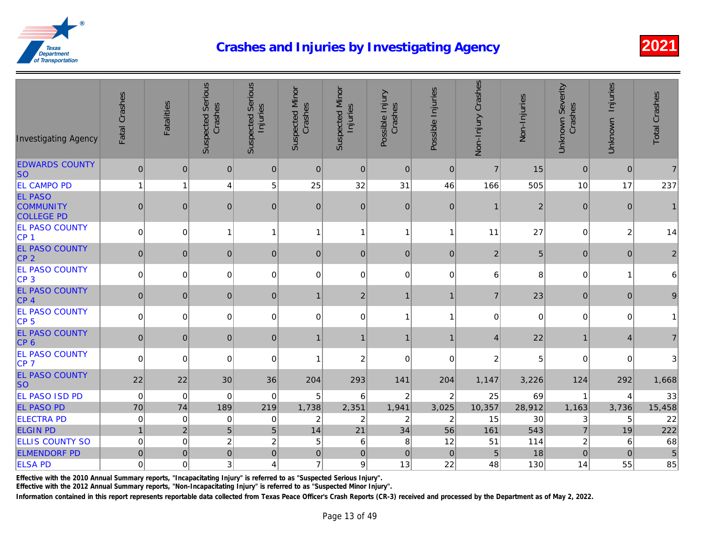| <b>Investigating Agency</b>                             | Fatal Crashes  | Fatalities     | <b>Suspected Serious</b><br>Crashes | <b>Suspected Serious</b><br>Injuries | <b>Suspected Minor</b><br>Crashes | <b>Suspected Minor</b><br>Injuries | Possible Injury<br>Crashes | Possible Injuries | Non-Injury Crashes      | Non-Injuries |
|---------------------------------------------------------|----------------|----------------|-------------------------------------|--------------------------------------|-----------------------------------|------------------------------------|----------------------------|-------------------|-------------------------|--------------|
| <b>EDWARDS COUNTY</b><br><b>SO</b>                      | $\pmb{0}$      | $\mathbf 0$    | $\mathbf 0$                         | 0                                    | $\overline{0}$                    | 0                                  | 0                          | $\mathbf 0$       | $\overline{7}$          | 15           |
| <b>EL CAMPO PD</b>                                      | $\mathbf{1}$   | $\mathbf{1}$   | 4                                   | 5                                    | 25                                | 32                                 | 31                         | 46                | 166                     | 505          |
| <b>EL PASO</b><br><b>COMMUNITY</b><br><b>COLLEGE PD</b> | $\pmb{0}$      | $\mathbf 0$    | 0                                   | $\pmb{0}$                            | $\mathbf{0}$                      | 0                                  | $\mathbf 0$                | $\pmb{0}$         | $\mathbf{1}$            |              |
| <b>EL PASO COUNTY</b><br>CP <sub>1</sub>                | $\pmb{0}$      | $\mathbf 0$    | $\overline{1}$                      | 1                                    | $\mathbf{1}$                      | $\mathbf{1}$                       | $\mathbf{1}$               | $\mathbf{1}$      | 11                      | 27           |
| <b>EL PASO COUNTY</b><br>CP <sub>2</sub>                | $\mathbf 0$    | $\mathbf 0$    | $\mathbf{0}$                        | $\mathbf 0$                          | $\overline{0}$                    | 0                                  | $\mathbf 0$                | $\mathbf 0$       | $\overline{2}$          |              |
| <b>EL PASO COUNTY</b><br>CP <sub>3</sub>                | $\mathbf 0$    | 0              | 0                                   | $\Omega$                             | 0                                 | $\Omega$                           | $\mathbf 0$                | $\mathbf 0$       | 6                       |              |
| <b>EL PASO COUNTY</b><br>CP <sub>4</sub>                | $\mathbf 0$    | 0              | $\mathbf{0}$                        | $\mathbf{0}$                         | $\mathbf{1}$                      | 2 <sup>1</sup>                     | $\mathbf{1}$               | $\mathbf{1}$      | $\overline{7}$          | 23           |
| <b>EL PASO COUNTY</b><br>CP <sub>5</sub>                | 0              | 0              | 0                                   | 0                                    | $\mathbf 0$                       | 0                                  | $\mathbf{1}$               | $\mathbf{1}$      | $\mathsf 0$             | $\Omega$     |
| <b>EL PASO COUNTY</b><br>CP <sub>6</sub>                | $\mathbf 0$    | 0              | $\mathbf{0}$                        | $\mathbf 0$                          | $\mathbf 1$                       | $\mathbf{1}$                       | $\mathbf{1}$               | 1                 | $\overline{4}$          | 22           |
| <b>EL PASO COUNTY</b><br>CP 7                           | $\pmb{0}$      | $\Omega$       | 0                                   | 0                                    | $\overline{1}$                    | $\overline{c}$                     | 0                          | $\pmb{0}$         | $\overline{\mathbf{c}}$ |              |
| <b>EL PASO COUNTY</b><br><b>SO</b>                      | 22             | 22             | 30                                  | 36                                   | 204                               | 293                                | 141                        | 204               | 1,147                   | 3,226        |
| <b>EL PASO ISD PD</b>                                   | $\mathbf 0$    | $\pmb{0}$      | $\pmb{0}$                           | 0                                    | 5                                 | 6                                  | $\boldsymbol{2}$           | $\overline{c}$    | 25                      | 69           |
| <b>EL PASO PD</b>                                       | 70             | 74             | 189                                 | 219                                  | 1,738                             | 2,351                              | 1,941                      | 3,025             | 10,357                  | 28,912       |
| <b>ELECTRA PD</b>                                       | $\pmb{0}$      | $\mathbf 0$    | 0                                   | 0                                    | $\boldsymbol{2}$                  | $\overline{c}$                     | $\boldsymbol{2}$           | $\overline{c}$    | 15                      | 30           |
| <b>ELGIN PD</b>                                         | $\overline{1}$ | $\overline{2}$ | 5                                   | 5                                    | 14                                | 21                                 | 34                         | 56                | 161                     | 543          |
| <b>ELLIS COUNTY SO</b>                                  | $\pmb{0}$      | $\pmb{0}$      | $\overline{c}$                      | $\overline{c}$                       | 5                                 | 6                                  | 8                          | 12                | 51                      | 114          |
| <b>ELMENDORF PD</b>                                     | $\pmb{0}$      | $\pmb{0}$      | $\pmb{0}$                           | $\pmb{0}$                            | $\pmb{0}$                         | 0                                  | $\pmb{0}$                  | $\mathbf 0$       | $\sqrt{5}$              | 18           |
| <b>ELSA PD</b>                                          | $\pmb{0}$      | $\overline{0}$ | $\ensuremath{\mathsf{3}}$           | $\overline{4}$                       | $\overline{7}$                    | 9                                  | 13                         | 22                | 48                      | 130          |

Effective with the 2010 Annual Summary reports, "Incapacitating Injury" is referred to as "Suspected Serious Injury".

Effective with the 2012 Annual Summary reports, "Non-Incapacitating Injury" is referred to as "Suspected Minor Injury".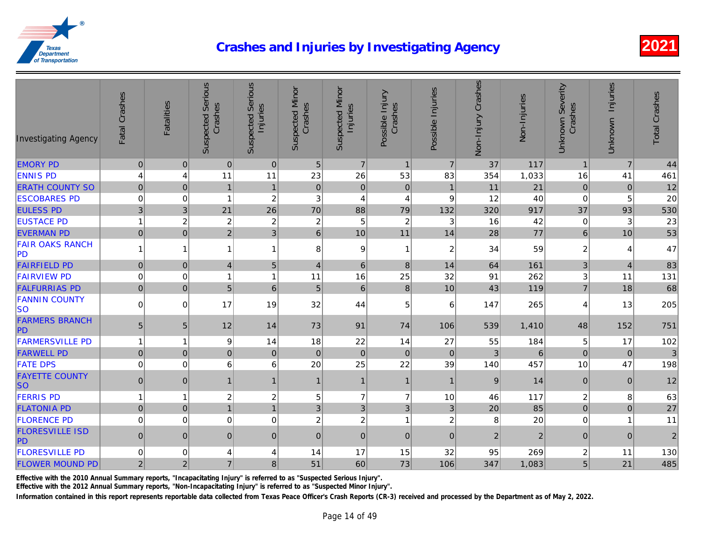| <b>Investigating Agency</b>         | Fatal Crashes    | <b>Fatalities</b> | <b>Suspected Serious</b><br>Crashes | <b>Suspected Serious</b><br>Injuries | <b>Suspected Minor</b><br>Crashes | <b>Suspected Minor</b><br>Injuries | Possible Injury<br>Crashes | Possible Injuries | Non-Injury Crashes | Non-Injuries   |
|-------------------------------------|------------------|-------------------|-------------------------------------|--------------------------------------|-----------------------------------|------------------------------------|----------------------------|-------------------|--------------------|----------------|
| <b>EMORY PD</b>                     | $\bf 0$          | $\pmb{0}$         | $\pmb{0}$                           | $\mathbf 0$                          | 5                                 | $\overline{7}$                     | $\mathbf{1}$               | $\overline{7}$    | 37                 | 117            |
| <b>ENNIS PD</b>                     | $\overline{4}$   | $\overline{4}$    | 11                                  | 11                                   | 23                                | 26                                 | 53                         | 83                | 354                | 1,033          |
| <b>ERATH COUNTY SO</b>              | $\mathbf 0$      | $\mathbf 0$       | $\mathbf{1}$                        | $\mathbf{1}$                         | $\pmb{0}$                         | $\pmb{0}$                          | $\pmb{0}$                  | $\mathbf{1}$      | 11                 | 21             |
| <b>ESCOBARES PD</b>                 | $\mathbf 0$      | $\mathbf 0$       | $\overline{1}$                      | $\boldsymbol{2}$                     | 3                                 | 4                                  | 4                          | $\boldsymbol{9}$  | 12                 | 40             |
| <b>EULESS PD</b>                    | $\mathsf 3$      | 3                 | 21                                  | 26                                   | $70\,$                            | 88                                 | 79                         | 132               | 320                | 917            |
| <b>EUSTACE PD</b>                   | $\mathbf{1}$     | $\overline{c}$    | $\overline{c}$                      | $\overline{c}$                       | $\overline{\mathbf{c}}$           | 5                                  | $\overline{c}$             | 3                 | 16                 | 42             |
| <b>EVERMAN PD</b>                   | $\mathbf 0$      | $\mathbf 0$       | $\overline{2}$                      | 3                                    | $6\phantom{1}$                    | 10                                 | 11                         | 14                | 28                 | 77             |
| <b>FAIR OAKS RANCH</b><br><b>PD</b> | $\mathbf{1}$     | $\mathbf{1}$      | $\mathbf{1}$                        | $\mathbf{1}$                         | 8                                 | 9                                  | $\mathbf{1}$               | $\boldsymbol{2}$  | 34                 | 59             |
| <b>FAIRFIELD PD</b>                 | $\boldsymbol{0}$ | $\pmb{0}$         | $\overline{\mathbf{4}}$             | 5                                    | $\overline{\mathbf{4}}$           | $\,6\,$                            | $\bf 8$                    | 14                | 64                 | 161            |
| <b>FAIRVIEW PD</b>                  | $\mathbf 0$      | $\mathbf 0$       | $\mathbf{1}$                        | $\overline{1}$                       | 11                                | 16                                 | 25                         | 32                | 91                 | 262            |
| <b>FALFURRIAS PD</b>                | $\mathbf 0$      | $\mathbf 0$       | 5                                   | 6                                    | 5                                 | $6\phantom{1}$                     | $\bf{8}$                   | 10                | 43                 | 119            |
| <b>FANNIN COUNTY</b><br><b>SO</b>   | $\mathbf 0$      | $\mathbf 0$       | 17                                  | 19                                   | 32                                | 44                                 | 5                          | 6                 | 147                | 265            |
| <b>FARMERS BRANCH</b><br>PD         | $\sqrt{5}$       | $5\phantom{.0}$   | 12                                  | 14                                   | 73                                | 91                                 | 74                         | 106               | 539                | 1,410          |
| <b>FARMERSVILLE PD</b>              | $\mathbf{1}$     | $\overline{1}$    | $\boldsymbol{9}$                    | 14                                   | 18                                | 22                                 | 14                         | 27                | 55                 | 184            |
| <b>FARWELL PD</b>                   | $\pmb{0}$        | $\pmb{0}$         | $\pmb{0}$                           | $\mathbf{0}$                         | $\pmb{0}$                         | $\pmb{0}$                          | $\pmb{0}$                  | $\boldsymbol{0}$  | $\mathfrak{B}$     | 6              |
| <b>FATE DPS</b>                     | $\mathbf 0$      | $\mathbf 0$       | 6                                   | 6                                    | 20                                | 25                                 | 22                         | 39                | 140                | 457            |
| <b>FAYETTE COUNTY</b><br><b>SO</b>  | $\pmb{0}$        | $\pmb{0}$         | $\mathbf{1}$                        | $\mathbf{1}$                         | $\mathbf{1}$                      | $\mathbf{1}$                       | $\mathbf{1}$               | $\mathbf{1}$      | $\boldsymbol{9}$   | 14             |
| <b>FERRIS PD</b>                    | $\mathbf{1}$     | $\overline{1}$    | $\overline{c}$                      | 2                                    | 5                                 | $\overline{7}$                     | $\overline{7}$             | 10                | 46                 | 117            |
| <b>FLATONIA PD</b>                  | $\bf 0$          | $\pmb{0}$         | $\mathbf{1}$                        | $\mathbf{1}$                         | 3                                 | 3 <sup>1</sup>                     | $\ensuremath{\mathsf{3}}$  | $\sqrt{3}$        | 20                 | 85             |
| <b>FLORENCE PD</b>                  | $\mathbf 0$      | $\Omega$          | $\mathbf 0$                         | $\mathbf 0$                          | $\overline{c}$                    | $\overline{c}$                     | $\overline{1}$             | $\overline{c}$    | 8                  | 20             |
| <b>FLORESVILLE ISD</b><br>PD        | $\mathbf 0$      | $\mathbf 0$       | 0                                   | $\mathbf{0}$                         | $\pmb{0}$                         | $\overline{0}$                     | $\mathbf 0$                | $\mathbf 0$       | $\overline{2}$     | $\overline{c}$ |
| <b>FLORESVILLE PD</b>               | $\mathbf 0$      | $\mathbf 0$       | 4                                   | 4                                    | 14                                | 17                                 | 15                         | 32                | 95                 | 269            |
| <b>FLOWER MOUND PD</b>              | 2                | $\overline{2}$    | $\overline{7}$                      | 8                                    | 51                                | 60                                 | 73                         | 106               | 347                | 1,083          |

Effective with the 2010 Annual Summary reports, "Incapacitating Injury" is referred to as "Suspected Serious Injury".

Effective with the 2012 Annual Summary reports, "Non-Incapacitating Injury" is referred to as "Suspected Minor Injury".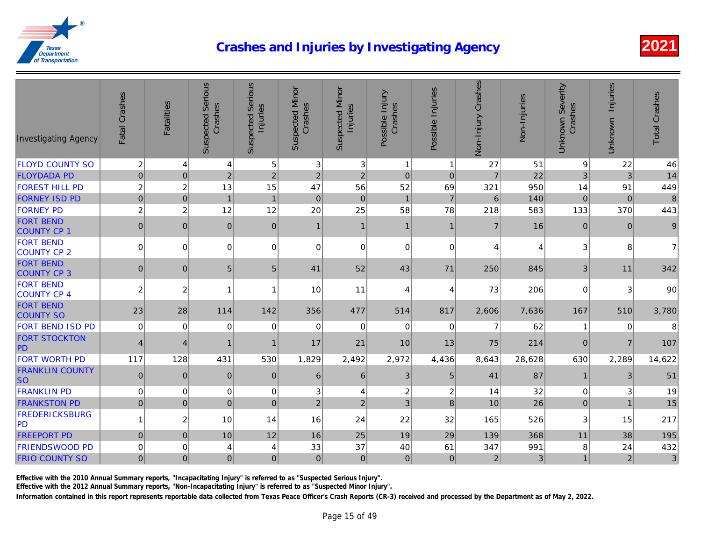| <b>FLOYD COUNTY SO</b><br>$\overline{2}$<br>5<br>3<br>3 <br>4<br>$\mathbf{1}$<br>27<br>51<br>4<br>$\mathbf{1}$<br>22<br>$\overline{7}$<br>$\mathbf 0$<br>$\overline{2}$<br>$\overline{2}$<br>$\mathbf 0$<br><b>FLOYDADA PD</b><br>$\overline{0}$<br>$\overline{2}$<br>$\overline{c}$<br>$\mathbf 0$<br><b>FOREST HILL PD</b><br>$\sqrt{2}$<br>$\overline{c}$<br>13<br>47<br>52<br>15<br>56<br>69<br>321<br>950<br><b>FORNEY ISD PD</b><br>$\pmb{0}$<br>$\overline{7}$<br>$\,6$<br>140<br>$\boldsymbol{0}$<br>$\mathbf{1}$<br>$\mathbf{1}$<br>$\pmb{0}$<br>$\mathbf 0$<br>$\mathbf{1}$<br>$\overline{c}$<br>$\overline{c}$<br>12<br>20<br>25<br>58<br>583<br><b>FORNEY PD</b><br>12<br>78<br>218<br><b>FORT BEND</b><br>16<br> 0 <br>$\mathbf{0}$<br>$\mathbf{0}$<br>$\mathbf{0}$<br>$\overline{7}$<br>$\mathbf{1}$<br>$\mathbf{1}$<br>$\mathbf{1}$<br>$\mathbf{1}$<br><b>COUNTY CP 1</b><br><b>FORT BEND</b><br>$\overline{0}$<br>0<br> 0 <br>$\Omega$<br>$\Omega$<br>$\mathbf 0$<br>$\Omega$<br>$\Omega$<br>4<br>COUNTY CP 2<br><b>FORT BEND</b><br>5<br>$5\phantom{.0}$<br>845<br> 0 <br>$\mathbf{0}$<br>41<br>52<br>43<br>71<br>250<br><b>COUNTY CP 3</b><br><b>FORT BEND</b><br>$\overline{2}$<br>$\overline{2}$<br>11<br>10<br>73<br>206<br>1<br>4<br>$\overline{4}$<br>f<br><b>COUNTY CP 4</b><br><b>FORT BEND</b><br>23<br>28<br>114<br>142<br>356<br>477<br>514<br>817<br>2,606<br>7,636<br><b>COUNTY SO</b><br><b>FORT BEND ISD PD</b><br>62<br>$\mathbf 0$<br>$\mathbf 0$<br>0<br>$\mathbf 0$<br>0<br>$\mathbf 0$<br>0<br>$\mathbf 0$<br>$\overline{7}$<br><b>FORT STOCKTON</b><br>21<br>10<br>214<br>$\overline{4}$<br>17<br>13<br>75<br>4<br>1<br>PD<br><b>FORT WORTH PD</b><br>117<br>2,492<br>128<br>431<br>530<br>1,829<br>2,972<br>4,436<br>8,643<br>28,628<br><b>FRANKLIN COUNTY</b><br>87<br>$\pmb{0}$<br>$\sqrt{3}$<br>5<br>$\mathbf{0}$<br>$\mathbf 0$<br>$\mathbf{0}$<br>$6 \mid$<br>6<br>41<br><b>SO</b><br><b>FRANKLIN PD</b><br>$\boldsymbol{2}$<br>32<br>$\mathbf 0$<br>$\mathbf 0$<br>0<br>0<br>3<br>$\overline{c}$<br>14<br>4<br>26<br>$\overline{0}$<br>2 <sup>1</sup><br>$\overline{2}$<br>3 <sup>1</sup><br>8<br>10<br><b>FRANKSTON PD</b><br>$\Omega$<br>$\Omega$<br>$\Omega$<br><b>FREDERICKSBURG</b><br>$\mathbf{1}$<br>$\overline{c}$<br>10<br>24<br>22<br>526<br>14<br>16<br>32<br>165<br> PD <br><b>FREEPORT PD</b><br>$\overline{0}$<br>12<br>368<br>$\mathbf{0}$<br>10<br>16<br>25<br>19<br>29<br>139<br><b>FRIENDSWOOD PD</b><br>$\Omega$<br>33<br>37<br>40<br>61<br>347<br>991<br>0<br>4<br>4 | <b>Investigating Agency</b> | Fatal Crashes  | <b>Fatalities</b> | <b>Suspected Serious</b><br>Crashes | <b>Suspected Serious</b><br>Injuries | Suspected Minor<br>Crashes | <b>Suspected Minor</b><br>Injuries | Possible Injury<br>Crashes | Possible Injuries | Non-Injury Crashes | Non-Injuries |
|---------------------------------------------------------------------------------------------------------------------------------------------------------------------------------------------------------------------------------------------------------------------------------------------------------------------------------------------------------------------------------------------------------------------------------------------------------------------------------------------------------------------------------------------------------------------------------------------------------------------------------------------------------------------------------------------------------------------------------------------------------------------------------------------------------------------------------------------------------------------------------------------------------------------------------------------------------------------------------------------------------------------------------------------------------------------------------------------------------------------------------------------------------------------------------------------------------------------------------------------------------------------------------------------------------------------------------------------------------------------------------------------------------------------------------------------------------------------------------------------------------------------------------------------------------------------------------------------------------------------------------------------------------------------------------------------------------------------------------------------------------------------------------------------------------------------------------------------------------------------------------------------------------------------------------------------------------------------------------------------------------------------------------------------------------------------------------------------------------------------------------------------------------------------------------------------------------------------------------------------------------------------------------------------------------------------------------------------------------------------------------------------------------------------------------------------------------------------------------------------------------------------------------------|-----------------------------|----------------|-------------------|-------------------------------------|--------------------------------------|----------------------------|------------------------------------|----------------------------|-------------------|--------------------|--------------|
|                                                                                                                                                                                                                                                                                                                                                                                                                                                                                                                                                                                                                                                                                                                                                                                                                                                                                                                                                                                                                                                                                                                                                                                                                                                                                                                                                                                                                                                                                                                                                                                                                                                                                                                                                                                                                                                                                                                                                                                                                                                                                                                                                                                                                                                                                                                                                                                                                                                                                                                                       |                             |                |                   |                                     |                                      |                            |                                    |                            |                   |                    |              |
|                                                                                                                                                                                                                                                                                                                                                                                                                                                                                                                                                                                                                                                                                                                                                                                                                                                                                                                                                                                                                                                                                                                                                                                                                                                                                                                                                                                                                                                                                                                                                                                                                                                                                                                                                                                                                                                                                                                                                                                                                                                                                                                                                                                                                                                                                                                                                                                                                                                                                                                                       |                             |                |                   |                                     |                                      |                            |                                    |                            |                   |                    |              |
|                                                                                                                                                                                                                                                                                                                                                                                                                                                                                                                                                                                                                                                                                                                                                                                                                                                                                                                                                                                                                                                                                                                                                                                                                                                                                                                                                                                                                                                                                                                                                                                                                                                                                                                                                                                                                                                                                                                                                                                                                                                                                                                                                                                                                                                                                                                                                                                                                                                                                                                                       |                             |                |                   |                                     |                                      |                            |                                    |                            |                   |                    |              |
|                                                                                                                                                                                                                                                                                                                                                                                                                                                                                                                                                                                                                                                                                                                                                                                                                                                                                                                                                                                                                                                                                                                                                                                                                                                                                                                                                                                                                                                                                                                                                                                                                                                                                                                                                                                                                                                                                                                                                                                                                                                                                                                                                                                                                                                                                                                                                                                                                                                                                                                                       |                             |                |                   |                                     |                                      |                            |                                    |                            |                   |                    |              |
|                                                                                                                                                                                                                                                                                                                                                                                                                                                                                                                                                                                                                                                                                                                                                                                                                                                                                                                                                                                                                                                                                                                                                                                                                                                                                                                                                                                                                                                                                                                                                                                                                                                                                                                                                                                                                                                                                                                                                                                                                                                                                                                                                                                                                                                                                                                                                                                                                                                                                                                                       |                             |                |                   |                                     |                                      |                            |                                    |                            |                   |                    |              |
|                                                                                                                                                                                                                                                                                                                                                                                                                                                                                                                                                                                                                                                                                                                                                                                                                                                                                                                                                                                                                                                                                                                                                                                                                                                                                                                                                                                                                                                                                                                                                                                                                                                                                                                                                                                                                                                                                                                                                                                                                                                                                                                                                                                                                                                                                                                                                                                                                                                                                                                                       |                             |                |                   |                                     |                                      |                            |                                    |                            |                   |                    |              |
|                                                                                                                                                                                                                                                                                                                                                                                                                                                                                                                                                                                                                                                                                                                                                                                                                                                                                                                                                                                                                                                                                                                                                                                                                                                                                                                                                                                                                                                                                                                                                                                                                                                                                                                                                                                                                                                                                                                                                                                                                                                                                                                                                                                                                                                                                                                                                                                                                                                                                                                                       |                             |                |                   |                                     |                                      |                            |                                    |                            |                   |                    |              |
|                                                                                                                                                                                                                                                                                                                                                                                                                                                                                                                                                                                                                                                                                                                                                                                                                                                                                                                                                                                                                                                                                                                                                                                                                                                                                                                                                                                                                                                                                                                                                                                                                                                                                                                                                                                                                                                                                                                                                                                                                                                                                                                                                                                                                                                                                                                                                                                                                                                                                                                                       |                             |                |                   |                                     |                                      |                            |                                    |                            |                   |                    |              |
|                                                                                                                                                                                                                                                                                                                                                                                                                                                                                                                                                                                                                                                                                                                                                                                                                                                                                                                                                                                                                                                                                                                                                                                                                                                                                                                                                                                                                                                                                                                                                                                                                                                                                                                                                                                                                                                                                                                                                                                                                                                                                                                                                                                                                                                                                                                                                                                                                                                                                                                                       |                             |                |                   |                                     |                                      |                            |                                    |                            |                   |                    |              |
|                                                                                                                                                                                                                                                                                                                                                                                                                                                                                                                                                                                                                                                                                                                                                                                                                                                                                                                                                                                                                                                                                                                                                                                                                                                                                                                                                                                                                                                                                                                                                                                                                                                                                                                                                                                                                                                                                                                                                                                                                                                                                                                                                                                                                                                                                                                                                                                                                                                                                                                                       |                             |                |                   |                                     |                                      |                            |                                    |                            |                   |                    |              |
|                                                                                                                                                                                                                                                                                                                                                                                                                                                                                                                                                                                                                                                                                                                                                                                                                                                                                                                                                                                                                                                                                                                                                                                                                                                                                                                                                                                                                                                                                                                                                                                                                                                                                                                                                                                                                                                                                                                                                                                                                                                                                                                                                                                                                                                                                                                                                                                                                                                                                                                                       |                             |                |                   |                                     |                                      |                            |                                    |                            |                   |                    |              |
|                                                                                                                                                                                                                                                                                                                                                                                                                                                                                                                                                                                                                                                                                                                                                                                                                                                                                                                                                                                                                                                                                                                                                                                                                                                                                                                                                                                                                                                                                                                                                                                                                                                                                                                                                                                                                                                                                                                                                                                                                                                                                                                                                                                                                                                                                                                                                                                                                                                                                                                                       |                             |                |                   |                                     |                                      |                            |                                    |                            |                   |                    |              |
|                                                                                                                                                                                                                                                                                                                                                                                                                                                                                                                                                                                                                                                                                                                                                                                                                                                                                                                                                                                                                                                                                                                                                                                                                                                                                                                                                                                                                                                                                                                                                                                                                                                                                                                                                                                                                                                                                                                                                                                                                                                                                                                                                                                                                                                                                                                                                                                                                                                                                                                                       |                             |                |                   |                                     |                                      |                            |                                    |                            |                   |                    |              |
|                                                                                                                                                                                                                                                                                                                                                                                                                                                                                                                                                                                                                                                                                                                                                                                                                                                                                                                                                                                                                                                                                                                                                                                                                                                                                                                                                                                                                                                                                                                                                                                                                                                                                                                                                                                                                                                                                                                                                                                                                                                                                                                                                                                                                                                                                                                                                                                                                                                                                                                                       |                             |                |                   |                                     |                                      |                            |                                    |                            |                   |                    |              |
|                                                                                                                                                                                                                                                                                                                                                                                                                                                                                                                                                                                                                                                                                                                                                                                                                                                                                                                                                                                                                                                                                                                                                                                                                                                                                                                                                                                                                                                                                                                                                                                                                                                                                                                                                                                                                                                                                                                                                                                                                                                                                                                                                                                                                                                                                                                                                                                                                                                                                                                                       |                             |                |                   |                                     |                                      |                            |                                    |                            |                   |                    |              |
|                                                                                                                                                                                                                                                                                                                                                                                                                                                                                                                                                                                                                                                                                                                                                                                                                                                                                                                                                                                                                                                                                                                                                                                                                                                                                                                                                                                                                                                                                                                                                                                                                                                                                                                                                                                                                                                                                                                                                                                                                                                                                                                                                                                                                                                                                                                                                                                                                                                                                                                                       |                             |                |                   |                                     |                                      |                            |                                    |                            |                   |                    |              |
|                                                                                                                                                                                                                                                                                                                                                                                                                                                                                                                                                                                                                                                                                                                                                                                                                                                                                                                                                                                                                                                                                                                                                                                                                                                                                                                                                                                                                                                                                                                                                                                                                                                                                                                                                                                                                                                                                                                                                                                                                                                                                                                                                                                                                                                                                                                                                                                                                                                                                                                                       |                             |                |                   |                                     |                                      |                            |                                    |                            |                   |                    |              |
|                                                                                                                                                                                                                                                                                                                                                                                                                                                                                                                                                                                                                                                                                                                                                                                                                                                                                                                                                                                                                                                                                                                                                                                                                                                                                                                                                                                                                                                                                                                                                                                                                                                                                                                                                                                                                                                                                                                                                                                                                                                                                                                                                                                                                                                                                                                                                                                                                                                                                                                                       |                             |                |                   |                                     |                                      |                            |                                    |                            |                   |                    |              |
|                                                                                                                                                                                                                                                                                                                                                                                                                                                                                                                                                                                                                                                                                                                                                                                                                                                                                                                                                                                                                                                                                                                                                                                                                                                                                                                                                                                                                                                                                                                                                                                                                                                                                                                                                                                                                                                                                                                                                                                                                                                                                                                                                                                                                                                                                                                                                                                                                                                                                                                                       |                             |                |                   |                                     |                                      |                            |                                    |                            |                   |                    |              |
|                                                                                                                                                                                                                                                                                                                                                                                                                                                                                                                                                                                                                                                                                                                                                                                                                                                                                                                                                                                                                                                                                                                                                                                                                                                                                                                                                                                                                                                                                                                                                                                                                                                                                                                                                                                                                                                                                                                                                                                                                                                                                                                                                                                                                                                                                                                                                                                                                                                                                                                                       | <b>FRIO COUNTY SO</b>       | $\overline{0}$ | $\mathbf 0$       | $\pmb{0}$                           | $\mathbf{0}$                         | 0                          | $\mathbf{0}$                       | $\pmb{0}$                  | $\mathbf{0}$      | $\overline{2}$     |              |

Effective with the 2010 Annual Summary reports, "Incapacitating Injury" is referred to as "Suspected Serious Injury".

Effective with the 2012 Annual Summary reports, "Non-Incapacitating Injury" is referred to as "Suspected Minor Injury".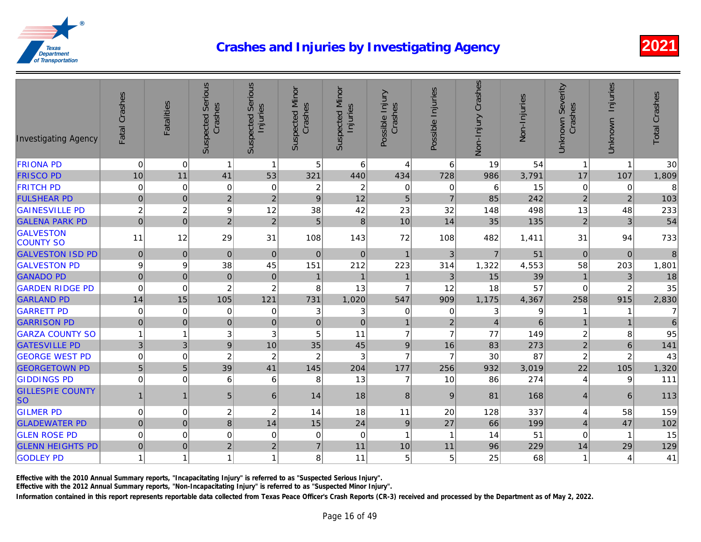| <b>Investigating Agency</b>          | Fatal Crashes    | Fatalities       | <b>Suspected Serious</b><br>Crashes | <b>Suspected Serious</b><br>Injuries | Suspected Minor<br>Crashes | <b>Suspected Minor</b><br>Injuries | Possible Injury<br>Crashes | Possible Injuries | Non-Injury Crashes | Non-Injuries |
|--------------------------------------|------------------|------------------|-------------------------------------|--------------------------------------|----------------------------|------------------------------------|----------------------------|-------------------|--------------------|--------------|
| <b>FRIONA PD</b>                     | $\mathbf 0$      | $\mathbf 0$      | $\mathbf 1$                         | 1                                    | 5 <sup>1</sup>             | 6                                  | 4                          | 6                 | 19                 | 54           |
| <b>FRISCO PD</b>                     | 10               | 11               | 41                                  | 53                                   | 321                        | 440                                | 434                        | 728               | 986                | 3,791        |
| <b>FRITCH PD</b>                     | $\pmb{0}$        | $\mathbf 0$      | $\mathsf 0$                         | $\mathbf 0$                          | $\overline{\mathbf{c}}$    | $\overline{c}$                     | $\mathbf 0$                | $\mathbf 0$       | 6                  | 15           |
| <b>FULSHEAR PD</b>                   | $\overline{0}$   | $\mathbf 0$      | $\overline{2}$                      | $\overline{2}$                       | 9                          | 12                                 | 5                          | $\overline{7}$    | 85                 | 242          |
| <b>GAINESVILLE PD</b>                | $\sqrt{2}$       | $\boldsymbol{2}$ | $\boldsymbol{9}$                    | 12                                   | 38                         | 42                                 | 23                         | 32                | 148                | 498          |
| <b>GALENA PARK PD</b>                | $\mathbf 0$      | $\mathbf 0$      | $\overline{2}$                      | $\overline{2}$                       | $\overline{5}$             | $\bf 8$                            | 10                         | 14                | 35                 | 135          |
| <b>GALVESTON</b><br><b>COUNTY SO</b> | 11               | 12               | 29                                  | 31                                   | 108                        | 143                                | 72                         | 108               | 482                | 1,411        |
| <b>GALVESTON ISD PD</b>              | $\pmb{0}$        | $\mathbf{0}$     | $\pmb{0}$                           | $\mathbf{0}$                         | $\Omega$                   | $\mathbf{0}$                       | $\mathbf{1}$               | $\mathbf{3}$      | $\overline{7}$     | 51           |
| <b>GALVESTON PD</b>                  | $\boldsymbol{9}$ | 9                | 38                                  | 45                                   | 151                        | 212                                | 223                        | 314               | 1,322              | 4,553        |
| <b>GANADO PD</b>                     | $\mathbf 0$      | $\mathbf 0$      | $\pmb{0}$                           | $\mathbf{0}$                         | $\mathbf{1}$               | $\overline{1}$                     | $\mathbf{1}$               | $\mathfrak{Z}$    | 15                 | 39           |
| <b>GARDEN RIDGE PD</b>               | $\pmb{0}$        | $\mathbf 0$      | $\sqrt{2}$                          | $\overline{c}$                       | 8                          | 13                                 | $\overline{7}$             | 12                | 18                 | 57           |
| <b>GARLAND PD</b>                    | 14               | 15               | 105                                 | 121                                  | 731                        | 1,020                              | 547                        | 909               | 1,175              | 4,367        |
| <b>GARRETT PD</b>                    | $\pmb{0}$        | $\mathbf 0$      | 0                                   | $\mathbf 0$                          | 3                          | 3                                  | $\mathbf 0$                | $\mathbf 0$       | 3                  |              |
| <b>GARRISON PD</b>                   | $\overline{0}$   | $\mathbf{0}$     | $\pmb{0}$                           | $\mathbf{0}$                         | $\overline{0}$             | $\mathbf{0}$                       | $\mathbf{1}$               | $\overline{2}$    | $\vert 4 \vert$    |              |
| <b>GARZA COUNTY SO</b>               | $\mathbf{1}$     | $\overline{1}$   | 3                                   | 3                                    | 5                          | 11                                 | $\overline{7}$             | $\overline{7}$    | 77                 | 149          |
| <b>GATESVILLE PD</b>                 | $\mathfrak{3}$   | 3                | $\mathsf g$                         | 10                                   | 35                         | 45                                 | $\boldsymbol{9}$           | 16                | 83                 | 273          |
| <b>GEORGE WEST PD</b>                | $\pmb{0}$        | $\mathbf 0$      | $\boldsymbol{2}$                    | $\overline{c}$                       | $\boldsymbol{2}$           | 3                                  | $\overline{7}$             | $\overline{7}$    | 30                 | 87           |
| <b>GEORGETOWN PD</b>                 | 5 <sup>1</sup>   | 5                | 39                                  | 41                                   | 145                        | 204                                | 177                        | 256               | 932                | 3,019        |
| <b>GIDDINGS PD</b>                   | $\pmb{0}$        | $\mathbf 0$      | 6                                   | 6                                    | 8                          | 13                                 | $\overline{7}$             | 10                | 86                 | 274          |
| <b>GILLESPIE COUNTY</b><br><b>SO</b> | 1                | $\mathbf{1}$     | 5                                   | 6                                    | 14                         | 18                                 | 8                          | 9                 | 81                 | 168          |
| <b>GILMER PD</b>                     | $\mathbf 0$      | $\mathbf 0$      | $\overline{\mathbf{c}}$             | $\overline{c}$                       | 14                         | 18                                 | 11                         | 20                | 128                | 337          |
| <b>GLADEWATER PD</b>                 | $\overline{0}$   | $\mathbf 0$      | 8                                   | 14                                   | 15                         | 24                                 | $\boldsymbol{9}$           | 27                | 66                 | 199          |
| <b>GLEN ROSE PD</b>                  | $\pmb{0}$        | $\mathbf 0$      | $\mathbf 0$                         | $\mathbf 0$                          | 0                          | $\mathbf 0$                        | $\mathbf{1}$               | 1                 | 14                 | 51           |
| <b>GLENN HEIGHTS PD</b>              | $\mathbf 0$      | $\mathbf 0$      | $\overline{2}$                      | $\overline{2}$                       | $\overline{7}$             | 11                                 | 10                         | 11                | 96                 | 229          |
| <b>GODLEY PD</b>                     | $\mathbf{1}$     | 1                | $\overline{1}$                      | 1                                    | 8 <sub>1</sub>             | 11                                 | 5                          | 5                 | 25                 | 68           |

Effective with the 2010 Annual Summary reports, "Incapacitating Injury" is referred to as "Suspected Serious Injury".

Effective with the 2012 Annual Summary reports, "Non-Incapacitating Injury" is referred to as "Suspected Minor Injury".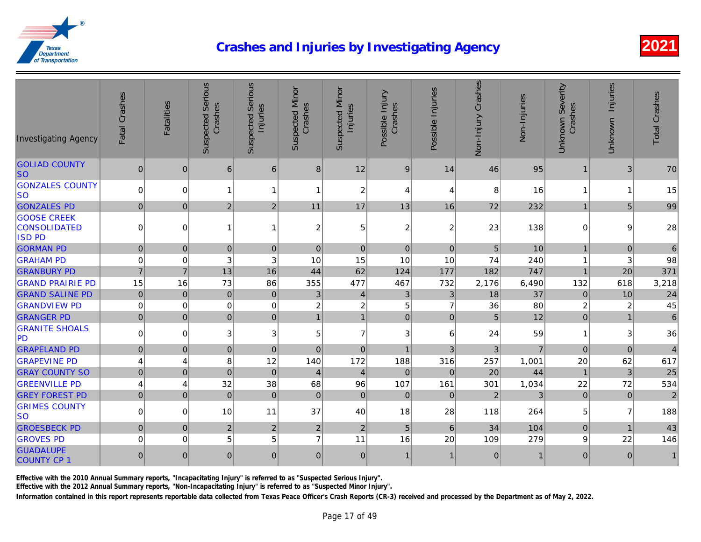| <b>Investigating Agency</b>                                | Fatal Crashes    | Fatalities     | <b>Suspected Serious</b><br>Crashes | <b>Suspected Serious</b><br>Injuries | <b>Suspected Minor</b><br>Crashes | <b>Suspected Minor</b><br>Injuries | Possible Injury<br>Crashes | Possible Injuries | Non-Injury Crashes | Non-Injuries |
|------------------------------------------------------------|------------------|----------------|-------------------------------------|--------------------------------------|-----------------------------------|------------------------------------|----------------------------|-------------------|--------------------|--------------|
|                                                            |                  |                |                                     |                                      |                                   |                                    |                            |                   |                    |              |
| <b>GOLIAD COUNTY</b><br><b>SO</b>                          | $\mathbf 0$      | 0              | 6                                   | $6\phantom{1}6$                      | 8                                 | 12                                 | 9                          | 14                | 46                 | 95           |
| <b>GONZALES COUNTY</b><br>lso                              | $\pmb{0}$        | $\Omega$       | 1                                   | 1                                    | 1                                 | $\overline{c}$                     | 4                          | 4                 | 8                  | 16           |
| <b>GONZALES PD</b>                                         | $\mathbf{0}$     | 0              | $\overline{2}$                      | $\overline{2}$                       | 11                                | 17                                 | 13                         | 16                | 72                 | 232          |
| <b>GOOSE CREEK</b><br><b>CONSOLIDATED</b><br><b>ISD PD</b> | $\mathbf 0$      | $\mathbf 0$    | 1                                   | 1                                    | $\boldsymbol{2}$                  | 5                                  | $\boldsymbol{2}$           | 2                 | 23                 | 138          |
| <b>GORMAN PD</b>                                           | $\mathbf 0$      | $\mathbf 0$    | $\boldsymbol{0}$                    | $\pmb{0}$                            | $\mathbf 0$                       | 0                                  | $\mathbf 0$                | $\mathbf 0$       | $\overline{5}$     | 10           |
| <b>GRAHAM PD</b>                                           | $\mathbf 0$      | $\mathbf 0$    | 3                                   | 3                                    | 10                                | 15                                 | 10                         | 10                | 74                 | 240          |
| <b>GRANBURY PD</b>                                         | $\overline{7}$   | $\overline{7}$ | 13                                  | 16                                   | 44                                | 62                                 | 124                        | 177               | 182                | 747          |
| <b>GRAND PRAIRIE PD</b>                                    | 15               | 16             | 73                                  | 86                                   | 355                               | 477                                | 467                        | 732               | 2,176              | 6,490        |
| <b>GRAND SALINE PD</b>                                     | $\mathbf 0$      | $\pmb{0}$      | $\pmb{0}$                           | $\pmb{0}$                            | 3                                 | $\overline{4}$                     | $\mathfrak{B}$             | 3 <sup>1</sup>    | 18                 | 37           |
| <b>GRANDVIEW PD</b>                                        | $\mathbf 0$      | $\mathbf 0$    | $\pmb{0}$                           | 0                                    | $\boldsymbol{2}$                  | $\overline{c}$                     | 5 <sup>1</sup>             | $\overline{7}$    | 36                 | 80           |
| <b>GRANGER PD</b>                                          | $\mathbf 0$      | $\mathbf 0$    | $\overline{0}$                      | $\mathbf 0$                          | $\mathbf{1}$                      | $\mathbf{1}$                       | $\overline{0}$             | $\mathbf 0$       | $5\overline{)}$    | 12           |
| <b>GRANITE SHOALS</b><br><b>PD</b>                         | $\mathbf 0$      | $\Omega$       | 3                                   | 3                                    | 5                                 | $\overline{7}$                     | 3                          | 6                 | 24                 | 59           |
| <b>GRAPELAND PD</b>                                        | $\mathbf{0}$     | $\mathbf{0}$   | $\mathbf{0}$                        | $\mathbf{0}$                         | $\mathbf{0}$                      | 0                                  | $\mathbf{1}$               | 3                 | 3                  |              |
| <b>GRAPEVINE PD</b>                                        | $\overline{4}$   | $\overline{4}$ | $\bf 8$                             | 12                                   | 140                               | 172                                | 188                        | 316               | 257                | 1,001        |
| <b>GRAY COUNTY SO</b>                                      | $\pmb{0}$        | $\overline{0}$ | $\mathbf 0$                         | $\mathbf 0$                          | $\overline{4}$                    | $\overline{4}$                     | $\mathbf 0$                | $\mathbf 0$       | 20                 | 44           |
| <b>GREENVILLE PD</b>                                       | 4                | $\overline{4}$ | 32                                  | 38                                   | 68                                | 96                                 | 107                        | 161               | 301                | 1,034        |
| <b>GREY FOREST PD</b>                                      | $\pmb{0}$        | $\pmb{0}$      | $\mathbf 0$                         | $\mathbf 0$                          | $\pmb{0}$                         | $\overline{0}$                     | $\pmb{0}$                  | $\mathbf 0$       | $\overline{2}$     |              |
| <b>GRIMES COUNTY</b><br><b>SO</b>                          | $\mathbf 0$      | $\mathbf 0$    | 10                                  | 11                                   | 37                                | 40                                 | 18                         | 28                | 118                | 264          |
| <b>GROESBECK PD</b>                                        | $\pmb{0}$        | $\mathbf 0$    | $\overline{2}$                      | $\overline{2}$                       | $\overline{2}$                    | $\overline{2}$                     | $\overline{5}$             | $\,6\,$           | 34                 | 104          |
| <b>GROVES PD</b>                                           | $\pmb{0}$        | 0              | 5                                   | 5                                    | $\overline{7}$                    | 11                                 | 16                         | 20                | 109                | 279          |
| <b>GUADALUPE</b><br><b>COUNTY CP 1</b>                     | $\boldsymbol{0}$ | $\mathbf{0}$   | $\mathbf{0}$                        | $\mathbf{0}$                         | $\mathbf{0}$                      | $\overline{0}$                     | $\mathbf{1}$               | $\mathbf{1}$      | $\mathbf 0$        |              |

Effective with the 2010 Annual Summary reports, "Incapacitating Injury" is referred to as "Suspected Serious Injury".

Effective with the 2012 Annual Summary reports, "Non-Incapacitating Injury" is referred to as "Suspected Minor Injury".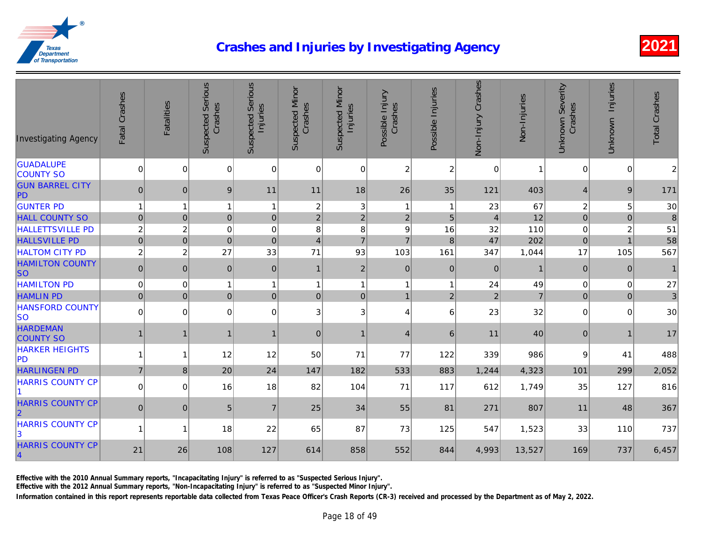| <b>GUADALUPE</b><br>$\overline{c}$<br>$\mathbf 0$<br>$\mathbf 0$<br>$\overline{c}$<br>0<br>0<br>$\mathbf 0$<br>0<br>$\Omega$<br><b>COUNTY SO</b><br><b>GUN BARREL CITY</b><br>$\mathbf{0}$<br>18<br>26<br>35<br>121<br>403<br>$\mathbf{0}$<br>9<br>11<br>11<br><b>PD</b><br><b>GUNTER PD</b><br>67<br>$\overline{1}$<br>$\boldsymbol{2}$<br>3<br>1<br>$\overline{1}$<br>1<br>$\overline{1}$<br>23<br>$\overline{1}$<br>12<br><b>HALL COUNTY SO</b><br>$\pmb{0}$<br>$\pmb{0}$<br>$\mathbf 0$<br>$\mathbf 2$<br>$\overline{2}$<br>$\overline{2}$<br>5<br>$\mathbf{0}$<br>$\overline{4}$<br>$\boldsymbol{2}$<br>$\overline{c}$<br>110<br><b>HALLETTSVILLE PD</b><br>$\mathbf 0$<br>0<br>8<br>8<br>9<br>16<br>32<br>47<br><b>HALLSVILLE PD</b><br>$\overline{7}$<br>202<br>$\pmb{0}$<br>$\pmb{0}$<br>$\mathbf 0$<br>$\overline{7}$<br>$\mathbf 0$<br>$\overline{4}$<br>8<br>$\overline{c}$<br>27<br>71<br><b>HALTOM CITY PD</b><br>$\overline{c}$<br>33<br>93<br>103<br>161<br>347<br>1,044<br><b>HAMILTON COUNTY</b><br>$\pmb{0}$<br>$\pmb{0}$<br>$\pmb{0}$<br>$\pmb{0}$<br>$\mathbf 0$<br>$\mathbf 0$<br>$\overline{2}$<br>$\mathbf 0$<br>$\mathbf{1}$<br><b>SO</b><br>24<br><b>HAMILTON PD</b><br>$\mathbf 0$<br>0<br>$\mathbf{1}$<br>$\mathbf{1}$<br>49<br>1<br>$\overline{1}$<br>$\mathbf{1}$<br>$\overline{1}$<br>$\overline{2}$<br>$\mathbf 0$<br>$\overline{0}$<br>$\mathbf 0$<br>$\overline{2}$<br><b>HAMLIN PD</b><br>$\overline{0}$<br>$\overline{0}$<br> 0 <br>$\overline{1}$<br><b>HANSFORD COUNTY</b><br>$\pmb{0}$<br>32<br>$\overline{0}$<br>$\mathbf 0$<br>0<br>3<br>3 <sup>1</sup><br>$\overline{4}$<br>6<br>23<br>lso<br><b>HARDEMAN</b><br>40<br>6<br>$\mathbf{0}$<br>11<br>$\mathbf 1$<br>1<br>$\mathbf 1$<br>1<br>$\mathbf{1}$<br>$\overline{4}$<br><b>COUNTY SO</b><br><b>HARKER HEIGHTS</b><br>12<br>12<br>71<br>986<br>50<br>77<br>122<br>339<br>$\overline{1}$<br>1<br><b>PD</b><br><b>HARLINGEN PD</b><br>$\overline{7}$<br>20<br>24<br>147<br>182<br>533<br>883<br>8<br>4,323<br>1,244<br><b>HARRIS COUNTY CP</b><br>$\pmb{0}$<br>16<br>104<br>1,749<br>$\mathbf 0$<br>18<br>82<br>71<br>117<br>612<br><b>HARRIS COUNTY CP</b><br>$\overline{7}$<br>$\mathbf 0$<br> 0 <br>5<br>25<br>34<br>55<br>81<br>271<br>807<br>$\overline{2}$<br><b>HARRIS COUNTY CP</b><br>18<br>87<br>73<br>125<br>547<br>1,523<br>$\overline{1}$<br>22<br>65<br>1<br>3<br><b>HARRIS COUNTY CP</b><br>21<br>26<br>108<br>127<br>614<br>858<br>552<br>4,993<br>13,527<br>844<br>$\vert$ 4 | <b>Investigating Agency</b> | Fatal Crashes | <b>Fatalities</b> | <b>Suspected Serious</b><br>Crashes | <b>Suspected Serious</b><br>Injuries | <b>Suspected Minor</b><br>Crashes | <b>Suspected Minor</b><br>Injuries | Possible Injury<br>Crashes | Possible Injuries | Non-Injury Crashes | Non-Injuries |
|-----------------------------------------------------------------------------------------------------------------------------------------------------------------------------------------------------------------------------------------------------------------------------------------------------------------------------------------------------------------------------------------------------------------------------------------------------------------------------------------------------------------------------------------------------------------------------------------------------------------------------------------------------------------------------------------------------------------------------------------------------------------------------------------------------------------------------------------------------------------------------------------------------------------------------------------------------------------------------------------------------------------------------------------------------------------------------------------------------------------------------------------------------------------------------------------------------------------------------------------------------------------------------------------------------------------------------------------------------------------------------------------------------------------------------------------------------------------------------------------------------------------------------------------------------------------------------------------------------------------------------------------------------------------------------------------------------------------------------------------------------------------------------------------------------------------------------------------------------------------------------------------------------------------------------------------------------------------------------------------------------------------------------------------------------------------------------------------------------------------------------------------------------------------------------------------------------------------------------------------------------------------------------------------------------------------------------------------------------------------------------------------------------------------------------------------------------------------------------------------|-----------------------------|---------------|-------------------|-------------------------------------|--------------------------------------|-----------------------------------|------------------------------------|----------------------------|-------------------|--------------------|--------------|
|                                                                                                                                                                                                                                                                                                                                                                                                                                                                                                                                                                                                                                                                                                                                                                                                                                                                                                                                                                                                                                                                                                                                                                                                                                                                                                                                                                                                                                                                                                                                                                                                                                                                                                                                                                                                                                                                                                                                                                                                                                                                                                                                                                                                                                                                                                                                                                                                                                                                                         |                             |               |                   |                                     |                                      |                                   |                                    |                            |                   |                    |              |
|                                                                                                                                                                                                                                                                                                                                                                                                                                                                                                                                                                                                                                                                                                                                                                                                                                                                                                                                                                                                                                                                                                                                                                                                                                                                                                                                                                                                                                                                                                                                                                                                                                                                                                                                                                                                                                                                                                                                                                                                                                                                                                                                                                                                                                                                                                                                                                                                                                                                                         |                             |               |                   |                                     |                                      |                                   |                                    |                            |                   |                    |              |
|                                                                                                                                                                                                                                                                                                                                                                                                                                                                                                                                                                                                                                                                                                                                                                                                                                                                                                                                                                                                                                                                                                                                                                                                                                                                                                                                                                                                                                                                                                                                                                                                                                                                                                                                                                                                                                                                                                                                                                                                                                                                                                                                                                                                                                                                                                                                                                                                                                                                                         |                             |               |                   |                                     |                                      |                                   |                                    |                            |                   |                    |              |
|                                                                                                                                                                                                                                                                                                                                                                                                                                                                                                                                                                                                                                                                                                                                                                                                                                                                                                                                                                                                                                                                                                                                                                                                                                                                                                                                                                                                                                                                                                                                                                                                                                                                                                                                                                                                                                                                                                                                                                                                                                                                                                                                                                                                                                                                                                                                                                                                                                                                                         |                             |               |                   |                                     |                                      |                                   |                                    |                            |                   |                    |              |
|                                                                                                                                                                                                                                                                                                                                                                                                                                                                                                                                                                                                                                                                                                                                                                                                                                                                                                                                                                                                                                                                                                                                                                                                                                                                                                                                                                                                                                                                                                                                                                                                                                                                                                                                                                                                                                                                                                                                                                                                                                                                                                                                                                                                                                                                                                                                                                                                                                                                                         |                             |               |                   |                                     |                                      |                                   |                                    |                            |                   |                    |              |
|                                                                                                                                                                                                                                                                                                                                                                                                                                                                                                                                                                                                                                                                                                                                                                                                                                                                                                                                                                                                                                                                                                                                                                                                                                                                                                                                                                                                                                                                                                                                                                                                                                                                                                                                                                                                                                                                                                                                                                                                                                                                                                                                                                                                                                                                                                                                                                                                                                                                                         |                             |               |                   |                                     |                                      |                                   |                                    |                            |                   |                    |              |
|                                                                                                                                                                                                                                                                                                                                                                                                                                                                                                                                                                                                                                                                                                                                                                                                                                                                                                                                                                                                                                                                                                                                                                                                                                                                                                                                                                                                                                                                                                                                                                                                                                                                                                                                                                                                                                                                                                                                                                                                                                                                                                                                                                                                                                                                                                                                                                                                                                                                                         |                             |               |                   |                                     |                                      |                                   |                                    |                            |                   |                    |              |
|                                                                                                                                                                                                                                                                                                                                                                                                                                                                                                                                                                                                                                                                                                                                                                                                                                                                                                                                                                                                                                                                                                                                                                                                                                                                                                                                                                                                                                                                                                                                                                                                                                                                                                                                                                                                                                                                                                                                                                                                                                                                                                                                                                                                                                                                                                                                                                                                                                                                                         |                             |               |                   |                                     |                                      |                                   |                                    |                            |                   |                    |              |
|                                                                                                                                                                                                                                                                                                                                                                                                                                                                                                                                                                                                                                                                                                                                                                                                                                                                                                                                                                                                                                                                                                                                                                                                                                                                                                                                                                                                                                                                                                                                                                                                                                                                                                                                                                                                                                                                                                                                                                                                                                                                                                                                                                                                                                                                                                                                                                                                                                                                                         |                             |               |                   |                                     |                                      |                                   |                                    |                            |                   |                    |              |
|                                                                                                                                                                                                                                                                                                                                                                                                                                                                                                                                                                                                                                                                                                                                                                                                                                                                                                                                                                                                                                                                                                                                                                                                                                                                                                                                                                                                                                                                                                                                                                                                                                                                                                                                                                                                                                                                                                                                                                                                                                                                                                                                                                                                                                                                                                                                                                                                                                                                                         |                             |               |                   |                                     |                                      |                                   |                                    |                            |                   |                    |              |
|                                                                                                                                                                                                                                                                                                                                                                                                                                                                                                                                                                                                                                                                                                                                                                                                                                                                                                                                                                                                                                                                                                                                                                                                                                                                                                                                                                                                                                                                                                                                                                                                                                                                                                                                                                                                                                                                                                                                                                                                                                                                                                                                                                                                                                                                                                                                                                                                                                                                                         |                             |               |                   |                                     |                                      |                                   |                                    |                            |                   |                    |              |
|                                                                                                                                                                                                                                                                                                                                                                                                                                                                                                                                                                                                                                                                                                                                                                                                                                                                                                                                                                                                                                                                                                                                                                                                                                                                                                                                                                                                                                                                                                                                                                                                                                                                                                                                                                                                                                                                                                                                                                                                                                                                                                                                                                                                                                                                                                                                                                                                                                                                                         |                             |               |                   |                                     |                                      |                                   |                                    |                            |                   |                    |              |
|                                                                                                                                                                                                                                                                                                                                                                                                                                                                                                                                                                                                                                                                                                                                                                                                                                                                                                                                                                                                                                                                                                                                                                                                                                                                                                                                                                                                                                                                                                                                                                                                                                                                                                                                                                                                                                                                                                                                                                                                                                                                                                                                                                                                                                                                                                                                                                                                                                                                                         |                             |               |                   |                                     |                                      |                                   |                                    |                            |                   |                    |              |
|                                                                                                                                                                                                                                                                                                                                                                                                                                                                                                                                                                                                                                                                                                                                                                                                                                                                                                                                                                                                                                                                                                                                                                                                                                                                                                                                                                                                                                                                                                                                                                                                                                                                                                                                                                                                                                                                                                                                                                                                                                                                                                                                                                                                                                                                                                                                                                                                                                                                                         |                             |               |                   |                                     |                                      |                                   |                                    |                            |                   |                    |              |
|                                                                                                                                                                                                                                                                                                                                                                                                                                                                                                                                                                                                                                                                                                                                                                                                                                                                                                                                                                                                                                                                                                                                                                                                                                                                                                                                                                                                                                                                                                                                                                                                                                                                                                                                                                                                                                                                                                                                                                                                                                                                                                                                                                                                                                                                                                                                                                                                                                                                                         |                             |               |                   |                                     |                                      |                                   |                                    |                            |                   |                    |              |
|                                                                                                                                                                                                                                                                                                                                                                                                                                                                                                                                                                                                                                                                                                                                                                                                                                                                                                                                                                                                                                                                                                                                                                                                                                                                                                                                                                                                                                                                                                                                                                                                                                                                                                                                                                                                                                                                                                                                                                                                                                                                                                                                                                                                                                                                                                                                                                                                                                                                                         |                             |               |                   |                                     |                                      |                                   |                                    |                            |                   |                    |              |
|                                                                                                                                                                                                                                                                                                                                                                                                                                                                                                                                                                                                                                                                                                                                                                                                                                                                                                                                                                                                                                                                                                                                                                                                                                                                                                                                                                                                                                                                                                                                                                                                                                                                                                                                                                                                                                                                                                                                                                                                                                                                                                                                                                                                                                                                                                                                                                                                                                                                                         |                             |               |                   |                                     |                                      |                                   |                                    |                            |                   |                    |              |
|                                                                                                                                                                                                                                                                                                                                                                                                                                                                                                                                                                                                                                                                                                                                                                                                                                                                                                                                                                                                                                                                                                                                                                                                                                                                                                                                                                                                                                                                                                                                                                                                                                                                                                                                                                                                                                                                                                                                                                                                                                                                                                                                                                                                                                                                                                                                                                                                                                                                                         |                             |               |                   |                                     |                                      |                                   |                                    |                            |                   |                    |              |

Effective with the 2010 Annual Summary reports, "Incapacitating Injury" is referred to as "Suspected Serious Injury".

Effective with the 2012 Annual Summary reports, "Non-Incapacitating Injury" is referred to as "Suspected Minor Injury".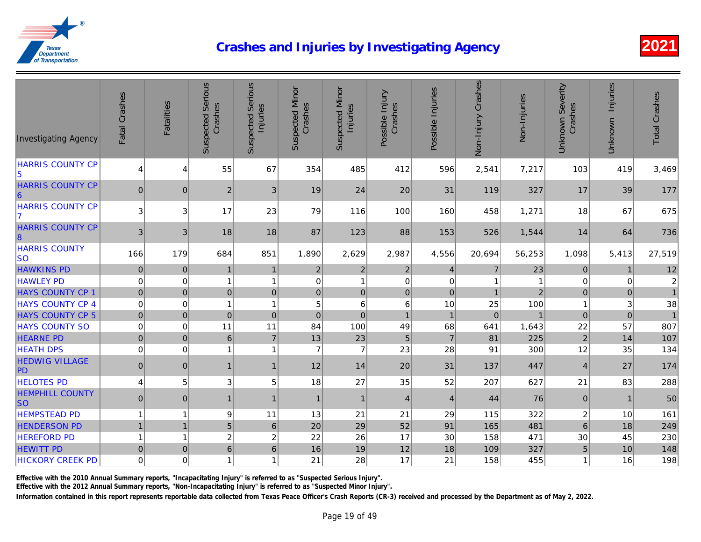| <b>Investigating Agency</b>                | Fatal Crashes    | <b>Fatalities</b> | <b>Suspected Serious</b><br>Crashes | <b>Suspected Serious</b><br>Injuries | <b>Suspected Minor</b><br>Crashes | <b>Suspected Minor</b><br>Injuries | Possible Injury<br>Crashes | Possible Injuries | Non-Injury Crashes | Non-Injuries |
|--------------------------------------------|------------------|-------------------|-------------------------------------|--------------------------------------|-----------------------------------|------------------------------------|----------------------------|-------------------|--------------------|--------------|
| <b>HARRIS COUNTY CP</b><br>5               | $\overline{4}$   | $\overline{4}$    | 55                                  | 67                                   | 354                               | 485                                | 412                        | 596               | 2,541              | 7,217        |
| <b>HARRIS COUNTY CP</b><br>$\vert 6 \vert$ | $\pmb{0}$        | $\mathbf 0$       | $\sqrt{2}$                          | 3                                    | 19                                | 24                                 | 20                         | 31                | 119                | 327          |
| <b>HARRIS COUNTY CP</b><br>17              | $\sqrt{3}$       | 3                 | 17                                  | 23                                   | 79                                | 116                                | 100                        | 160               | 458                | 1,271        |
| <b>HARRIS COUNTY CP</b><br>$\vert$ 8       | 3                | $\sqrt{3}$        | 18                                  | 18                                   | 87                                | 123                                | 88                         | 153               | 526                | 1,544        |
| <b>HARRIS COUNTY</b><br><b>SO</b>          | 166              | 179               | 684                                 | 851                                  | 1,890                             | 2,629                              | 2,987                      | 4,556             | 20,694             | 56,253       |
| <b>HAWKINS PD</b>                          | $\boldsymbol{0}$ | $\pmb{0}$         | 1                                   | $\mathbf{1}$                         | $\overline{c}$                    | $\overline{c}$                     | $\overline{c}$             | 4                 | $\overline{7}$     | 23           |
| <b>HAWLEY PD</b>                           | $\mathbf 0$      | $\mathbf 0$       | $\mathbf{1}$                        | $\overline{1}$                       | 0                                 | $\mathbf{1}$                       | $\pmb{0}$                  | $\mathbf 0$       | 1                  |              |
| <b>HAYS COUNTY CP 1</b>                    | $\mathbf 0$      | $\pmb{0}$         | $\overline{0}$                      | 0                                    | $\mathsf{O}\xspace$               | $\overline{0}$                     | $\pmb{0}$                  | $\mathbf 0$       | $\overline{1}$     |              |
| <b>HAYS COUNTY CP 4</b>                    | $\mathbf 0$      | $\mathbf 0$       | $\mathbf{1}$                        | $\overline{1}$                       | 5                                 | 6                                  | 6                          | 10                | 25                 | 100          |
| <b>HAYS COUNTY CP 5</b>                    | $\pmb{0}$        | $\pmb{0}$         | $\mathbf 0$                         | $\pmb{0}$                            | $\mathbf 0$                       | $\pmb{0}$                          | $\mathbf{1}$               | $\mathbf{1}$      | $\pmb{0}$          |              |
| <b>HAYS COUNTY SO</b>                      | $\mathbf 0$      | $\boldsymbol{0}$  | 11                                  | 11                                   | 84                                | 100                                | 49                         | 68                | 641                | 1,643        |
| <b>HEARNE PD</b>                           | $\mathbf 0$      | $\pmb{0}$         | $\,6\,$                             | $\overline{7}$                       | 13                                | 23                                 | $\sqrt{5}$                 | $\overline{7}$    | 81                 | 225          |
| <b>HEATH DPS</b>                           | $\mathbf 0$      | $\mathbf 0$       | $\mathbf{1}$                        | 1                                    | $\overline{7}$                    | $\overline{7}$                     | 23                         | 28                | 91                 | 300          |
| <b>HEDWIG VILLAGE</b><br>PD                | $\pmb{0}$        | $\mathbf 0$       | $\mathbf{1}$                        | 1                                    | 12                                | 14                                 | 20                         | 31                | 137                | 447          |
| <b>HELOTES PD</b>                          | $\overline{4}$   | 5                 | 3                                   | 5                                    | 18                                | 27                                 | 35                         | 52                | 207                | 627          |
| <b>HEMPHILL COUNTY</b><br><b>SO</b>        | $\pmb{0}$        | $\pmb{0}$         | 1                                   | $\mathbf{1}$                         | $\mathbf{1}$                      | $\mathbf{1}$                       | $\overline{4}$             | $\overline{4}$    | 44                 | 76           |
| <b>HEMPSTEAD PD</b>                        | $\mathbf{1}$     | 1                 | 9                                   | 11                                   | 13                                | 21                                 | 21                         | 29                | 115                | 322          |
| <b>HENDERSON PD</b>                        | $\overline{1}$   | $\overline{1}$    | 5                                   | $\,$ 6                               | 20                                | 29                                 | 52                         | 91                | 165                | 481          |
| <b>HEREFORD PD</b>                         | $\mathbf{1}$     | $\overline{1}$    | $\overline{c}$                      | $\overline{c}$                       | 22                                | 26                                 | 17                         | 30                | 158                | 471          |
| <b>HEWITT PD</b>                           | $\mathbf 0$      | $\mathbf 0$       | $6 \mid$                            | 6                                    | 16                                | 19                                 | 12                         | 18                | 109                | 327          |
| <b>HICKORY CREEK PD</b>                    | $\pmb{0}$        | $\mathbf 0$       | 1                                   | 1                                    | 21                                | 28                                 | 17                         | 21                | 158                | 455          |

Effective with the 2010 Annual Summary reports, "Incapacitating Injury" is referred to as "Suspected Serious Injury".

Effective with the 2012 Annual Summary reports, "Non-Incapacitating Injury" is referred to as "Suspected Minor Injury".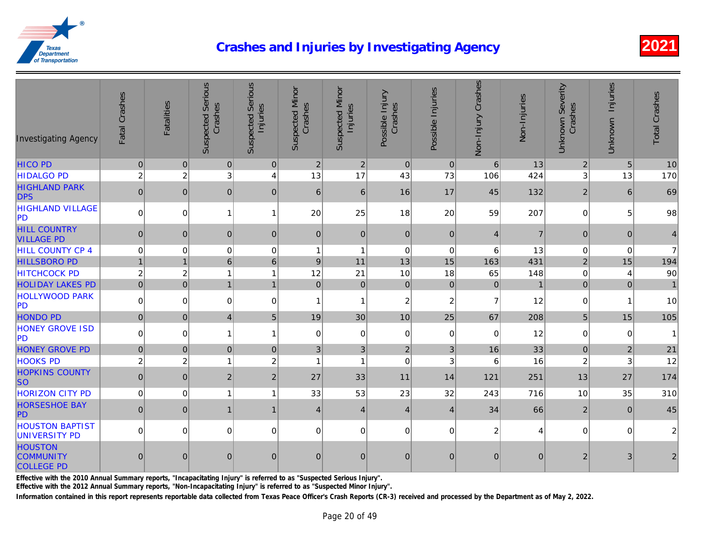| <b>Investigating Agency</b>                             | Fatal Crashes  | <b>Fatalities</b> | <b>Suspected Serious</b><br>Crashes | <b>Suspected Serious</b><br>Injuries | <b>Suspected Minor</b><br>Crashes | <b>Suspected Minor</b><br>Injuries | Possible Injury<br>Crashes | Possible Injuries | Non-Injury Crashes | Non-Injuries |
|---------------------------------------------------------|----------------|-------------------|-------------------------------------|--------------------------------------|-----------------------------------|------------------------------------|----------------------------|-------------------|--------------------|--------------|
| <b>HICO PD</b>                                          | $\pmb{0}$      | $\pmb{0}$         | $\overline{0}$                      | 0                                    | $\overline{2}$                    | $2\vert$                           | $\overline{0}$             | 0                 | $6 \mid$           | 13           |
| <b>HIDALGO PD</b>                                       | $\overline{c}$ | $\overline{2}$    | 3                                   | 4                                    | 13                                | 17                                 | 43                         | 73                | 106                | 424          |
| <b>HIGHLAND PARK</b><br><b>DPS</b>                      | 0              | $\mathbf 0$       | $\mathbf 0$                         | $\mathbf{0}$                         | $6 \mid$                          | 6                                  | 16                         | 17                | 45                 | 132          |
| <b>HIGHLAND VILLAGE</b><br>PD                           | $\overline{0}$ | $\mathbf 0$       | 1                                   | 1                                    | 20                                | 25                                 | 18                         | 20                | 59                 | 207          |
| <b>HILL COUNTRY</b><br><b>VILLAGE PD</b>                | 0              | $\mathbf{0}$      | $\mathbf 0$                         | $\mathbf{0}$                         | 0                                 | $\mathbf{0}$                       | $\pmb{0}$                  | $\mathbf 0$       | $\vert 4 \vert$    |              |
| HILL COUNTY CP 4                                        | $\mathbf 0$    | $\mathbf 0$       | $\mathbf 0$                         | $\mathbf 0$                          | $\mathbf{1}$                      | $\overline{1}$                     | $\boldsymbol{0}$           | $\mathbf 0$       | 6                  | 13           |
| <b>HILLSBORO PD</b>                                     | $\mathbf{1}$   | $\mathbf{1}$      | $6\phantom{1}$                      | $6\phantom{1}$                       | $\vert 9 \vert$                   | 11                                 | 13                         | 15                | 163                | 431          |
| <b>HITCHCOCK PD</b>                                     | $\overline{2}$ | $\overline{2}$    | 1                                   | 1                                    | 12                                | 21                                 | 10                         | 18                | 65                 | 148          |
| <b>HOLIDAY LAKES PD</b>                                 | $\overline{0}$ | $\mathbf 0$       | $\overline{1}$                      | $\overline{1}$                       | 0                                 | 0                                  | 0                          | $\mathbf 0$       | $\overline{0}$     |              |
| <b>HOLLYWOOD PARK</b><br>PD                             | $\overline{0}$ | $\mathbf 0$       | $\mathbf 0$                         | $\Omega$                             | $\mathbf{1}$                      | $\mathbf{1}$                       | $\overline{c}$             | $\overline{c}$    | $\overline{7}$     | 12           |
| <b>HONDO PD</b>                                         | $\overline{0}$ | $\mathbf 0$       | $\vert 4 \vert$                     | 5                                    | 19                                | 30                                 | 10                         | 25                | 67                 | 208          |
| <b>HONEY GROVE ISD</b><br> PD                           | $\overline{0}$ | $\mathbf 0$       | $\mathbf{1}$                        | 1                                    | $\overline{0}$                    | $\Omega$                           | $\mathbf 0$                | $\mathbf 0$       | $\overline{0}$     | 12           |
| <b>HONEY GROVE PD</b>                                   | 0              | $\overline{0}$    | $\mathbf 0$                         | $\mathbf{0}$                         | 3 <sup>1</sup>                    | 3                                  | $\overline{2}$             | 3                 | 16                 | 33           |
| <b>HOOKS PD</b>                                         | $\overline{c}$ | $\overline{c}$    | 1                                   | $\overline{c}$                       | 1                                 | -1                                 | $\mathbf 0$                | 3                 | 6                  | 16           |
| <b>HOPKINS COUNTY</b><br><b>SO</b>                      | 0              | $\mathbf{0}$      | $\overline{2}$                      | 2 <sub>1</sub>                       | 27                                | 33                                 | 11                         | 14                | 121                | 251          |
| <b>HORIZON CITY PD</b>                                  | $\overline{0}$ | $\mathbf 0$       | 1                                   |                                      | 33                                | 53                                 | 23                         | 32                | 243                | 716          |
| <b>HORSESHOE BAY</b><br>PD                              | 0              | $\mathbf{0}$      | $\mathbf{1}$                        |                                      | $\vert 4 \vert$                   | $\overline{4}$                     | $\vert 4 \vert$            | $\overline{4}$    | 34                 | 66           |
| <b>HOUSTON BAPTIST</b><br><b>UNIVERSITY PD</b>          | $\overline{0}$ | $\Omega$          | $\Omega$                            | $\Omega$                             | 0                                 | $\Omega$                           | $\Omega$                   | $\Omega$          | $\boldsymbol{2}$   |              |
| <b>HOUSTON</b><br><b>COMMUNITY</b><br><b>COLLEGE PD</b> | $\mathbf 0$    | $\overline{0}$    | $\mathbf 0$                         | $\mathbf{0}$                         | $\pmb{0}$                         | $\overline{0}$                     | $\overline{0}$             | $\overline{0}$    | $\pmb{0}$          |              |

Effective with the 2010 Annual Summary reports, "Incapacitating Injury" is referred to as "Suspected Serious Injury".

Effective with the 2012 Annual Summary reports, "Non-Incapacitating Injury" is referred to as "Suspected Minor Injury".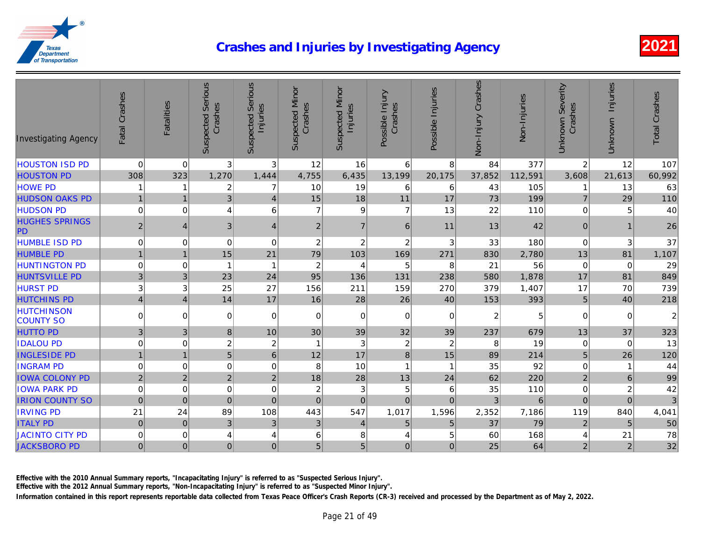| <b>Investigating Agency</b>           | Fatal Crashes  | <b>Fatalities</b> | <b>Suspected Serious</b><br>Crashes | <b>Suspected Serious</b><br>Injuries | <b>Suspected Minor</b><br>Crashes | <b>Suspected Minor</b><br>Injuries | Possible Injury<br>Crashes | Possible Injuries | Non-Injury Crashes | Non-Injuries |
|---------------------------------------|----------------|-------------------|-------------------------------------|--------------------------------------|-----------------------------------|------------------------------------|----------------------------|-------------------|--------------------|--------------|
| <b>HOUSTON ISD PD</b>                 | $\mathbf 0$    | $\pmb{0}$         | $\mathbf{3}$                        | 3                                    | 12                                | 16                                 | $\,6\,$                    | 8                 | 84                 | 377          |
| <b>HOUSTON PD</b>                     | 308            | 323               | 1,270                               | 1,444                                | 4,755                             | 6,435                              | 13,199                     | 20,175            | 37,852             | 112,591      |
| <b>HOWE PD</b>                        |                | 1                 | $\overline{c}$                      | 7                                    | 10                                | 19                                 | 6                          | 6                 | 43                 | 105          |
| <b>HUDSON OAKS PD</b>                 | $\mathbf{1}$   | $\mathbf{1}$      | $\mathfrak{B}$                      | $\overline{4}$                       | 15                                | 18                                 | 11                         | 17                | 73                 | 199          |
| <b>HUDSON PD</b>                      | $\mathbf 0$    | $\Omega$          | 4                                   | 6                                    | $\overline{7}$                    | 9                                  | $\overline{7}$             | 13                | 22                 | 110          |
| <b>HUGHES SPRINGS</b><br><b>PD</b>    | $\overline{2}$ | 4                 | 3                                   | $\overline{4}$                       | $\boldsymbol{2}$                  | $\overline{7}$                     | 6                          | 11                | 13                 | 42           |
| <b>HUMBLE ISD PD</b>                  | $\mathbf 0$    | 0                 | 0                                   | 0                                    | $\boldsymbol{2}$                  | $\overline{c}$                     | $\boldsymbol{2}$           | 3                 | 33                 | 180          |
| <b>HUMBLE PD</b>                      | $\mathbf{1}$   | $\mathbf{1}$      | 15                                  | 21                                   | 79                                | 103                                | 169                        | 271               | 830                | 2,780        |
| <b>HUNTINGTON PD</b>                  | $\mathbf 0$    | 0                 | -1                                  | 1                                    | 2                                 | 4                                  | 5                          | 8                 | 21                 | 56           |
| <b>HUNTSVILLE PD</b>                  | 3              | 3                 | 23                                  | 24                                   | 95                                | 136                                | 131                        | 238               | 580                | 1,878        |
| <b>HURST PD</b>                       | $\mathbf 3$    | 3                 | 25                                  | 27                                   | 156                               | 211                                | 159                        | 270               | 379                | 1,407        |
| <b>HUTCHINS PD</b>                    | $\overline{4}$ | $\vert 4 \vert$   | 14                                  | 17                                   | 16                                | 28                                 | 26                         | 40                | 153                | 393          |
| <b>HUTCHINSON</b><br><b>COUNTY SO</b> | $\pmb{0}$      | $\mathbf 0$       | 0                                   | 0                                    | $\mathbf 0$                       | $\Omega$                           | $\mathbf 0$                | $\mathbf 0$       | $\overline{c}$     |              |
| <b>HUTTO PD</b>                       | $\mathfrak{B}$ | $\mathbf{3}$      | 8                                   | 10                                   | 30                                | 39                                 | 32                         | 39                | 237                | 679          |
| <b>IDALOU PD</b>                      | $\mathbf 0$    | 0                 | $\boldsymbol{2}$                    | $\overline{c}$                       | -1                                | 3                                  | $\overline{c}$             | $\overline{c}$    | 8                  | 19           |
| <b>INGLESIDE PD</b>                   | $\mathbf{1}$   | $\mathbf{1}$      | $\overline{5}$                      | $6\phantom{1}$                       | 12                                | 17                                 | $\bf 8$                    | 15                | 89                 | 214          |
| <b>INGRAM PD</b>                      | $\mathbf 0$    | 0                 | $\mathbf 0$                         | 0                                    | 8                                 | 10                                 | -1                         | $\mathbf{1}$      | 35                 | 92           |
| <b>IOWA COLONY PD</b>                 | $\overline{2}$ | $\overline{2}$    | $\overline{2}$                      | $\overline{2}$                       | 18                                | 28                                 | 13                         | 24                | 62                 | 220          |
| <b>IOWA PARK PD</b>                   | $\mathbf 0$    | $\mathbf 0$       | $\pmb{0}$                           | 0                                    | $\boldsymbol{2}$                  | 3                                  | 5                          | 6                 | 35                 | 110          |
| <b>IRION COUNTY SO</b>                | $\mathbf 0$    | $\mathbf 0$       | $\pmb{0}$                           | $\mathbf 0$                          | $\mathbf 0$                       | $\overline{0}$                     | $\mathbf 0$                | $\Omega$          | 3                  |              |
| <b>IRVING PD</b>                      | 21             | 24                | 89                                  | 108                                  | 443                               | 547                                | 1,017                      | 1,596             | 2,352              | 7,186        |
| <b>ITALY PD</b>                       | $\pmb{0}$      | $\mathbf{0}$      | $\mathfrak{B}$                      | 3                                    | 3                                 | $\overline{4}$                     | 5                          | 5                 | 37                 | 79           |
| <b>JACINTO CITY PD</b>                | $\pmb{0}$      | $\mathbf 0$       | 4                                   | 4                                    | 6                                 | 8                                  | 4                          | 5                 | 60                 | 168          |
| <b>JACKSBORO PD</b>                   | 0              | 0                 | $\pmb{0}$                           | $\mathbf{0}$                         | 5 <sup>1</sup>                    | 5 <sup>1</sup>                     | $\overline{0}$             | $\mathbf 0$       | 25                 | 64           |

Effective with the 2010 Annual Summary reports, "Incapacitating Injury" is referred to as "Suspected Serious Injury".

Effective with the 2012 Annual Summary reports, "Non-Incapacitating Injury" is referred to as "Suspected Minor Injury".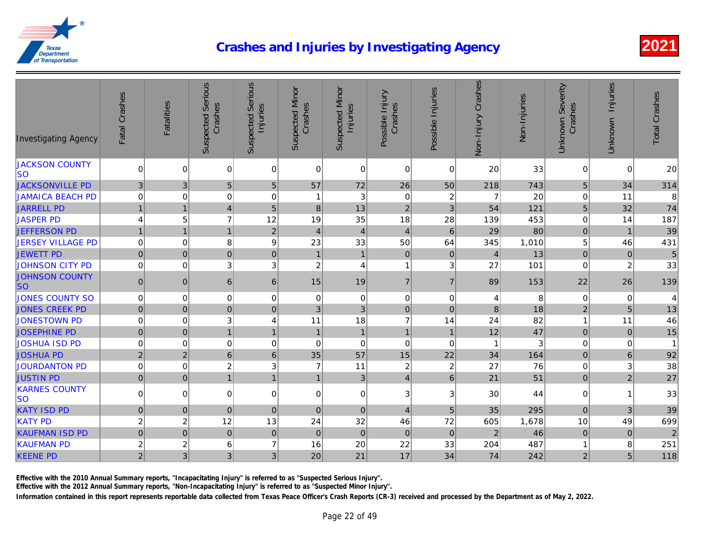| <b>Investigating Agency</b>        | Fatal Crashes    | Fatalities     | <b>Suspected Serious</b><br>Crashes | <b>Suspected Serious</b><br>Injuries | <b>Suspected Minor</b><br>Crashes | <b>Suspected Minor</b><br>Injuries | Possible Injury<br>Crashes | Possible Injuries | Non-Injury Crashes      | Non-Injuries    |
|------------------------------------|------------------|----------------|-------------------------------------|--------------------------------------|-----------------------------------|------------------------------------|----------------------------|-------------------|-------------------------|-----------------|
| <b>JACKSON COUNTY</b><br><b>SO</b> | $\mathbf 0$      | $\mathbf 0$    | $\mathbf 0$                         | 0                                    | $\mathbf 0$                       | $\overline{0}$                     | $\mathbf 0$                | $\mathbf 0$       | 20                      | 33              |
| <b>JACKSONVILLE PD</b>             | $\mathfrak{B}$   | $\sqrt{3}$     | 5                                   | 5                                    | 57                                | 72                                 | 26                         | 50                | 218                     | 743             |
| <b>JAMAICA BEACH PD</b>            | $\mathbf 0$      | 0              | $\mathbf 0$                         | $\mathbf 0$                          | $\overline{1}$                    | 3                                  | $\boldsymbol{0}$           | $\overline{c}$    | $\overline{7}$          | 20              |
| <b>JARRELL PD</b>                  | $\mathbf{1}$     | $\mathbf{1}$   | $\overline{4}$                      | 5                                    | $\bf 8$                           | 13                                 | $\mathbf 2$                | $\mathbf{3}$      | 54                      | 121             |
| <b>JASPER PD</b>                   | $\overline{4}$   | 5              | $\overline{7}$                      | 12                                   | 19                                | 35                                 | 18                         | 28                | 139                     | 453             |
| <b>JEFFERSON PD</b>                | $\mathbf{1}$     | $\overline{1}$ | $\mathbf{1}$                        | $\overline{2}$                       | $\overline{4}$                    | $\overline{4}$                     | $\overline{\mathbf{4}}$    | $6\phantom{1}6$   | 29                      | 80              |
| <b>JERSEY VILLAGE PD</b>           | $\mathbf 0$      | $\mathbf 0$    | $\bf 8$                             | 9                                    | 23                                | 33                                 | 50                         | 64                | 345                     | 1,010           |
| <b>JEWETT PD</b>                   | $\pmb{0}$        | 0              | $\mathbf 0$                         | $\mathbf 0$                          | $\overline{1}$                    | $\mathbf{1}$                       | $\pmb{0}$                  | $\pmb{0}$         | $\overline{4}$          | 13              |
| <b>JOHNSON CITY PD</b>             | $\pmb{0}$        | 0              | 3                                   | 3                                    | $\overline{c}$                    | 4                                  | 1                          | 3                 | 27                      | 101             |
| <b>JOHNSON COUNTY</b><br><b>SO</b> | $\mathbf 0$      | $\mathbf 0$    | 6                                   | 6                                    | 15                                | 19                                 | $\overline{7}$             | $\overline{7}$    | 89                      | 153             |
| <b>JONES COUNTY SO</b>             | $\pmb{0}$        | $\mathbf 0$    | 0                                   | 0                                    | $\mathbf 0$                       | $\overline{0}$                     | $\mathsf 0$                | $\mathbf 0$       | $\overline{\mathbf{4}}$ |                 |
| <b>JONES CREEK PD</b>              | $\pmb{0}$        | $\mathbf 0$    | $\pmb{0}$                           | $\mathbf{0}$                         | $\mathfrak{B}$                    | 3 <sup>1</sup>                     | $\pmb{0}$                  | $\mathbf 0$       | $\bf 8$                 | 18              |
| <b>JONESTOWN PD</b>                | $\pmb{0}$        | $\mathbf 0$    | $\ensuremath{\mathsf{3}}$           | 4                                    | 11                                | 18                                 | $\overline{7}$             | 14                | 24                      | 82              |
| <b>JOSEPHINE PD</b>                | $\mathbf 0$      | $\pmb{0}$      | $\overline{1}$                      | $\mathbf{1}$                         | $\mathbf{1}$                      | $\mathbf{1}$                       | $\mathbf{1}$               | $\mathbf{1}$      | 12                      | $\overline{47}$ |
| <b>JOSHUA ISD PD</b>               | $\mathbf 0$      | 0              | $\pmb{0}$                           | 0                                    | $\mathbf 0$                       | 0                                  | $\boldsymbol{0}$           | $\mathbf 0$       | $\overline{1}$          |                 |
| <b>JOSHUA PD</b>                   | $\overline{2}$   | 2 <sup>1</sup> | $\,$ 6 $\,$                         | $6\phantom{1}$                       | 35                                | 57                                 | 15                         | 22                | 34                      | 164             |
| <b>JOURDANTON PD</b>               | $\pmb{0}$        | $\pmb{0}$      | $\overline{c}$                      | 3                                    | $\overline{7}$                    | 11                                 | $\boldsymbol{2}$           | $\sqrt{2}$        | 27                      | 76              |
| <b>JUSTIN PD</b>                   | $\mathbf 0$      | $\overline{0}$ | $\mathbf{1}$                        | $\mathbf{1}$                         | $\mathbf{1}$                      | 3                                  | $\overline{4}$             | $\,6\,$           | 21                      | 51              |
| <b>KARNES COUNTY</b><br>lso        | $\pmb{0}$        | $\Omega$       | 0                                   | 0                                    | 0                                 | $\Omega$                           | $\overline{3}$             | 3                 | 30                      | 44              |
| <b>KATY ISD PD</b>                 | $\pmb{0}$        | $\mathbf 0$    | $\mathbf 0$                         | $\mathbf{0}$                         | $\mathbf 0$                       | 0                                  | $\overline{4}$             | $5\phantom{1}$    | 35                      | 295             |
| <b>KATY PD</b>                     | $\overline{c}$   | $\overline{c}$ | 12                                  | 13                                   | 24                                | 32                                 | 46                         | 72                | 605                     | 1,678           |
| <b>KAUFMAN ISD PD</b>              | $\mathbf 0$      | $\pmb{0}$      | $\mathbf 0$                         | $\mathbf 0$                          | $\pmb{0}$                         | 0                                  | $\pmb{0}$                  | $\pmb{0}$         | $\mathbf 2$             | 46              |
| <b>KAUFMAN PD</b>                  | $\boldsymbol{2}$ | $\overline{c}$ | 6                                   | $\overline{7}$                       | 16                                | 20                                 | 22                         | 33                | 204                     | 487             |
| <b>KEENE PD</b>                    | $\overline{2}$   | 3              | 3                                   | 3                                    | 20                                | 21                                 | 17                         | 34                | 74                      | 242             |

Effective with the 2010 Annual Summary reports, "Incapacitating Injury" is referred to as "Suspected Serious Injury".

Effective with the 2012 Annual Summary reports, "Non-Incapacitating Injury" is referred to as "Suspected Minor Injury".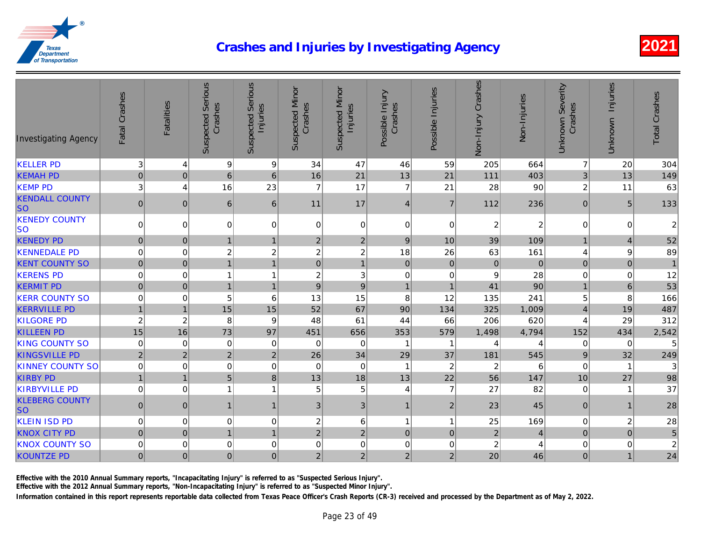| <b>KELLER PD</b><br>3<br>9<br>9<br>34<br>47<br>46<br>205<br>$\overline{4}$<br>59<br><b>KEMAH PD</b><br>16<br>$\boldsymbol{0}$<br>$\pmb{0}$<br>$\,6$<br>6<br>21<br>13<br>21<br>111<br>$\overline{7}$<br>3<br>16<br>23<br>$\overline{7}$<br>17<br><b>KEMP PD</b><br>4<br>21<br>28<br><b>KENDALL COUNTY</b><br>$\pmb{0}$<br>$\mathbf{0}$<br>6<br>6<br>17<br>$\overline{7}$<br>112<br>11<br>$\overline{4}$<br><b>SO</b><br><b>KENEDY COUNTY</b><br>$\pmb{0}$<br>0<br>$\mathbf 0$<br>$\overline{c}$<br>0<br>0<br>0<br>0<br>$\Omega$<br>lso<br><b>KENEDY PD</b><br>$\pmb{0}$<br>$\mathbf 0$<br>$\overline{2}$<br>9<br>39<br>$\overline{2}$<br>10<br>$\mathbf{1}$<br>$\overline{1}$<br>$\boldsymbol{2}$<br>18<br><b>KENNEDALE PD</b><br>$\pmb{0}$<br>$\pmb{0}$<br>$\overline{\mathbf{c}}$<br>$\boldsymbol{2}$<br>26<br>63<br>$\overline{\mathbf{c}}$<br><b>KENT COUNTY SO</b><br>$\pmb{0}$<br>$\mathbf{1}$<br>$\pmb{0}$<br>$\pmb{0}$<br>$\pmb{0}$<br>$\mathbf 0$<br>$\mathbf 0$<br>$\mathbf{1}$<br>$\mathbf{1}$<br>$\mathbf 0$<br>$\boldsymbol{2}$<br>$\mathbf 0$<br><b>KERENS PD</b><br>0<br>3<br>$\overline{0}$<br>$\boldsymbol{9}$<br>$\overline{1}$<br>1<br>$\pmb{0}$<br>$\boldsymbol{9}$<br>$\boldsymbol{9}$<br>41<br><b>KERMIT PD</b><br>$\mathbf 0$<br>$\mathbf{1}$<br>$\mathbf{1}$<br>$\mathbf{1}$<br>$\overline{1}$<br>8<br><b>KERR COUNTY SO</b><br>$\pmb{0}$<br>$\mathbf 0$<br>5<br>6<br>13<br>15<br>12<br>135<br>15<br>15<br><b>KERRVILLE PD</b><br>$\mathbf{1}$<br>52<br>67<br>90<br>$\mathbf{1}$<br>134<br>325<br>$\overline{c}$<br>$\overline{c}$<br><b>KILGORE PD</b><br>8<br>9<br>48<br>61<br>44<br>206<br>66<br>15<br>16<br><b>KILLEEN PD</b><br>73<br>97<br>451<br>656<br>353<br>579<br>1,498<br><b>KING COUNTY SO</b><br>$\mathbf 0$<br>$\mathbf 0$<br>0<br>0<br>0<br>0<br>$\mathbf 1$<br>4<br><b>KINGSVILLE PD</b><br>$\overline{2}$<br>$\overline{c}$<br>$\mathbf 2$<br>$\overline{c}$<br>26<br>34<br>29<br>37<br>181<br><b>KINNEY COUNTY SO</b><br>$\pmb{0}$<br>$\pmb{0}$<br>$\pmb{0}$<br>$\sqrt{2}$<br>$\sqrt{2}$<br>0<br>$\mathbf 0$<br>$\mathbf 0$<br>-1<br><b>KIRBY PD</b><br>$\mathbf{1}$<br>$\overline{5}$<br>13<br>13<br>22<br>56<br>$\mathbf{1}$<br>8<br>18<br>$\overline{7}$<br>$\mathbf 0$<br>5<br>5<br>27<br><b>KIRBYVILLE PD</b><br>0<br>$\overline{1}$<br>4<br>1<br><b>KLEBERG COUNTY</b><br>$\pmb{0}$<br>3 <sup>1</sup><br>$\sqrt{2}$<br>$\pmb{0}$<br>3 <sup>1</sup><br>$\mathbf{1}$<br>23<br>$\mathbf{1}$<br>$\mathbf{1}$<br><b>SO</b><br><b>KLEIN ISD PD</b><br>$\mathbf 0$<br>0<br>$\mathbf 0$<br>$\boldsymbol{2}$<br>$6 \mid$<br>25<br>0<br>$\mathbf{1}$<br>$\mathbf{1}$<br>$\overline{2}$<br>$\overline{c}$<br>$\mathbf{1}$<br>$\overline{c}$<br>$\mathbf 0$<br><b>KNOX CITY PD</b><br>$\pmb{0}$<br>$\pmb{0}$<br>$\pmb{0}$<br>$\overline{1}$<br>$\overline{c}$<br><b>KNOX COUNTY SO</b><br>$\mathbf 0$<br>$\mathbf 0$<br>0<br>0<br>$\mathbf 0$<br>0<br>0<br>0<br>$\overline{c}$<br>$\overline{2}$<br>$\overline{2}$<br>20<br><b>KOUNTZE PD</b><br>$\pmb{0}$<br>$\overline{0}$<br>$\mathbf 0$<br>$\overline{2}$<br>$\pmb{0}$ | <b>Investigating Agency</b> | Fatal Crashes | <b>Fatalities</b> | <b>Suspected Serious</b><br>Crashes | <b>Suspected Serious</b><br>Injuries | <b>Suspected Minor</b><br>Crashes | <b>Suspected Minor</b><br>Injuries | Possible Injury<br>Crashes | Possible Injuries | Non-Injury Crashes | Non-Injuries |
|----------------------------------------------------------------------------------------------------------------------------------------------------------------------------------------------------------------------------------------------------------------------------------------------------------------------------------------------------------------------------------------------------------------------------------------------------------------------------------------------------------------------------------------------------------------------------------------------------------------------------------------------------------------------------------------------------------------------------------------------------------------------------------------------------------------------------------------------------------------------------------------------------------------------------------------------------------------------------------------------------------------------------------------------------------------------------------------------------------------------------------------------------------------------------------------------------------------------------------------------------------------------------------------------------------------------------------------------------------------------------------------------------------------------------------------------------------------------------------------------------------------------------------------------------------------------------------------------------------------------------------------------------------------------------------------------------------------------------------------------------------------------------------------------------------------------------------------------------------------------------------------------------------------------------------------------------------------------------------------------------------------------------------------------------------------------------------------------------------------------------------------------------------------------------------------------------------------------------------------------------------------------------------------------------------------------------------------------------------------------------------------------------------------------------------------------------------------------------------------------------------------------------------------------------------------------------------------------------------------------------------------------------------------------------------------------------------------------------------------------------------------------------------------------------------------------------------------------------------------------------------------------------------------------------------------------------------------------------------------------------------------------------------------------------------------|-----------------------------|---------------|-------------------|-------------------------------------|--------------------------------------|-----------------------------------|------------------------------------|----------------------------|-------------------|--------------------|--------------|
|                                                                                                                                                                                                                                                                                                                                                                                                                                                                                                                                                                                                                                                                                                                                                                                                                                                                                                                                                                                                                                                                                                                                                                                                                                                                                                                                                                                                                                                                                                                                                                                                                                                                                                                                                                                                                                                                                                                                                                                                                                                                                                                                                                                                                                                                                                                                                                                                                                                                                                                                                                                                                                                                                                                                                                                                                                                                                                                                                                                                                                                                |                             |               |                   |                                     |                                      |                                   |                                    |                            |                   |                    | 664          |
|                                                                                                                                                                                                                                                                                                                                                                                                                                                                                                                                                                                                                                                                                                                                                                                                                                                                                                                                                                                                                                                                                                                                                                                                                                                                                                                                                                                                                                                                                                                                                                                                                                                                                                                                                                                                                                                                                                                                                                                                                                                                                                                                                                                                                                                                                                                                                                                                                                                                                                                                                                                                                                                                                                                                                                                                                                                                                                                                                                                                                                                                |                             |               |                   |                                     |                                      |                                   |                                    |                            |                   |                    | 403          |
|                                                                                                                                                                                                                                                                                                                                                                                                                                                                                                                                                                                                                                                                                                                                                                                                                                                                                                                                                                                                                                                                                                                                                                                                                                                                                                                                                                                                                                                                                                                                                                                                                                                                                                                                                                                                                                                                                                                                                                                                                                                                                                                                                                                                                                                                                                                                                                                                                                                                                                                                                                                                                                                                                                                                                                                                                                                                                                                                                                                                                                                                |                             |               |                   |                                     |                                      |                                   |                                    |                            |                   |                    | 90           |
|                                                                                                                                                                                                                                                                                                                                                                                                                                                                                                                                                                                                                                                                                                                                                                                                                                                                                                                                                                                                                                                                                                                                                                                                                                                                                                                                                                                                                                                                                                                                                                                                                                                                                                                                                                                                                                                                                                                                                                                                                                                                                                                                                                                                                                                                                                                                                                                                                                                                                                                                                                                                                                                                                                                                                                                                                                                                                                                                                                                                                                                                |                             |               |                   |                                     |                                      |                                   |                                    |                            |                   |                    | 236          |
|                                                                                                                                                                                                                                                                                                                                                                                                                                                                                                                                                                                                                                                                                                                                                                                                                                                                                                                                                                                                                                                                                                                                                                                                                                                                                                                                                                                                                                                                                                                                                                                                                                                                                                                                                                                                                                                                                                                                                                                                                                                                                                                                                                                                                                                                                                                                                                                                                                                                                                                                                                                                                                                                                                                                                                                                                                                                                                                                                                                                                                                                |                             |               |                   |                                     |                                      |                                   |                                    |                            |                   |                    | 2            |
|                                                                                                                                                                                                                                                                                                                                                                                                                                                                                                                                                                                                                                                                                                                                                                                                                                                                                                                                                                                                                                                                                                                                                                                                                                                                                                                                                                                                                                                                                                                                                                                                                                                                                                                                                                                                                                                                                                                                                                                                                                                                                                                                                                                                                                                                                                                                                                                                                                                                                                                                                                                                                                                                                                                                                                                                                                                                                                                                                                                                                                                                |                             |               |                   |                                     |                                      |                                   |                                    |                            |                   |                    | 109          |
|                                                                                                                                                                                                                                                                                                                                                                                                                                                                                                                                                                                                                                                                                                                                                                                                                                                                                                                                                                                                                                                                                                                                                                                                                                                                                                                                                                                                                                                                                                                                                                                                                                                                                                                                                                                                                                                                                                                                                                                                                                                                                                                                                                                                                                                                                                                                                                                                                                                                                                                                                                                                                                                                                                                                                                                                                                                                                                                                                                                                                                                                |                             |               |                   |                                     |                                      |                                   |                                    |                            |                   |                    | 161          |
|                                                                                                                                                                                                                                                                                                                                                                                                                                                                                                                                                                                                                                                                                                                                                                                                                                                                                                                                                                                                                                                                                                                                                                                                                                                                                                                                                                                                                                                                                                                                                                                                                                                                                                                                                                                                                                                                                                                                                                                                                                                                                                                                                                                                                                                                                                                                                                                                                                                                                                                                                                                                                                                                                                                                                                                                                                                                                                                                                                                                                                                                |                             |               |                   |                                     |                                      |                                   |                                    |                            |                   |                    | $\Omega$     |
|                                                                                                                                                                                                                                                                                                                                                                                                                                                                                                                                                                                                                                                                                                                                                                                                                                                                                                                                                                                                                                                                                                                                                                                                                                                                                                                                                                                                                                                                                                                                                                                                                                                                                                                                                                                                                                                                                                                                                                                                                                                                                                                                                                                                                                                                                                                                                                                                                                                                                                                                                                                                                                                                                                                                                                                                                                                                                                                                                                                                                                                                |                             |               |                   |                                     |                                      |                                   |                                    |                            |                   |                    | 28           |
|                                                                                                                                                                                                                                                                                                                                                                                                                                                                                                                                                                                                                                                                                                                                                                                                                                                                                                                                                                                                                                                                                                                                                                                                                                                                                                                                                                                                                                                                                                                                                                                                                                                                                                                                                                                                                                                                                                                                                                                                                                                                                                                                                                                                                                                                                                                                                                                                                                                                                                                                                                                                                                                                                                                                                                                                                                                                                                                                                                                                                                                                |                             |               |                   |                                     |                                      |                                   |                                    |                            |                   |                    | 90           |
|                                                                                                                                                                                                                                                                                                                                                                                                                                                                                                                                                                                                                                                                                                                                                                                                                                                                                                                                                                                                                                                                                                                                                                                                                                                                                                                                                                                                                                                                                                                                                                                                                                                                                                                                                                                                                                                                                                                                                                                                                                                                                                                                                                                                                                                                                                                                                                                                                                                                                                                                                                                                                                                                                                                                                                                                                                                                                                                                                                                                                                                                |                             |               |                   |                                     |                                      |                                   |                                    |                            |                   |                    | 241          |
|                                                                                                                                                                                                                                                                                                                                                                                                                                                                                                                                                                                                                                                                                                                                                                                                                                                                                                                                                                                                                                                                                                                                                                                                                                                                                                                                                                                                                                                                                                                                                                                                                                                                                                                                                                                                                                                                                                                                                                                                                                                                                                                                                                                                                                                                                                                                                                                                                                                                                                                                                                                                                                                                                                                                                                                                                                                                                                                                                                                                                                                                |                             |               |                   |                                     |                                      |                                   |                                    |                            |                   |                    | 1,009        |
|                                                                                                                                                                                                                                                                                                                                                                                                                                                                                                                                                                                                                                                                                                                                                                                                                                                                                                                                                                                                                                                                                                                                                                                                                                                                                                                                                                                                                                                                                                                                                                                                                                                                                                                                                                                                                                                                                                                                                                                                                                                                                                                                                                                                                                                                                                                                                                                                                                                                                                                                                                                                                                                                                                                                                                                                                                                                                                                                                                                                                                                                |                             |               |                   |                                     |                                      |                                   |                                    |                            |                   |                    | 620          |
|                                                                                                                                                                                                                                                                                                                                                                                                                                                                                                                                                                                                                                                                                                                                                                                                                                                                                                                                                                                                                                                                                                                                                                                                                                                                                                                                                                                                                                                                                                                                                                                                                                                                                                                                                                                                                                                                                                                                                                                                                                                                                                                                                                                                                                                                                                                                                                                                                                                                                                                                                                                                                                                                                                                                                                                                                                                                                                                                                                                                                                                                |                             |               |                   |                                     |                                      |                                   |                                    |                            |                   |                    | 4,794        |
|                                                                                                                                                                                                                                                                                                                                                                                                                                                                                                                                                                                                                                                                                                                                                                                                                                                                                                                                                                                                                                                                                                                                                                                                                                                                                                                                                                                                                                                                                                                                                                                                                                                                                                                                                                                                                                                                                                                                                                                                                                                                                                                                                                                                                                                                                                                                                                                                                                                                                                                                                                                                                                                                                                                                                                                                                                                                                                                                                                                                                                                                |                             |               |                   |                                     |                                      |                                   |                                    |                            |                   |                    |              |
|                                                                                                                                                                                                                                                                                                                                                                                                                                                                                                                                                                                                                                                                                                                                                                                                                                                                                                                                                                                                                                                                                                                                                                                                                                                                                                                                                                                                                                                                                                                                                                                                                                                                                                                                                                                                                                                                                                                                                                                                                                                                                                                                                                                                                                                                                                                                                                                                                                                                                                                                                                                                                                                                                                                                                                                                                                                                                                                                                                                                                                                                |                             |               |                   |                                     |                                      |                                   |                                    |                            |                   |                    | 545          |
|                                                                                                                                                                                                                                                                                                                                                                                                                                                                                                                                                                                                                                                                                                                                                                                                                                                                                                                                                                                                                                                                                                                                                                                                                                                                                                                                                                                                                                                                                                                                                                                                                                                                                                                                                                                                                                                                                                                                                                                                                                                                                                                                                                                                                                                                                                                                                                                                                                                                                                                                                                                                                                                                                                                                                                                                                                                                                                                                                                                                                                                                |                             |               |                   |                                     |                                      |                                   |                                    |                            |                   |                    |              |
|                                                                                                                                                                                                                                                                                                                                                                                                                                                                                                                                                                                                                                                                                                                                                                                                                                                                                                                                                                                                                                                                                                                                                                                                                                                                                                                                                                                                                                                                                                                                                                                                                                                                                                                                                                                                                                                                                                                                                                                                                                                                                                                                                                                                                                                                                                                                                                                                                                                                                                                                                                                                                                                                                                                                                                                                                                                                                                                                                                                                                                                                |                             |               |                   |                                     |                                      |                                   |                                    |                            |                   |                    | 147          |
|                                                                                                                                                                                                                                                                                                                                                                                                                                                                                                                                                                                                                                                                                                                                                                                                                                                                                                                                                                                                                                                                                                                                                                                                                                                                                                                                                                                                                                                                                                                                                                                                                                                                                                                                                                                                                                                                                                                                                                                                                                                                                                                                                                                                                                                                                                                                                                                                                                                                                                                                                                                                                                                                                                                                                                                                                                                                                                                                                                                                                                                                |                             |               |                   |                                     |                                      |                                   |                                    |                            |                   |                    | 82           |
|                                                                                                                                                                                                                                                                                                                                                                                                                                                                                                                                                                                                                                                                                                                                                                                                                                                                                                                                                                                                                                                                                                                                                                                                                                                                                                                                                                                                                                                                                                                                                                                                                                                                                                                                                                                                                                                                                                                                                                                                                                                                                                                                                                                                                                                                                                                                                                                                                                                                                                                                                                                                                                                                                                                                                                                                                                                                                                                                                                                                                                                                |                             |               |                   |                                     |                                      |                                   |                                    |                            |                   |                    | 45           |
|                                                                                                                                                                                                                                                                                                                                                                                                                                                                                                                                                                                                                                                                                                                                                                                                                                                                                                                                                                                                                                                                                                                                                                                                                                                                                                                                                                                                                                                                                                                                                                                                                                                                                                                                                                                                                                                                                                                                                                                                                                                                                                                                                                                                                                                                                                                                                                                                                                                                                                                                                                                                                                                                                                                                                                                                                                                                                                                                                                                                                                                                |                             |               |                   |                                     |                                      |                                   |                                    |                            |                   |                    | 169          |
|                                                                                                                                                                                                                                                                                                                                                                                                                                                                                                                                                                                                                                                                                                                                                                                                                                                                                                                                                                                                                                                                                                                                                                                                                                                                                                                                                                                                                                                                                                                                                                                                                                                                                                                                                                                                                                                                                                                                                                                                                                                                                                                                                                                                                                                                                                                                                                                                                                                                                                                                                                                                                                                                                                                                                                                                                                                                                                                                                                                                                                                                |                             |               |                   |                                     |                                      |                                   |                                    |                            |                   |                    |              |
|                                                                                                                                                                                                                                                                                                                                                                                                                                                                                                                                                                                                                                                                                                                                                                                                                                                                                                                                                                                                                                                                                                                                                                                                                                                                                                                                                                                                                                                                                                                                                                                                                                                                                                                                                                                                                                                                                                                                                                                                                                                                                                                                                                                                                                                                                                                                                                                                                                                                                                                                                                                                                                                                                                                                                                                                                                                                                                                                                                                                                                                                |                             |               |                   |                                     |                                      |                                   |                                    |                            |                   |                    |              |
|                                                                                                                                                                                                                                                                                                                                                                                                                                                                                                                                                                                                                                                                                                                                                                                                                                                                                                                                                                                                                                                                                                                                                                                                                                                                                                                                                                                                                                                                                                                                                                                                                                                                                                                                                                                                                                                                                                                                                                                                                                                                                                                                                                                                                                                                                                                                                                                                                                                                                                                                                                                                                                                                                                                                                                                                                                                                                                                                                                                                                                                                |                             |               |                   |                                     |                                      |                                   |                                    |                            |                   |                    | 46           |

Effective with the 2010 Annual Summary reports, "Incapacitating Injury" is referred to as "Suspected Serious Injury".

Effective with the 2012 Annual Summary reports, "Non-Incapacitating Injury" is referred to as "Suspected Minor Injury".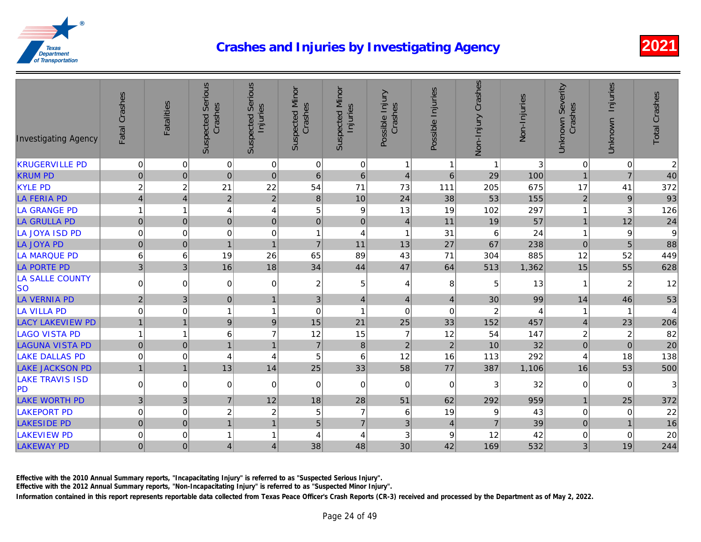| <b>Investigating Agency</b>         | Fatal Crashes   | Fatalities     | <b>Suspected Serious</b><br>Crashes | <b>Suspected Serious</b><br>Injuries | <b>Suspected Minor</b><br>Crashes | <b>Suspected Minor</b><br>Injuries | Possible Injury<br>Crashes | Possible Injuries | Non-Injury Crashes | Non-Injuries |
|-------------------------------------|-----------------|----------------|-------------------------------------|--------------------------------------|-----------------------------------|------------------------------------|----------------------------|-------------------|--------------------|--------------|
| <b>KRUGERVILLE PD</b>               | $\mathbf 0$     | $\mathbf 0$    | 0                                   | $\mathbf 0$                          | $\overline{0}$                    | $\mathbf 0$                        | $\mathbf{1}$               | $\mathbf{1}$      | $\mathbf{1}$       |              |
| <b>KRUM PD</b>                      | $\pmb{0}$       | $\pmb{0}$      | $\mathbf 0$                         | $\pmb{0}$                            | $\,6$                             | $6\phantom{1}$                     | $\overline{4}$             | $6\overline{6}$   | 29                 | 100          |
| <b>KYLE PD</b>                      | $\overline{c}$  | $\overline{c}$ | 21                                  | 22                                   | 54                                | 71                                 | 73                         | 111               | 205                | 675          |
| <b>LA FERIA PD</b>                  | $\vert 4 \vert$ | 4              | $\sqrt{2}$                          | $\overline{2}$                       | $\bf 8$                           | 10                                 | 24                         | 38                | 53                 | 155          |
| LA GRANGE PD                        | $\mathbf{1}$    | 1              | 4                                   | 4                                    | 5                                 | 9                                  | 13                         | 19                | 102                | 297          |
| <b>LA GRULLA PD</b>                 | $\overline{0}$  | $\mathbf 0$    | $\pmb{0}$                           | $\mathbf 0$                          | $\overline{0}$                    | $\mathbf 0$                        | $\overline{4}$             | 11                | 19                 | 57           |
| LA JOYA ISD PD                      | $\pmb{0}$       | $\mathbf 0$    | $\mathbf 0$                         | $\mathbf 0$                          | $\mathbf{1}$                      | $\overline{4}$                     | $\mathbf{1}$               | 31                | 6                  | 24           |
| <b>LA JOYA PD</b>                   | 0               | $\mathbf 0$    | $\mathbf{1}$                        | $\overline{1}$                       | $\overline{7}$                    | 11                                 | 13                         | 27                | 67                 | 238          |
| LA MARQUE PD                        | $\,6$           | 6              | 19                                  | 26                                   | 65                                | 89                                 | 43                         | 71                | 304                | 885          |
| <b>LA PORTE PD</b>                  | $\overline{3}$  | 3 <sup>1</sup> | 16                                  | 18                                   | 34                                | 44                                 | 47                         | 64                | 513                | 1,362        |
| <b>LA SALLE COUNTY</b><br><b>SO</b> | $\Omega$        | $\mathbf 0$    | 0                                   | 0                                    | $\mathbf{2}$                      | 5                                  | 4                          | 8                 | 5                  | 13           |
| <b>LA VERNIA PD</b>                 | $\overline{2}$  | 3              | $\pmb{0}$                           | 1                                    | $\overline{3}$                    | $\overline{4}$                     | $\vert 4 \vert$            | $\overline{4}$    | 30                 | 99           |
| <b>LA VILLA PD</b>                  | $\mathbf 0$     | $\mathbf 0$    | 1                                   | 1                                    | $\mathbf 0$                       | $\overline{1}$                     | $\mathbf 0$                | $\mathbf 0$       | $\boldsymbol{2}$   |              |
| <b>LACY LAKEVIEW PD</b>             | $\mathbf{1}$    | $\mathbf{1}$   | $\boldsymbol{9}$                    | $9\,$                                | 15                                | 21                                 | 25                         | 33                | 152                | 457          |
| LAGO VISTA PD                       | $\mathbf{1}$    | 1              | 6                                   | $\overline{7}$                       | 12                                | 15                                 | $\overline{7}$             | 12                | 54                 | 147          |
| <b>LAGUNA VISTA PD</b>              | $\overline{0}$  | $\mathbf 0$    | $\mathbf{1}$                        |                                      | $\overline{7}$                    | $\boldsymbol{8}$                   | $\sqrt{2}$                 | $\overline{2}$    | 10                 | 32           |
| <b>LAKE DALLAS PD</b>               | $\pmb{0}$       | 0              | 4                                   | 4                                    | 5                                 | 6                                  | 12                         | 16                | 113                | 292          |
| <b>LAKE JACKSON PD</b>              | $\mathbf{1}$    | $\mathbf{1}$   | 13                                  | 14                                   | 25                                | 33                                 | 58                         | 77                | 387                | 1,106        |
| <b>LAKE TRAVIS ISD</b><br> PD       | $\overline{0}$  | $\mathbf 0$    | 0                                   | $\mathbf 0$                          | $\Omega$                          | $\mathbf 0$                        | $\mathbf 0$                | $\mathbf 0$       | 3                  | 32           |
| <b>LAKE WORTH PD</b>                | $\overline{3}$  | 3              | $\overline{7}$                      | 12                                   | 18                                | 28                                 | 51                         | 62                | 292                | 959          |
| <b>LAKEPORT PD</b>                  | $\mathbf 0$     | $\mathbf 0$    | $\overline{c}$                      | $\overline{c}$                       | 5                                 | $\overline{7}$                     | $\,6$                      | 19                | 9                  | 43           |
| <b>LAKESIDE PD</b>                  | $\overline{0}$  | $\mathbf 0$    | $\mathbf{1}$                        |                                      | 5                                 | $\overline{7}$                     | 3                          | $\overline{4}$    | $\overline{7}$     | 39           |
| <b>LAKEVIEW PD</b>                  | $\pmb{0}$       | 0              | $\overline{1}$                      |                                      | 4                                 | 4                                  | $\ensuremath{\mathsf{3}}$  | $\boldsymbol{9}$  | 12                 | 42           |
| <b>LAKEWAY PD</b>                   | $\overline{0}$  | $\mathbf 0$    | $\overline{4}$                      | 4                                    | 38                                | 48                                 | 30                         | 42                | 169                | 532          |

Effective with the 2010 Annual Summary reports, "Incapacitating Injury" is referred to as "Suspected Serious Injury".

Effective with the 2012 Annual Summary reports, "Non-Incapacitating Injury" is referred to as "Suspected Minor Injury".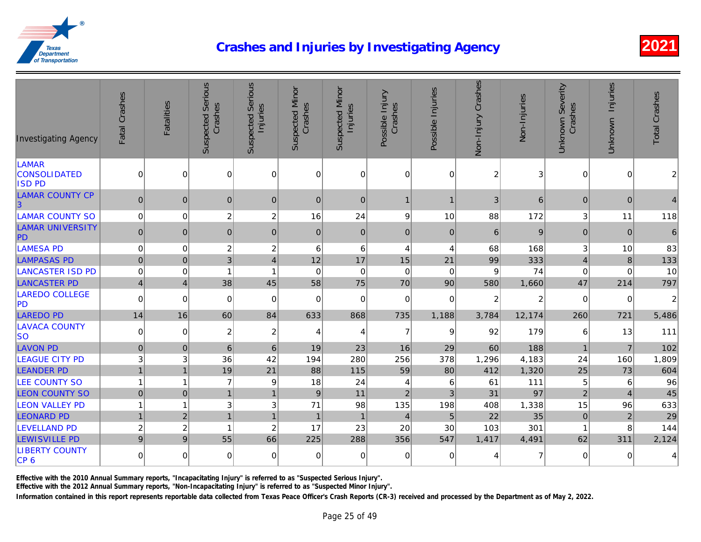| <b>Investigating Agency</b>                   | Fatal Crashes  | Fatalities     | <b>Suspected Serious</b><br>Crashes | <b>Suspected Serious</b><br>Injuries | <b>Suspected Minor</b><br>Crashes | <b>Suspected Minor</b><br>Injuries | Possible Injury<br>Crashes | Possible Injuries | Non-Injury Crashes | Non-Injuries |
|-----------------------------------------------|----------------|----------------|-------------------------------------|--------------------------------------|-----------------------------------|------------------------------------|----------------------------|-------------------|--------------------|--------------|
| LAMAR<br><b>CONSOLIDATED</b><br><b>ISD PD</b> | $\mathbf 0$    | 0              | $\mathbf 0$                         | $\Omega$                             | $\mathbf 0$                       | $\Omega$                           | $\Omega$                   | $\Omega$          | $\overline{c}$     |              |
| <b>LAMAR COUNTY CP</b><br> 3                  | $\mathbf 0$    | $\mathbf 0$    | $\mathbf{0}$                        | $\mathbf{0}$                         | $\mathbf{0}$                      | 0                                  | $\mathbf{1}$               | $\mathbf{1}$      | $\mathfrak{B}$     | 6            |
| <b>LAMAR COUNTY SO</b>                        | $\mathbf 0$    | $\overline{0}$ | $\overline{c}$                      | $\overline{c}$                       | 16                                | 24                                 | 9                          | 10                | 88                 | 172          |
| <b>LAMAR UNIVERSITY</b><br>PD                 | $\mathbf{0}$   | $\mathbf{0}$   | $\mathbf{0}$                        | $\mathbf{0}$                         | $\overline{0}$                    | 0                                  | $\mathbf{0}$               | $\mathbf{0}$      | 6                  |              |
| <b>LAMESA PD</b>                              | $\mathbf 0$    | $\mathbf 0$    | $\overline{c}$                      | $\overline{c}$                       | 6                                 | $6 \mid$                           | $\overline{4}$             | 4                 | 68                 | 168          |
| <b>LAMPASAS PD</b>                            | $\pmb{0}$      | $\mathbf 0$    | 3                                   | $\overline{4}$                       | 12                                | 17                                 | 15                         | 21                | 99                 | 333          |
| <b>LANCASTER ISD PD</b>                       | $\mathbf 0$    | 0              | $\overline{1}$                      | 1                                    | $\mathbf 0$                       | $\Omega$                           | $\mathbf 0$                | $\mathbf 0$       | 9                  | 74           |
| <b>LANCASTER PD</b>                           | $\overline{4}$ | $\vert$        | 38                                  | 45                                   | 58                                | 75                                 | 70                         | 90                | 580                | 1,660        |
| <b>LAREDO COLLEGE</b><br><b>PD</b>            | $\mathbf 0$    | $\overline{0}$ | $\mathbf 0$                         | 0                                    | $\mathbf 0$                       | $\Omega$                           | $\mathbf 0$                | $\mathbf 0$       | $\overline{c}$     |              |
| <b>LAREDO PD</b>                              | 14             | 16             | 60                                  | 84                                   | 633                               | 868                                | 735                        | 1,188             | 3,784              | 12,174       |
| <b>LAVACA COUNTY</b><br><b>SO</b>             | $\mathbf 0$    | $\mathbf 0$    | $\overline{c}$                      | $\overline{2}$                       | 4                                 | 4                                  | $\overline{7}$             | 9                 | 92                 | 179          |
| <b>LAVON PD</b>                               | $\mathbf{0}$   | $\mathbf{0}$   | 6                                   | 6                                    | 19                                | 23                                 | 16                         | 29                | 60                 | 188          |
| <b>LEAGUE CITY PD</b>                         | 3              | $\sqrt{3}$     | 36                                  | 42                                   | 194                               | 280                                | 256                        | 378               | 1,296              | 4,183        |
| <b>LEANDER PD</b>                             | $\overline{1}$ | $\overline{1}$ | 19                                  | 21                                   | 88                                | 115                                | 59                         | 80                | 412                | 1,320        |
| <b>LEE COUNTY SO</b>                          | $\mathbf{1}$   | 1              | $\overline{7}$                      | 9                                    | 18                                | 24                                 | $\overline{4}$             | 6                 | 61                 | $111$        |
| <b>LEON COUNTY SO</b>                         | $\mathbf 0$    | $\mathbf 0$    | $\overline{1}$                      | 1                                    | $\boldsymbol{9}$                  | 11                                 | $\overline{2}$             | 3                 | 31                 | 97           |
| <b>LEON VALLEY PD</b>                         | $\overline{1}$ | $\mathbf{1}$   | 3                                   | 3                                    | 71                                | 98                                 | 135                        | 198               | 408                | 1,338        |
| <b>LEONARD PD</b>                             | $\overline{1}$ | $\overline{2}$ | $\mathbf{1}$                        | $\mathbf{1}$                         | $\overline{1}$                    | $\mathbf{1}$                       | $\overline{4}$             | 5                 | 22                 | 35           |
| <b>LEVELLAND PD</b>                           | $\overline{c}$ | $\overline{c}$ | $\overline{1}$                      | $\overline{2}$                       | 17                                | 23                                 | 20                         | 30                | 103                | 301          |
| <b>LEWISVILLE PD</b>                          | $\overline{9}$ | 9              | 55                                  | 66                                   | 225                               | 288                                | 356                        | 547               | 1,417              | 4,491        |
| <b>LIBERTY COUNTY</b><br>CP <sub>6</sub>      | $\mathbf 0$    | $\Omega$       | $\mathbf 0$                         | 0                                    | 0                                 | $\Omega$                           | 0                          | 0                 | 4                  |              |

Effective with the 2010 Annual Summary reports, "Incapacitating Injury" is referred to as "Suspected Serious Injury".

Effective with the 2012 Annual Summary reports, "Non-Incapacitating Injury" is referred to as "Suspected Minor Injury".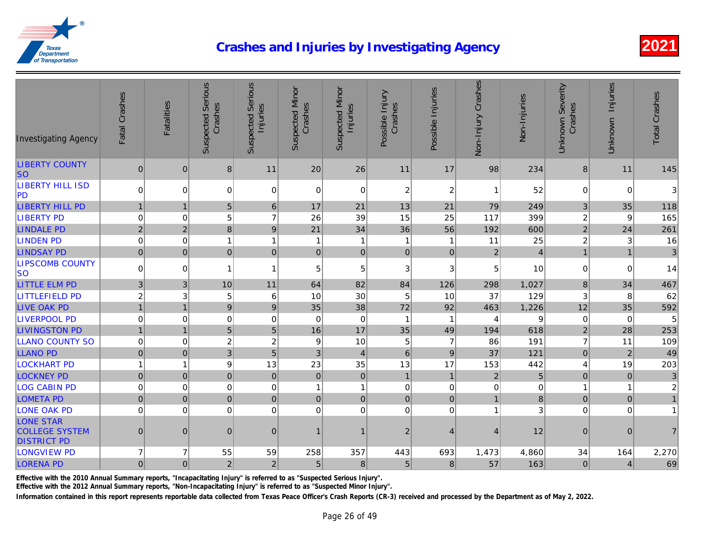| <b>Investigating Agency</b>                                     | Fatal Crashes           | Fatalities     | <b>Suspected Serious</b><br>Crashes | <b>Suspected Serious</b><br>Injuries | <b>Suspected Minor</b><br>Crashes | <b>Suspected Minor</b><br>Injuries | Possible Injury<br>Crashes | Possible Injuries | Non-Injury Crashes | Non-Injuries |
|-----------------------------------------------------------------|-------------------------|----------------|-------------------------------------|--------------------------------------|-----------------------------------|------------------------------------|----------------------------|-------------------|--------------------|--------------|
| <b>LIBERTY COUNTY</b><br><b>SO</b>                              | $\mathbf 0$             | $\mathbf{0}$   | 8                                   | 11                                   | 20                                | 26                                 | 11                         | 17                | 98                 | 234          |
| <b>LIBERTY HILL ISD</b><br> PD                                  | 0                       | 0              | 0                                   | $\Omega$                             | $\overline{0}$                    | $\Omega$                           | $\boldsymbol{2}$           | $\overline{c}$    | $\mathbf{1}$       | 52           |
| <b>LIBERTY HILL PD</b>                                          | $\overline{1}$          | $\mathbf{1}$   | 5                                   | 6                                    | 17                                | 21                                 | 13                         | 21                | 79                 | 249          |
| <b>LIBERTY PD</b>                                               | $\pmb{0}$               | $\mathbf 0$    | 5                                   | $\overline{7}$                       | 26                                | 39                                 | 15                         | 25                | 117                | 399          |
| <b>LINDALE PD</b>                                               | $\sqrt{2}$              | $\overline{2}$ | 8                                   | $9\,$                                | 21                                | 34                                 | 36                         | 56                | 192                | 600          |
| <b>LINDEN PD</b>                                                | $\pmb{0}$               | $\pmb{0}$      | $\mathbf{1}$                        | 1                                    | $\mathbf{1}$                      | -1                                 | $\mathbf 1$                | 1                 | 11                 | 25           |
| <b>LINDSAY PD</b>                                               | $\overline{0}$          | $\mathbf 0$    | $\pmb{0}$                           | $\pmb{0}$                            | 0                                 | 0                                  | $\overline{0}$             | $\pmb{0}$         | $\overline{2}$     |              |
| <b>LIPSCOMB COUNTY</b><br> so                                   | $\overline{0}$          | 0              | 1                                   | $\overline{1}$                       | 5                                 | 5                                  | 3                          | 3                 | 5                  | 10           |
| <b>LITTLE ELM PD</b>                                            | $\sqrt{3}$              | 3              | 10                                  | 11                                   | 64                                | 82                                 | 84                         | 126               | 298                | 1,027        |
| <b>LITTLEFIELD PD</b>                                           | $\overline{\mathbf{c}}$ | 3              | 5                                   | 6                                    | 10                                | 30                                 | 5                          | 10                | 37                 | 129          |
| <b>LIVE OAK PD</b>                                              | $\overline{1}$          | $\overline{1}$ | $\boldsymbol{9}$                    | 9                                    | 35                                | 38                                 | 72                         | 92                | 463                | 1,226        |
| <b>LIVERPOOL PD</b>                                             | $\pmb{0}$               | $\mathbf 0$    | $\mathbf 0$                         | $\mathbf 0$                          | 0                                 | $\mathbf 0$                        | $\overline{1}$             | $\mathbf{1}$      | $\overline{4}$     |              |
| <b>LIVINGSTON PD</b>                                            | $\overline{1}$          | $\mathbf{1}$   | 5                                   | 5                                    | 16                                | 17                                 | 35                         | 49                | 194                | 618          |
| <b>LLANO COUNTY SO</b>                                          | $\pmb{0}$               | 0              | $\boldsymbol{2}$                    | $\boldsymbol{2}$                     | $\boldsymbol{9}$                  | 10                                 | 5                          | $\overline{7}$    | 86                 | 191          |
| <b>LLANO PD</b>                                                 | $\overline{0}$          | $\pmb{0}$      | $\mathbf{3}$                        | $\overline{5}$                       | $\sqrt{3}$                        | $\overline{4}$                     | $\,6$                      | $\boldsymbol{9}$  | 37                 | 121          |
| <b>LOCKHART PD</b>                                              | $\mathbf{1}$            | $\mathbf{1}$   | 9                                   | 13                                   | 23                                | 35                                 | 13                         | 17                | 153                | 442          |
| <b>LOCKNEY PD</b>                                               | $\overline{0}$          | $\mathbf 0$    | $\pmb{0}$                           | $\mathbf{0}$                         | $\overline{0}$                    | $\mathbf 0$                        | $\mathbf{1}$               | $\mathbf{1}$      | $\sqrt{2}$         |              |
| <b>LOG CABIN PD</b>                                             | $\pmb{0}$               | $\mathbf 0$    | $\boldsymbol{0}$                    | $\mathbf 0$                          | $\mathbf{1}$                      | $\overline{1}$                     | $\mathbf 0$                | $\mathbf 0$       | $\mathbf 0$        |              |
| <b>LOMETA PD</b>                                                | $\mathbf 0$             | $\mathbf 0$    | $\mathbf 0$                         | $\mathbf 0$                          | $\overline{0}$                    | $\pmb{0}$                          | $\pmb{0}$                  | $\mathbf 0$       | $\mathbf{1}$       |              |
| <b>LONE OAK PD</b>                                              | $\mathbf 0$             | $\mathbf 0$    | 0                                   | $\mathbf 0$                          | $\Omega$                          | $\mathbf 0$                        | $\mathbf 0$                | $\mathbf 0$       | $\mathbf{1}$       |              |
| <b>LONE STAR</b><br><b>COLLEGE SYSTEM</b><br><b>DISTRICT PD</b> | $\mathbf 0$             | $\overline{0}$ | $\pmb{0}$                           | $\boldsymbol{0}$                     | $\mathbf{1}$                      |                                    | $\overline{2}$             | $\overline{4}$    | $\vert 4 \vert$    | 12           |
| <b>LONGVIEW PD</b>                                              | $\overline{7}$          | 7              | 55                                  | 59                                   | 258                               | 357                                | 443                        | 693               | 1,473              | 4,860        |
| <b>LORENA PD</b>                                                | $\overline{0}$          | $\mathbf 0$    | $\overline{c}$                      | $\overline{2}$                       | 5                                 | 8                                  | $\sqrt{5}$                 | 8                 | 57                 | 163          |

Effective with the 2010 Annual Summary reports, "Incapacitating Injury" is referred to as "Suspected Serious Injury".

Effective with the 2012 Annual Summary reports, "Non-Incapacitating Injury" is referred to as "Suspected Minor Injury".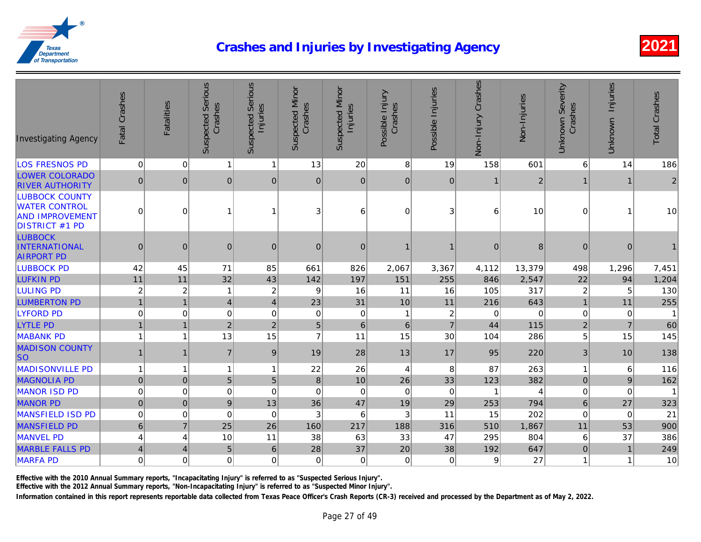| <b>Investigating Agency</b>                                                                      | Fatal Crashes           | <b>Fatalities</b> | <b>Suspected Serious</b><br>Crashes | <b>Suspected Serious</b><br>Injuries | <b>Suspected Minor</b><br>Crashes | <b>Suspected Minor</b><br>Injuries | Possible Injury<br>Crashes | Possible Injuries       | Non-Injury Crashes | Non-Injuries |
|--------------------------------------------------------------------------------------------------|-------------------------|-------------------|-------------------------------------|--------------------------------------|-----------------------------------|------------------------------------|----------------------------|-------------------------|--------------------|--------------|
| <b>LOS FRESNOS PD</b>                                                                            | $\mathbf 0$             | $\mathbf 0$       | $\mathbf{1}$                        | $\mathbf{1}$                         | 13                                | 20                                 | 8                          | 19                      | 158                | 601          |
| <b>LOWER COLORADO</b><br><b>RIVER AUTHORITY</b>                                                  | 0                       | $\mathbf{0}$      | $\mathbf{0}$                        | $\mathbf{0}$                         | $\overline{0}$                    | $\mathbf{0}$                       | $\mathbf{0}$               | $\mathbf 0$             | $\mathbf{1}$       |              |
| <b>LUBBOCK COUNTY</b><br><b>WATER CONTROL</b><br><b>AND IMPROVEMENT</b><br><b>DISTRICT #1 PD</b> | 0                       | 0                 | 1                                   | 1                                    | 3                                 | 6                                  | $\mathbf 0$                | 3                       | 6                  | 10           |
| <b>LUBBOCK</b><br><b>INTERNATIONAL</b><br><b>AIRPORT PD</b>                                      | $\mathbf 0$             | $\mathbf{0}$      | $\pmb{0}$                           | $\mathbf{0}$                         | $\overline{0}$                    | $\mathbf{0}$                       |                            | 1                       | $\pmb{0}$          |              |
| <b>LUBBOCK PD</b>                                                                                | 42                      | 45                | 71                                  | 85                                   | 661                               | 826                                | 2,067                      | 3,367                   | 4,112              | 13,379       |
| <b>LUFKIN PD</b>                                                                                 | 11                      | 11                | 32                                  | 43                                   | 142                               | 197                                | 151                        | 255                     | 846                | 2,547        |
| <b>LULING PD</b>                                                                                 | $\overline{c}$          | $\boldsymbol{2}$  | $\mathbf 1$                         | $\boldsymbol{2}$                     | 9                                 | 16                                 | 11                         | 16                      | 105                | 317          |
| <b>LUMBERTON PD</b>                                                                              | $\mathbf{1}$            | $\overline{1}$    | $\overline{\mathbf{4}}$             | $\overline{4}$                       | 23                                | 31                                 | 10                         | 11                      | 216                | 643          |
| <b>LYFORD PD</b>                                                                                 | $\mathbf 0$             | $\mathbf 0$       | 0                                   | $\mathbf 0$                          | $\Omega$                          | $\mathbf 0$                        | 1                          | $\overline{\mathbf{c}}$ | $\mathbf 0$        |              |
| <b>LYTLE PD</b>                                                                                  | $\mathbf{1}$            | $\mathbf{1}$      | $\overline{2}$                      | $\overline{2}$                       | 5 <sup>1</sup>                    | 6                                  | $\,6\,$                    | $\overline{7}$          | 44                 | 115          |
| <b>MABANK PD</b>                                                                                 | $\mathbf{1}$            | 1                 | 13                                  | 15                                   | $\overline{7}$                    | 11                                 | 15                         | 30                      | 104                | 286          |
| <b>MADISON COUNTY</b><br><b>SO</b>                                                               | $\mathbf{1}$            | 1                 | $\overline{7}$                      | 9                                    | 19                                | 28                                 | 13                         | 17                      | 95                 | 220          |
| <b>MADISONVILLE PD</b>                                                                           | $\mathbf{1}$            | $\mathbf{1}$      | $\mathbf{1}$                        | 1                                    | 22                                | 26                                 | $\overline{4}$             | 8                       | 87                 | 263          |
| <b>MAGNOLIA PD</b>                                                                               | $\overline{0}$          | $\pmb{0}$         | 5                                   | 5                                    | $\bf 8$                           | 10                                 | 26                         | 33                      | 123                | 382          |
| <b>MANOR ISD PD</b>                                                                              | $\pmb{0}$               | $\mathbf 0$       | $\boldsymbol{0}$                    | $\mathbf 0$                          | $\overline{0}$                    | $\mathbf 0$                        | $\mathbf 0$                | $\mathbf 0$             | $\overline{1}$     |              |
| <b>MANOR PD</b>                                                                                  | $\pmb{0}$               | $\mathbf 0$       | $9\,$                               | 13                                   | 36                                | 47                                 | 19                         | 29                      | 253                | 794          |
| <b>MANSFIELD ISD PD</b>                                                                          | $\pmb{0}$               | $\mathbf 0$       | $\mathsf 0$                         | $\mathbf 0$                          | 3                                 | 6                                  | 3                          | 11                      | 15                 | 202          |
| <b>MANSFIELD PD</b>                                                                              | 6 <sup>1</sup>          | $\overline{7}$    | 25                                  | 26                                   | 160                               | 217                                | 188                        | 316                     | 510                | 1,867        |
| <b>MANVEL PD</b>                                                                                 | $\overline{\mathbf{4}}$ | 4                 | 10                                  | 11                                   | 38                                | 63                                 | 33                         | 47                      | 295                | 804          |
| <b>MARBLE FALLS PD</b>                                                                           | $\vert 4 \vert$         | 4                 | 5                                   | 6                                    | 28                                | 37                                 | 20                         | 38                      | 192                | 647          |
| <b>MARFA PD</b>                                                                                  | $\overline{0}$          | $\mathbf 0$       | 0                                   | 0                                    | $\Omega$                          | $\mathbf 0$                        | $\mathbf 0$                | $\mathbf 0$             | 9                  | 27           |

Effective with the 2010 Annual Summary reports, "Incapacitating Injury" is referred to as "Suspected Serious Injury".

Effective with the 2012 Annual Summary reports, "Non-Incapacitating Injury" is referred to as "Suspected Minor Injury".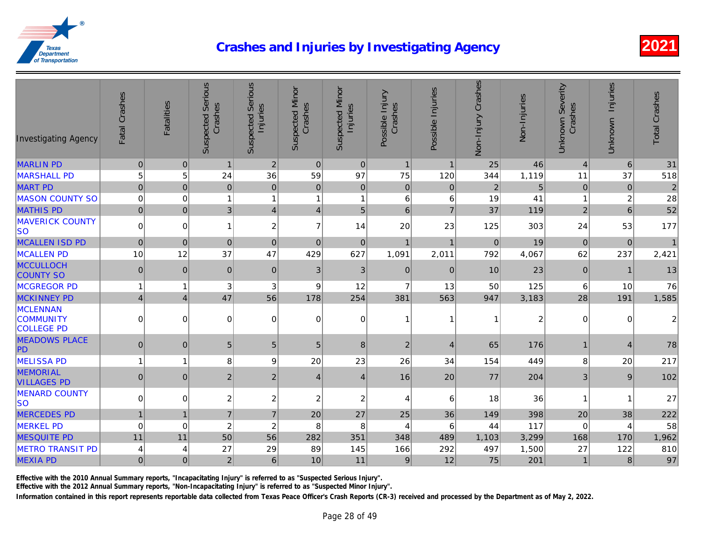| <b>Investigating Agency</b>                              | Fatal Crashes   | Fatalities       | <b>Suspected Serious</b><br>Crashes | <b>Suspected Serious</b><br>Injuries | <b>Suspected Minor</b><br>Crashes | <b>Suspected Minor</b><br>Injuries | Possible Injury<br>Crashes | Possible Injuries | Non-Injury Crashes | Non-Injuries |
|----------------------------------------------------------|-----------------|------------------|-------------------------------------|--------------------------------------|-----------------------------------|------------------------------------|----------------------------|-------------------|--------------------|--------------|
| <b>MARLIN PD</b>                                         | $\pmb{0}$       | $\mathbf 0$      | $\mathbf{1}$                        | $\overline{2}$                       | $\overline{0}$                    | $\pmb{0}$                          | $\mathbf{1}$               | $\mathbf{1}$      | 25                 | 46           |
| <b>MARSHALL PD</b>                                       | $\sqrt{5}$      | 5                | 24                                  | 36                                   | 59                                | 97                                 | 75                         | 120               | 344                | 1,119        |
| <b>MART PD</b>                                           | $\pmb{0}$       | $\mathbf 0$      | $\mathbf 0$                         | $\mathbf 0$                          | $\overline{0}$                    | $\boldsymbol{0}$                   | $\mathbf 0$                | $\pmb{0}$         | $\mathbf 2$        |              |
| <b>MASON COUNTY SO</b>                                   | $\mathbf 0$     | $\mathbf 0$      | 1                                   | 1                                    | $\mathbf{1}$                      | -1                                 | 6                          | 6                 | 19                 | 41           |
| <b>MATHIS PD</b>                                         | $\pmb{0}$       | $\mathbf 0$      | 3                                   | $\overline{4}$                       | $\vert 4 \vert$                   | 5                                  | $6\phantom{a}$             | $\overline{7}$    | 37                 | 119          |
| <b>MAVERICK COUNTY</b><br><b>SO</b>                      | $\Omega$        | 0                | $\mathbf{1}$                        | $\overline{c}$                       | $\overline{7}$                    | 14                                 | 20                         | 23                | 125                | 303          |
| <b>MCALLEN ISD PD</b>                                    | $\pmb{0}$       | $\overline{0}$   | $\pmb{0}$                           | $\mathbf{0}$                         | $\overline{0}$                    | $\mathbf{0}$                       | $\mathbf{1}$               | $\mathbf{1}$      | $\pmb{0}$          | 19           |
| <b>MCALLEN PD</b>                                        | 10              | 12               | 37                                  | 47                                   | 429                               | 627                                | 1,091                      | 2,011             | 792                | 4,067        |
| <b>MCCULLOCH</b><br><b>COUNTY SO</b>                     | $\mathbf 0$     | $\boldsymbol{0}$ | $\pmb{0}$                           | $\mathbf{0}$                         | 3 <sup>1</sup>                    | 3                                  | $\pmb{0}$                  | $\mathbf{0}$      | 10                 | 23           |
| <b>MCGREGOR PD</b>                                       | $\mathbf{1}$    | 1                | 3                                   | 3                                    | 9                                 | 12                                 | $\overline{7}$             | 13                | 50                 | 125          |
| <b>MCKINNEY PD</b>                                       | $\vert 4 \vert$ | $\overline{4}$   | 47                                  | 56                                   | 178                               | 254                                | 381                        | 563               | 947                | 3,183        |
| <b>MCLENNAN</b><br><b>COMMUNITY</b><br><b>COLLEGE PD</b> | $\mathbf 0$     | 0                | 0                                   | 0                                    | $\Omega$                          | $\mathbf 0$                        | -1                         | 1                 | $\mathbf 1$        |              |
| <b>MEADOWS PLACE</b><br>PD                               | 0               | $\mathbf{0}$     | 5                                   | 5                                    | 5 <sub>5</sub>                    | 8                                  | $\overline{2}$             | $\overline{4}$    | 65                 | 176          |
| <b>MELISSA PD</b>                                        | $\mathbf{1}$    | $\mathbf 1$      | 8                                   | 9                                    | 20                                | 23                                 | 26                         | 34                | 154                | 449          |
| <b>MEMORIAL</b><br><b>VILLAGES PD</b>                    | $\pmb{0}$       | $\boldsymbol{0}$ | $\overline{c}$                      | $\boldsymbol{2}$                     | $\vert 4 \vert$                   | $\overline{4}$                     | 16                         | 20                | 77                 | 204          |
| <b>MENARD COUNTY</b><br> so                              | 0               | 0                | $\overline{c}$                      | $\boldsymbol{2}$                     | $\overline{\mathbf{c}}$           | $\boldsymbol{2}$                   | 4                          | 6                 | 18                 | 36           |
| <b>MERCEDES PD</b>                                       | $\overline{1}$  | $\mathbf{1}$     | $\overline{7}$                      | $\overline{7}$                       | 20                                | 27                                 | 25                         | 36                | 149                | 398          |
| <b>MERKEL PD</b>                                         | $\mathbf 0$     | $\mathbf 0$      | $\boldsymbol{2}$                    | $\overline{c}$                       | 8                                 | 8                                  | 4                          | 6                 | 44                 | 117          |
| <b>MESQUITE PD</b>                                       | 11              | 11               | 50                                  | 56                                   | 282                               | 351                                | 348                        | 489               | 1,103              | 3,299        |
| <b>METRO TRANSIT PD</b>                                  | 4               | 4                | 27                                  | 29                                   | 89                                | 145                                | 166                        | 292               | 497                | 1,500        |
| <b>MEXIA PD</b>                                          | $\pmb{0}$       | $\overline{0}$   | $\sqrt{2}$                          | 6                                    | 10                                | 11                                 | $9\,$                      | 12                | 75                 | 201          |

Effective with the 2010 Annual Summary reports, "Incapacitating Injury" is referred to as "Suspected Serious Injury".

Effective with the 2012 Annual Summary reports, "Non-Incapacitating Injury" is referred to as "Suspected Minor Injury".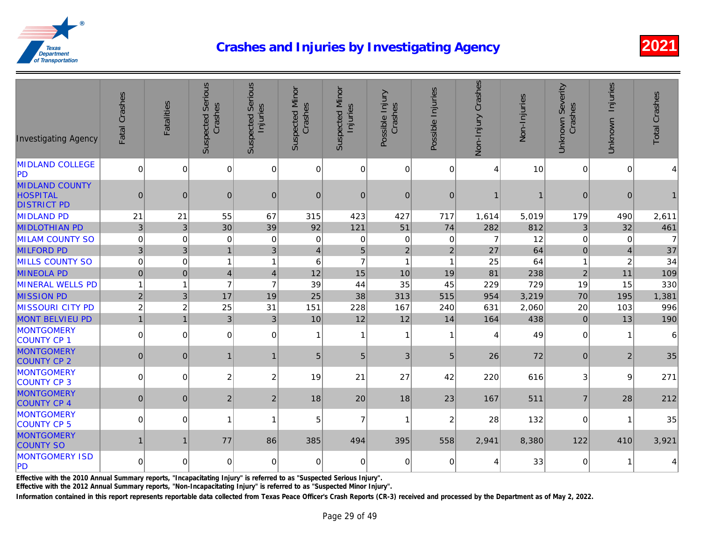| <b>Investigating Agency</b>                                    | Fatal Crashes  | Fatalities     | <b>Suspected Serious</b><br>Crashes | <b>Suspected Serious</b><br>Injuries | <b>Suspected Minor</b><br>Crashes | <b>Suspected Minor</b><br>Injuries | Possible Injury<br>Crashes | Possible Injuries | Non-Injury Crashes | Non-Injuries |
|----------------------------------------------------------------|----------------|----------------|-------------------------------------|--------------------------------------|-----------------------------------|------------------------------------|----------------------------|-------------------|--------------------|--------------|
| <b>MIDLAND COLLEGE</b><br><b>PD</b>                            | $\mathbf 0$    | $\overline{0}$ | 0                                   | $\overline{0}$                       | $\overline{0}$                    | 0                                  | $\overline{0}$             | $\mathbf 0$       | $\overline{4}$     | 10           |
| <b>MIDLAND COUNTY</b><br><b>HOSPITAL</b><br><b>DISTRICT PD</b> | $\mathbf 0$    | $\overline{0}$ | $\overline{0}$                      | $\mathbf{0}$                         | $\mathbf{0}$                      | $\overline{0}$                     | $\mathbf{0}$               | $\mathbf{0}$      | 1                  |              |
| <b>MIDLAND PD</b>                                              | 21             | 21             | 55                                  | 67                                   | 315                               | 423                                | 427                        | 717               | 1,614              | 5,019        |
| <b>MIDLOTHIAN PD</b>                                           | $\mathbf{3}$   | $\mathbf{3}$   | 30                                  | 39                                   | 92                                | 121                                | 51                         | 74                | 282                | 812          |
| <b>MILAM COUNTY SO</b>                                         | $\mathbf 0$    | $\Omega$       | $\mathbf 0$                         | $\Omega$                             | $\mathbf 0$                       | $\Omega$                           | $\mathbf 0$                | $\mathbf 0$       | $\overline{7}$     | 12           |
| <b>MILFORD PD</b>                                              | $\mathfrak{B}$ | 3              | $\overline{1}$                      | 3                                    | $\overline{4}$                    | 5                                  | $\overline{2}$             | $\overline{2}$    | 27                 | 64           |
| <b>MILLS COUNTY SO</b>                                         | $\mathbf 0$    | $\mathbf 0$    | $\overline{1}$                      | 1                                    | 6                                 | $\overline{7}$                     | 1                          | $\overline{1}$    | 25                 | 64           |
| <b>MINEOLA PD</b>                                              | $\pmb{0}$      | 0              | $\overline{4}$                      | $\overline{4}$                       | 12                                | 15                                 | 10                         | 19                | 81                 | 238          |
| <b>MINERAL WELLS PD</b>                                        | $\overline{1}$ | 1              | $\overline{7}$                      | $\overline{7}$                       | 39                                | 44                                 | 35                         | 45                | 229                | 729          |
| <b>MISSION PD</b>                                              | $\overline{2}$ | 3 <sup>1</sup> | 17                                  | 19                                   | 25                                | 38                                 | 313                        | 515               | 954                | 3,219        |
| <b>MISSOURI CITY PD</b>                                        | $\overline{c}$ | $\overline{c}$ | 25                                  | 31                                   | 151                               | 228                                | 167                        | 240               | 631                | 2,060        |
| <b>MONT BELVIEU PD</b>                                         | $\overline{1}$ | $\overline{1}$ | 3                                   | 3                                    | 10                                | 12                                 | 12                         | 14                | 164                | 438          |
| <b>MONTGOMERY</b><br>COUNTY CP 1                               | $\mathbf 0$    | $\Omega$       | $\Omega$                            | $\Omega$                             | $\overline{1}$                    | 1                                  | $\overline{1}$             | $\mathbf{1}$      | 4                  | 49           |
| <b>MONTGOMERY</b><br><b>COUNTY CP 2</b>                        | $\mathbf{0}$   | $\mathbf{0}$   | $\mathbf{1}$                        | 1                                    | $5\phantom{.0}$                   | 5 <sub>5</sub>                     | 3                          | 5                 | 26                 | 72           |
| <b>MONTGOMERY</b><br>COUNTY CP 3                               | $\mathbf 0$    | $\overline{0}$ | $\overline{c}$                      | 2                                    | 19                                | 21                                 | 27                         | 42                | 220                | 616          |
| <b>MONTGOMERY</b><br><b>COUNTY CP 4</b>                        | $\mathbf{0}$   | $\mathbf{0}$   | $\overline{2}$                      | 2 <sup>1</sup>                       | 18                                | 20                                 | 18                         | 23                | 167                | 511          |
| <b>MONTGOMERY</b><br>COUNTY CP 5                               | $\mathbf 0$    | $\Omega$       | $\overline{1}$                      | 1                                    | 5                                 | $\overline{7}$                     | $\overline{ }$             | 2                 | 28                 | 132          |
| <b>MONTGOMERY</b><br><b>COUNTY SO</b>                          | $\mathbf{1}$   | 1              | 77                                  | 86                                   | 385                               | 494                                | 395                        | 558               | 2,941              | 8,380        |
| <b>MONTGOMERY ISD</b><br>PD                                    | $\mathbf 0$    | 0              | 0                                   | $\Omega$                             | 0                                 | $\Omega$                           | $\mathbf 0$                | 0                 | 4                  | 33           |

Effective with the 2010 Annual Summary reports, "Incapacitating Injury" is referred to as "Suspected Serious Injury".

Effective with the 2012 Annual Summary reports, "Non-Incapacitating Injury" is referred to as "Suspected Minor Injury".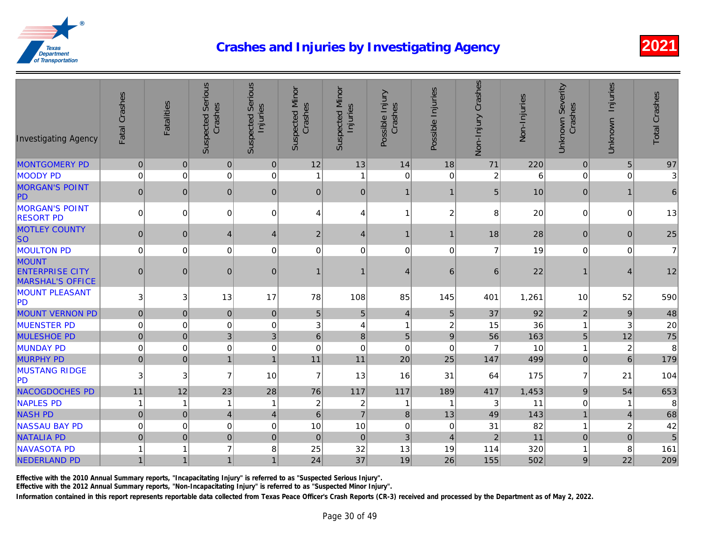| <b>Investigating Agency</b>                                       | Fatal Crashes  | <b>Fatalities</b> | <b>Suspected Serious</b><br>Crashes | <b>Suspected Serious</b><br>Injuries | <b>Suspected Minor</b><br>Crashes | <b>Suspected Minor</b><br>Injuries | Possible Injury<br>Crashes | Possible Injuries | Non-Injury Crashes | Non-Injuries |
|-------------------------------------------------------------------|----------------|-------------------|-------------------------------------|--------------------------------------|-----------------------------------|------------------------------------|----------------------------|-------------------|--------------------|--------------|
| <b>MONTGOMERY PD</b>                                              | $\pmb{0}$      | $\mathbf 0$       | $\pmb{0}$                           | 0                                    | 12                                | 13                                 | 14                         | 18                | 71                 | 220          |
| <b>MOODY PD</b>                                                   | $\mathbf 0$    | $\mathbf 0$       | $\mathbf 0$                         | 0                                    | 1                                 | 1                                  | $\mathbf 0$                | $\Omega$          | $\overline{c}$     |              |
| <b>MORGAN'S POINT</b><br>PD                                       | $\mathbf 0$    | $\mathbf{0}$      | $\mathbf{0}$                        | $\mathbf{0}$                         | $\overline{0}$                    | 0                                  | $\mathbf 1$                | 1                 | 5 <sub>5</sub>     | 10           |
| <b>MORGAN'S POINT</b><br><b>RESORT PD</b>                         | $\mathbf 0$    | $\mathbf 0$       | 0                                   | 0                                    | 4                                 | 4                                  | -1                         | $\overline{c}$    | 8                  | 20           |
| <b>MOTLEY COUNTY</b><br><b>SO</b>                                 | $\mathbf 0$    | $\mathbf 0$       | $\overline{4}$                      | $\overline{4}$                       | $\boldsymbol{2}$                  | $\overline{4}$                     | $\mathbf 1$                | $\mathbf{1}$      | 18                 | 28           |
| <b>MOULTON PD</b>                                                 | $\mathbf 0$    | 0                 | $\mathbf 0$                         | 0                                    | $\mathbf 0$                       | $\Omega$                           | $\mathbf 0$                | $\mathbf 0$       | $\overline{7}$     | 19           |
| <b>MOUNT</b><br><b>ENTERPRISE CITY</b><br><b>MARSHAL'S OFFICE</b> | $\mathbf{0}$   | $\mathbf{0}$      | $\mathbf{0}$                        | $\mathbf{0}$                         | 1                                 | 1                                  | $\overline{4}$             | 6                 | 6                  | 22           |
| <b>MOUNT PLEASANT</b><br>PD                                       | 3              | 3                 | 13                                  | 17                                   | 78                                | 108                                | 85                         | 145               | 401                | 1,261        |
| <b>MOUNT VERNON PD</b>                                            | $\pmb{0}$      | $\pmb{0}$         | $\pmb{0}$                           | $\mathbf 0$                          | $\overline{5}$                    | 5                                  | $\overline{4}$             | 5                 | 37                 | 92           |
| <b>MUENSTER PD</b>                                                | $\mathbf 0$    | $\mathbf 0$       | 0                                   | 0                                    | 3                                 | 4                                  | $\mathbf{1}$               | $\overline{c}$    | 15                 | 36           |
| <b>MULESHOE PD</b>                                                | $\pmb{0}$      | $\pmb{0}$         | 3                                   | 3                                    | $6\phantom{a}$                    | 8                                  | $\overline{5}$             | 9                 | 56                 | 163          |
| <b>MUNDAY PD</b>                                                  | $\pmb{0}$      | $\mathbf 0$       | $\pmb{0}$                           | 0                                    | $\mathbf 0$                       | $\Omega$                           | $\mathbf 0$                | $\mathbf 0$       | $\overline{7}$     | 10           |
| <b>MURPHY PD</b>                                                  | $\pmb{0}$      | $\overline{0}$    | $\mathbf{1}$                        | $\mathbf{1}$                         | 11                                | 11                                 | 20                         | 25                | 147                | 499          |
| <b>MUSTANG RIDGE</b><br><b>PD</b>                                 | 3              | $\sqrt{3}$        | $\overline{7}$                      | 10                                   | $\overline{7}$                    | 13                                 | 16                         | 31                | 64                 | 175          |
| NACOGDOCHES PD                                                    | 11             | 12                | 23                                  | 28                                   | 76                                | 117                                | 117                        | 189               | 417                | 1,453        |
| <b>NAPLES PD</b>                                                  | $\mathbf 1$    | $\mathbf{1}$      | $\overline{1}$                      | 1                                    | $\boldsymbol{2}$                  | $\overline{c}$                     |                            | $\mathbf{1}$      | 3                  | 11           |
| <b>NASH PD</b>                                                    | $\mathbf 0$    | $\mathbf 0$       | $\overline{\mathbf{4}}$             | $\overline{4}$                       | $6\phantom{1}$                    | $\overline{7}$                     | $\bf{8}$                   | 13                | 49                 | 143          |
| <b>NASSAU BAY PD</b>                                              | $\mathbf 0$    | $\mathbf 0$       | $\mathbf 0$                         | $\Omega$                             | 10                                | 10                                 | $\mathbf 0$                | $\mathbf 0$       | 31                 | 82           |
| <b>NATALIA PD</b>                                                 | $\mathbf 0$    | $\pmb{0}$         | $\pmb{0}$                           | $\pmb{0}$                            | $\mathbf 0$                       | 0                                  | $\mathfrak{B}$             | $\overline{4}$    | $\mathbf 2$        | 11           |
| <b>NAVASOTA PD</b>                                                | $\overline{1}$ | 1                 | $\overline{7}$                      | 8                                    | 25                                | 32                                 | 13                         | 19                | 114                | 320          |
| NEDERLAND PD                                                      | $\mathbf{1}$   | $\mathbf{1}$      | 1                                   | 1                                    | 24                                | 37                                 | 19                         | 26                | 155                | 502          |

Effective with the 2010 Annual Summary reports, "Incapacitating Injury" is referred to as "Suspected Serious Injury".

Effective with the 2012 Annual Summary reports, "Non-Incapacitating Injury" is referred to as "Suspected Minor Injury".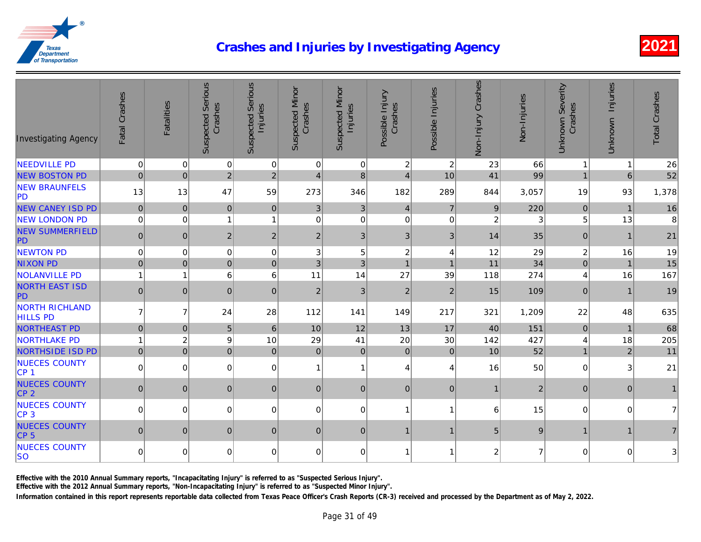| <b>Investigating Agency</b>              | Fatal Crashes  | <b>Fatalities</b> | <b>Suspected Serious</b><br>Crashes | <b>Suspected Serious</b><br>Injuries | <b>Suspected Minor</b><br>Crashes | Suspected Minor<br>Injuries | Possible Injury<br>Crashes | Possible Injuries | Non-Injury Crashes | Non-Injuries |
|------------------------------------------|----------------|-------------------|-------------------------------------|--------------------------------------|-----------------------------------|-----------------------------|----------------------------|-------------------|--------------------|--------------|
| <b>NEEDVILLE PD</b>                      | $\mathbf 0$    | $\overline{0}$    | $\mathbf 0$                         | $\overline{0}$                       | $\mathbf 0$                       | 0                           | $\mathbf{2}$               | $\overline{c}$    | 23                 | 66           |
| <b>NEW BOSTON PD</b>                     | $\mathbf{0}$   | 0                 | $\overline{2}$                      | $\overline{2}$                       | $\overline{4}$                    | 8 <sup>1</sup>              | $\overline{4}$             | 10                | 41                 | 99           |
| <b>NEW BRAUNFELS</b><br>PD               | 13             | 13                | 47                                  | 59                                   | 273                               | 346                         | 182                        | 289               | 844                | 3,057        |
| <b>NEW CANEY ISD PD</b>                  | $\pmb{0}$      | $\pmb{0}$         | $\pmb{0}$                           | 0                                    | 3 <sup>1</sup>                    | 3 <sup>1</sup>              | $\overline{4}$             | $\overline{7}$    | 9                  | 220          |
| <b>NEW LONDON PD</b>                     | $\mathbf 0$    | $\mathbf 0$       | $\mathbf{1}$                        | 1                                    | $\mathbf 0$                       | $\overline{0}$              | $\mathbf 0$                | $\mathbf 0$       | $\overline{c}$     |              |
| <b>NEW SUMMERFIELD</b><br>PD             | $\pmb{0}$      | 0                 | $\mathbf 2$                         | $\overline{c}$                       | $\overline{2}$                    | 3 <sup>1</sup>              | 3 <sup>1</sup>             | $\mathfrak{B}$    | 14                 | 35           |
| <b>NEWTON PD</b>                         | $\pmb{0}$      | $\pmb{0}$         | $\pmb{0}$                           | 0                                    | 3                                 | 5                           | $\overline{c}$             | 4                 | 12                 | 29           |
| <b>NIXON PD</b>                          | $\pmb{0}$      | $\pmb{0}$         | $\pmb{0}$                           | $\pmb{0}$                            | 3                                 | 3                           | $\mathbf{1}$               | $\overline{1}$    | 11                 | 34           |
| <b>NOLANVILLE PD</b>                     | $\overline{1}$ | 1                 | 6                                   | 6                                    | 11                                | 14                          | 27                         | 39                | 118                | 274          |
| <b>NORTH EAST ISD</b><br>PD              | $\pmb{0}$      | $\mathbf 0$       | $\pmb{0}$                           | $\pmb{0}$                            | $\overline{2}$                    | 3 <sup>1</sup>              | $\overline{2}$             | $\overline{2}$    | 15                 | 109          |
| <b>NORTH RICHLAND</b><br><b>HILLS PD</b> | $\overline{7}$ | $\overline{7}$    | 24                                  | 28                                   | 112                               | 141                         | 149                        | 217               | 321                | 1,209        |
| <b>NORTHEAST PD</b>                      | $\pmb{0}$      | $\overline{0}$    | 5                                   | $6\phantom{1}$                       | 10                                | 12                          | 13                         | 17                | 40                 | 151          |
| <b>NORTHLAKE PD</b>                      | $\overline{1}$ | $\overline{c}$    | $\boldsymbol{9}$                    | 10                                   | 29                                | 41                          | 20                         | 30                | 142                | 427          |
| NORTHSIDE ISD PD                         | $\pmb{0}$      | $\overline{0}$    | $\mathbf 0$                         | $\pmb{0}$                            | $\overline{0}$                    | 0                           | $\overline{0}$             | $\mathbf 0$       | 10                 | 52           |
| <b>NUECES COUNTY</b><br>CP <sub>1</sub>  | $\mathbf 0$    | $\overline{0}$    | $\mathbf 0$                         | 0                                    | $\mathbf{1}$                      | 1                           | $\overline{\mathbf{4}}$    | $\overline{4}$    | 16                 | 50           |
| <b>NUECES COUNTY</b><br>CP <sub>2</sub>  | $\pmb{0}$      | 0                 | $\mathbf{0}$                        | $\mathbf{0}$                         | $\overline{0}$                    | 0                           | $\overline{0}$             | $\pmb{0}$         | $\mathbf{1}$       |              |
| <b>NUECES COUNTY</b><br>CP <sub>3</sub>  | $\mathbf 0$    | $\Omega$          | $\Omega$                            | $\Omega$                             | $\Omega$                          | $\Omega$                    | $\overline{1}$             | 1                 | 6                  | 15           |
| <b>NUECES COUNTY</b><br>CP <sub>5</sub>  | $\mathbf 0$    | $\mathbf{0}$      | $\mathbf{0}$                        | $\mathbf{0}$                         | $\overline{0}$                    | $\overline{0}$              | $\mathbf{1}$               | $\mathbf{1}$      | 5                  |              |
| <b>NUECES COUNTY</b><br><b>SO</b>        | 0              | $\Omega$          | 0                                   | 0                                    | 0                                 | $\overline{0}$              | $\mathbf 1$                | 1                 | $\overline{c}$     |              |

Effective with the 2010 Annual Summary reports, "Incapacitating Injury" is referred to as "Suspected Serious Injury".

Effective with the 2012 Annual Summary reports, "Non-Incapacitating Injury" is referred to as "Suspected Minor Injury".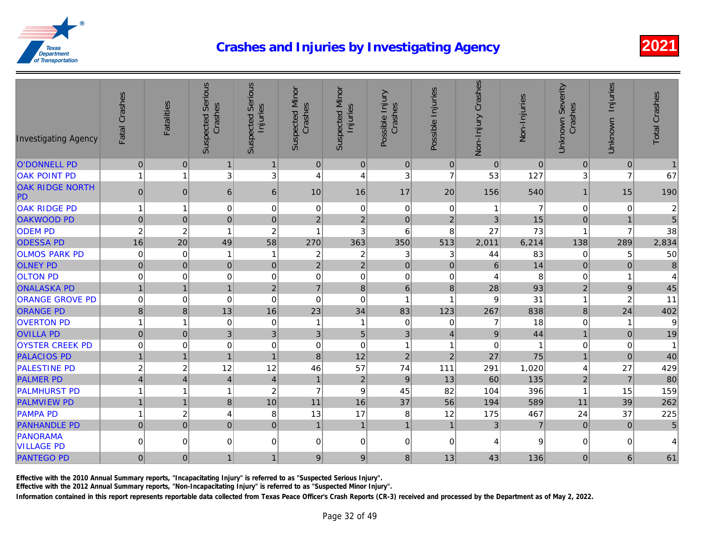| <b>Investigating Agency</b>   | Fatal Crashes  | <b>Fatalities</b> | <b>Suspected Serious</b><br>Crashes | <b>Suspected Serious</b><br>Injuries | <b>Suspected Minor</b><br>Crashes | <b>Suspected Minor</b><br>Injuries | Possible Injury<br>Crashes | Possible Injuries | Non-Injury Crashes | Non-Injuries |
|-------------------------------|----------------|-------------------|-------------------------------------|--------------------------------------|-----------------------------------|------------------------------------|----------------------------|-------------------|--------------------|--------------|
| <b>O'DONNELL PD</b>           | $\mathbf 0$    | $\mathbf 0$       | $\mathbf{1}$                        | $\mathbf{1}$                         | $\mathsf{O}\xspace$               | $\overline{0}$                     | 0                          | $\overline{0}$    | $\mathbf 0$        | $\Omega$     |
| <b>OAK POINT PD</b>           | $\overline{1}$ | 1                 | 3                                   | 3                                    | 4                                 | 4                                  | 3                          | $\overline{7}$    | 53                 | 127          |
| <b>OAK RIDGE NORTH</b><br>PD  | $\pmb{0}$      | $\mathbf 0$       | 6 <sup>1</sup>                      | 6                                    | 10                                | 16                                 | 17                         | 20                | 156                | 540          |
| <b>OAK RIDGE PD</b>           | $\mathbf{1}$   | $\overline{1}$    | 0                                   | $\mathbf 0$                          | 0                                 | 0                                  | $\pmb{0}$                  | 0                 | $\mathbf 1$        |              |
| <b>OAKWOOD PD</b>             | $\mathbf 0$    | $\mathbf 0$       | $\pmb{0}$                           | $\mathbf 0$                          | $\overline{2}$                    | $\overline{2}$                     | $\pmb{0}$                  | $\overline{2}$    | 3                  | 15           |
| <b>ODEM PD</b>                | $\overline{c}$ | $\overline{2}$    | $\overline{1}$                      | $\overline{c}$                       | 1                                 | 3                                  | $\,6$                      | 8                 | 27                 | 73           |
| <b>ODESSA PD</b>              | 16             | 20                | 49                                  | 58                                   | 270                               | 363                                | 350                        | 513               | 2,011              | 6,214        |
| <b>OLMOS PARK PD</b>          | $\mathbf 0$    | $\mathbf 0$       | $\overline{1}$                      | $\overline{\mathbf{1}}$              | $\overline{c}$                    | $\overline{c}$                     | 3                          | 3                 | 44                 | 83           |
| <b>OLNEY PD</b>               | $\mathbf 0$    | $\mathbf 0$       | $\pmb{0}$                           | $\pmb{0}$                            | $\sqrt{2}$                        | $\sqrt{2}$                         | $\pmb{0}$                  | $\pmb{0}$         | $\,6\,$            | 14           |
| <b>OLTON PD</b>               | $\mathbf 0$    | $\overline{0}$    | 0                                   | 0                                    | 0                                 | $\mathbf 0$                        | $\pmb{0}$                  | $\mathbf 0$       | 4                  |              |
| <b>ONALASKA PD</b>            | $\overline{1}$ | $\overline{1}$    | $\overline{1}$                      | $\overline{2}$                       | $\overline{7}$                    | $\bf 8$                            | $\,6\,$                    | 8                 | 28                 | 93           |
| <b>ORANGE GROVE PD</b>        | $\mathbf 0$    | $\overline{0}$    | $\mathbf 0$                         | $\mathbf 0$                          | 0                                 | $\mathbf 0$                        | $\overline{1}$             | 1                 | 9                  | 31           |
| <b>ORANGE PD</b>              | $\,8\,$        | $\bf 8$           | 13                                  | 16                                   | 23                                | 34                                 | 83                         | 123               | 267                | 838          |
| <b>OVERTON PD</b>             | $\overline{1}$ | $\overline{1}$    | $\mathbf 0$                         | $\mathbf 0$                          | 1                                 | 1                                  | $\mathbf 0$                | $\mathbf 0$       | 7                  | 18           |
| <b>OVILLA PD</b>              | $\mathbf 0$    | $\pmb{0}$         | 3 <sup>1</sup>                      | 3                                    | 3                                 | 5                                  | $\mathfrak{B}$             | $\overline{4}$    | $\mathsf g$        | 44           |
| <b>OYSTER CREEK PD</b>        | $\mathbf 0$    | $\mathbf 0$       | $\pmb{0}$                           | $\mathbf 0$                          | $\pmb{0}$                         | $\mathbf 0$                        | $\overline{1}$             | 1                 | $\mathbf 0$        |              |
| <b>PALACIOS PD</b>            | $\mathbf{1}$   | $\overline{1}$    | $\overline{1}$                      | $\overline{1}$                       | 8                                 | 12                                 | $\overline{2}$             | $\overline{2}$    | 27                 | 75           |
| <b>PALESTINE PD</b>           | $\overline{c}$ | $\overline{c}$    | 12                                  | 12                                   | 46                                | 57                                 | 74                         | 111               | 291                | 1,020        |
| <b>PALMER PD</b>              | $\overline{4}$ | $\overline{4}$    | $\vert 4 \vert$                     | $\overline{4}$                       | $\mathbf{1}$                      | $\overline{2}$                     | $9\,$                      | 13                | 60                 | 135          |
| <b>PALMHURST PD</b>           | $\mathbf{1}$   | 1                 | $\mathbf{1}$                        | $\overline{c}$                       | $\overline{7}$                    | 9                                  | 45                         | 82                | 104                | 396          |
| <b>PALMVIEW PD</b>            | $\overline{1}$ | $\overline{1}$    | $\bf 8$                             | 10                                   | 11                                | 16                                 | 37                         | 56                | 194                | 589          |
| <b>PAMPA PD</b>               | $\mathbf{1}$   | $\overline{c}$    | $\overline{4}$                      | 8                                    | 13                                | 17                                 | 8                          | 12                | 175                | 467          |
| <b>PANHANDLE PD</b>           | $\overline{0}$ | $\mathbf 0$       | $\overline{0}$                      | $\mathbf 0$                          | $\mathbf{1}$                      | $\mathbf{1}$                       | $\mathbf{1}$               | $\mathbf{1}$      | 3 <sup>2</sup>     |              |
| PANORAMA<br><b>VILLAGE PD</b> | $\pmb{0}$      | $\mathbf 0$       | $\overline{0}$                      | $\mathbf 0$                          | 0                                 | $\overline{0}$                     | $\mathbf 0$                | $\mathbf 0$       | 4                  |              |
| <b>PANTEGO PD</b>             | $\mathbf 0$    | $\mathbf 0$       | 1                                   | 1                                    | $\mathsf g$                       | 9                                  | 8 <sup>1</sup>             | 13                | 43                 | 136          |

Effective with the 2010 Annual Summary reports, "Incapacitating Injury" is referred to as "Suspected Serious Injury".

Effective with the 2012 Annual Summary reports, "Non-Incapacitating Injury" is referred to as "Suspected Minor Injury".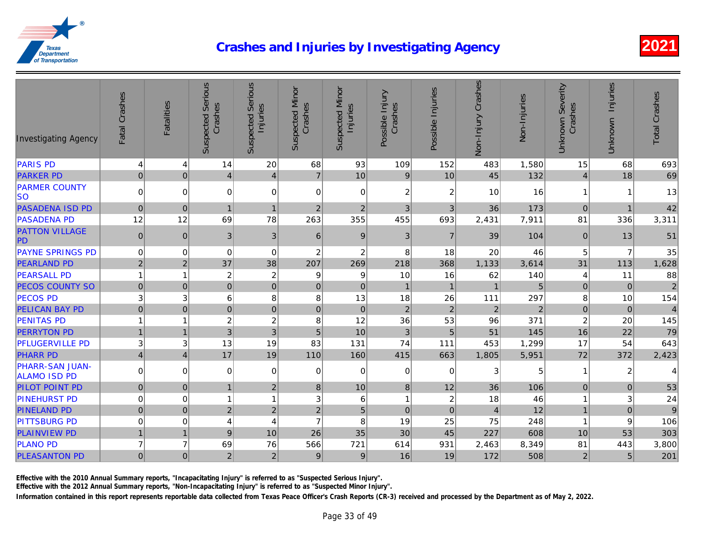| <b>Investigating Agency</b>                   | Fatal Crashes   | <b>Fatalities</b> | <b>Suspected Serious</b><br>Crashes | <b>Suspected Serious</b><br>Injuries | Suspected Minor<br>Crashes | <b>Suspected Minor</b><br>Injuries | Possible Injury<br>Crashes | Possible Injuries       | Non-Injury Crashes | Non-Injuries |
|-----------------------------------------------|-----------------|-------------------|-------------------------------------|--------------------------------------|----------------------------|------------------------------------|----------------------------|-------------------------|--------------------|--------------|
| <b>PARIS PD</b>                               | 4               | 4                 | 14                                  | 20                                   | 68                         | 93                                 | 109                        | 152                     | 483                | 1,580        |
| <b>PARKER PD</b>                              | 0               | $\mathbf 0$       | $\overline{4}$                      | $\overline{4}$                       | $\overline{7}$             | 10                                 | $9\,$                      | 10                      | 45                 | 132          |
| <b>PARMER COUNTY</b><br> SO                   | $\overline{0}$  | $\Omega$          | 0                                   | $\Omega$                             | 0                          | $\Omega$                           | $\overline{c}$             | 2                       | 10                 | 16           |
| <b>PASADENA ISD PD</b>                        | $\mathbf 0$     | $\mathbf 0$       | $\mathbf{1}$                        | $\overline{1}$                       | $\overline{2}$             | $\overline{2}$                     | $\mathbf{3}$               | 3                       | 36                 | 173          |
| <b>PASADENA PD</b>                            | 12              | 12                | 69                                  | 78                                   | 263                        | 355                                | 455                        | 693                     | 2,431              | 7,911        |
| <b>PATTON VILLAGE</b><br>PD                   | $\mathbf 0$     | $\mathbf{0}$      | $\mathbf{3}$                        | 3                                    | $6 \mid$                   | 9                                  | 3                          | $\overline{7}$          | 39                 | 104          |
| <b>PAYNE SPRINGS PD</b>                       | $\Omega$        | $\Omega$          | $\mathbf 0$                         | $\mathbf 0$                          | $\overline{c}$             | $\overline{2}$                     | 8                          | 18                      | 20                 | 46           |
| <b>PEARLAND PD</b>                            | $\overline{2}$  | $\overline{c}$    | 37                                  | 38                                   | 207                        | 269                                | 218                        | 368                     | 1,133              | 3,614        |
| <b>PEARSALL PD</b>                            | $\overline{1}$  | 1                 | $\overline{c}$                      | $\overline{c}$                       | 9                          | 9                                  | 10                         | 16                      | 62                 | 140          |
| <b>PECOS COUNTY SO</b>                        | $\pmb{0}$       | $\overline{0}$    | $\pmb{0}$                           | $\mathbf{0}$                         | $\overline{0}$             | $\mathbf{0}$                       | $\mathbf{1}$               | $\mathbf{1}$            | $\mathbf{1}$       |              |
| <b>PECOS PD</b>                               | $\sqrt{3}$      | 3                 | 6                                   | 8                                    | 8                          | 13                                 | 18                         | 26                      | 111                | 297          |
| <b>PELICAN BAY PD</b>                         | $\pmb{0}$       | $\boldsymbol{0}$  | $\mathbf 0$                         | $\mathbf 0$                          | $\boldsymbol{0}$           | $\pmb{0}$                          | $\sqrt{2}$                 | $\sqrt{2}$              | $\mathbf 2$        |              |
| <b>PENITAS PD</b>                             | $\mathbf{1}$    | 1                 | $\overline{c}$                      | $\boldsymbol{2}$                     | 8                          | 12                                 | 36                         | 53                      | 96                 | 371          |
| <b>PERRYTON PD</b>                            | $\mathbf{1}$    | $\overline{1}$    | $\sqrt{3}$                          | 3                                    | $\sqrt{5}$                 | 10                                 | $\sqrt{3}$                 | $\overline{5}$          | 51                 | 145          |
| <b>PFLUGERVILLE PD</b>                        | 3               | 3                 | 13                                  | 19                                   | 83                         | 131                                | 74                         | 111                     | 453                | 1,299        |
| <b>PHARR PD</b>                               | $\vert 4 \vert$ | $\overline{4}$    | 17                                  | 19                                   | 110                        | 160                                | 415                        | 663                     | 1,805              | 5,951        |
| <b>PHARR-SAN JUAN-</b><br><b>ALAMO ISD PD</b> | $\overline{0}$  | $\Omega$          | 0                                   | $\Omega$                             | $\overline{0}$             | $\Omega$                           | 0                          | 0                       | 3                  |              |
| <b>PILOT POINT PD</b>                         | 0               | $\boldsymbol{0}$  | $\mathbf{1}$                        | $\boldsymbol{2}$                     | 8 <sup>1</sup>             | 10                                 | $\bf 8$                    | 12                      | 36                 | 106          |
| <b>PINEHURST PD</b>                           | $\mathbf 0$     | $\pmb{0}$         | $\mathbf{1}$                        | 1                                    | 3                          | 6                                  | $\mathbf{1}$               | $\overline{\mathbf{c}}$ | 18                 | 46           |
| <b>PINELAND PD</b>                            | $\overline{0}$  | $\pmb{0}$         | $\sqrt{2}$                          | $\overline{2}$                       | $\overline{c}$             | $\overline{5}$                     | $\pmb{0}$                  | $\pmb{0}$               | $\overline{4}$     | 12           |
| <b>PITTSBURG PD</b>                           | 0               | 0                 | 4                                   | 4                                    | $\overline{7}$             | 8                                  | 19                         | 25                      | 75                 | 248          |
| <b>PLAINVIEW PD</b>                           | $\overline{1}$  | $\mathbf{1}$      | $9\,$                               | 10                                   | 26                         | 35                                 | 30                         | 45                      | 227                | 608          |
| <b>PLANO PD</b>                               | $\overline{7}$  | $\overline{7}$    | 69                                  | 76                                   | 566                        | 721                                | 614                        | 931                     | 2,463              | 8,349        |
| <b>PLEASANTON PD</b>                          | $\overline{0}$  | $\mathbf 0$       | $\overline{c}$                      | $\overline{2}$                       | $9\,$                      | $9\,$                              | 16                         | 19                      | 172                | 508          |

Effective with the 2010 Annual Summary reports, "Incapacitating Injury" is referred to as "Suspected Serious Injury".

Effective with the 2012 Annual Summary reports, "Non-Incapacitating Injury" is referred to as "Suspected Minor Injury".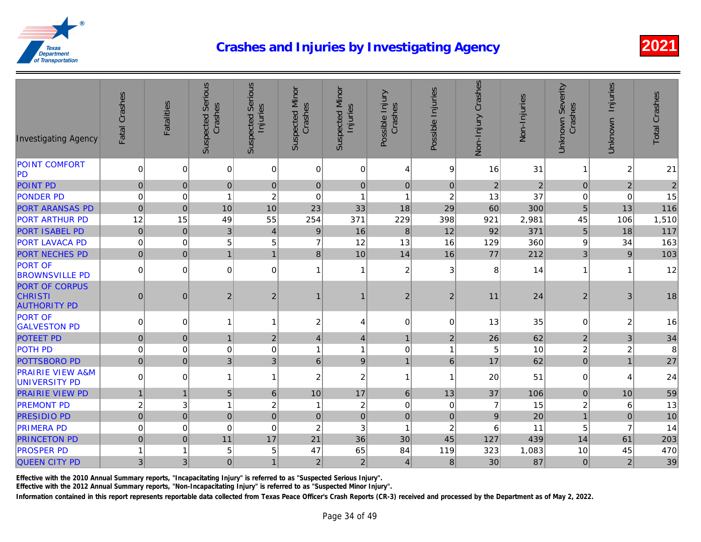| <b>Investigating Agency</b>                                    | Fatal Crashes   | Fatalities   | <b>Suspected Serious</b><br>Crashes | <b>Suspected Serious</b><br>Injuries | <b>Suspected Minor</b><br>Crashes | <b>Suspected Minor</b><br>Injuries | Possible Injury<br>Crashes | Possible Injuries | Non-Injury Crashes | Non-Injuries   |
|----------------------------------------------------------------|-----------------|--------------|-------------------------------------|--------------------------------------|-----------------------------------|------------------------------------|----------------------------|-------------------|--------------------|----------------|
| <b>POINT COMFORT</b><br> PD                                    | $\overline{0}$  | $\mathbf 0$  | $\mathbf 0$                         | $\mathbf 0$                          | 0                                 | 0                                  | 4                          | $\boldsymbol{9}$  | 16                 | 31             |
| <b>POINT PD</b>                                                | 0               | $\mathbf 0$  | $\pmb{0}$                           | $\mathbf{0}$                         | $\overline{0}$                    | $\mathbf 0$                        | $\pmb{0}$                  | $\pmb{0}$         | $\sqrt{2}$         | $\overline{c}$ |
| <b>PONDER PD</b>                                               | $\pmb{0}$       | $\mathbf 0$  | $\overline{1}$                      | $\overline{c}$                       | $\overline{0}$                    | $\overline{1}$                     | $\overline{1}$             | $\overline{c}$    | 13                 | 37             |
| <b>PORT ARANSAS PD</b>                                         | $\pmb{0}$       | $\mathbf 0$  | 10                                  | 10                                   | 23                                | 33                                 | 18                         | 29                | 60                 | 300            |
| <b>PORT ARTHUR PD</b>                                          | 12              | 15           | 49                                  | 55                                   | 254                               | 371                                | 229                        | 398               | 921                | 2,981          |
| <b>PORT ISABEL PD</b>                                          | $\mathbf 0$     | $\mathbf 0$  | $\mathbf{3}$                        | $\overline{4}$                       | $9\,$                             | 16                                 | 8                          | 12                | 92                 | 371            |
| <b>PORT LAVACA PD</b>                                          | $\pmb{0}$       | $\mathbf 0$  | 5                                   | 5                                    | $\overline{7}$                    | 12                                 | 13                         | 16                | 129                | 360            |
| <b>PORT NECHES PD</b>                                          | $\pmb{0}$       | $\mathbf 0$  | $\overline{1}$                      | 1                                    | $\bf 8$                           | 10                                 | 14                         | 16                | 77                 | 212            |
| <b>PORT OF</b><br><b>BROWNSVILLE PD</b>                        | $\overline{0}$  | $\Omega$     | $\Omega$                            | $\Omega$                             | $\mathbf{1}$                      |                                    | $\overline{c}$             | 3                 | 8                  | 14             |
| <b>PORT OF CORPUS</b><br><b>CHRISTI</b><br><b>AUTHORITY PD</b> | $\mathbf 0$     | 0            | $\overline{c}$                      | $\overline{2}$                       | $\mathbf 1$                       |                                    | $\sqrt{2}$                 | $\overline{c}$    | 11                 | 24             |
| <b>PORT OF</b><br><b>GALVESTON PD</b>                          | $\overline{0}$  | $\mathbf 0$  | 1                                   | 1                                    | $\boldsymbol{2}$                  | 4                                  | $\mathbf 0$                | $\mathbf 0$       | 13                 | 35             |
| <b>POTEET PD</b>                                               | 0               | $\mathbf 0$  | $\overline{1}$                      | $\overline{2}$                       | $\vert 4 \vert$                   | $\overline{4}$                     | $\mathbf{1}$               | $\overline{c}$    | 26                 | 62             |
| <b>POTH PD</b>                                                 | $\pmb{0}$       | $\mathbf 0$  | $\mathbf 0$                         | $\Omega$                             | $\mathbf{1}$                      | -1                                 | $\boldsymbol{0}$           |                   | 5                  | 10             |
| <b>POTTSBORO PD</b>                                            | $\overline{0}$  | $\pmb{0}$    | 3                                   | 3                                    | 6 <sup>1</sup>                    | $\boldsymbol{9}$                   | $\mathbf{1}$               | $6\phantom{a}$    | 17                 | 62             |
| <b>PRAIRIE VIEW A&amp;M</b><br>UNIVERSITY PD                   | $\vert 0 \vert$ | 0            | $\mathbf{1}$                        | 1                                    | $\overline{c}$                    | $\boldsymbol{2}$                   | $\mathbf{1}$               | 1                 | 20                 | 51             |
| <b>PRAIRIE VIEW PD</b>                                         | $\mathbf{1}$    | $\mathbf{1}$ | 5                                   | 6                                    | 10                                | 17                                 | 6 <sup>1</sup>             | 13                | 37                 | 106            |
| <b>PREMONT PD</b>                                              | $\overline{c}$  | 3            | $\overline{1}$                      | $\boldsymbol{2}$                     | $\mathbf{1}$                      | $\boldsymbol{2}$                   | $\mathbf 0$                | $\mathbf 0$       | $\overline{7}$     | 15             |
| <b>PRESIDIO PD</b>                                             | $\overline{0}$  | $\mathbf 0$  | $\pmb{0}$                           | $\mathbf 0$                          | $\overline{0}$                    | $\mathbf 0$                        | $\pmb{0}$                  | $\pmb{0}$         | $\boldsymbol{9}$   | 20             |
| <b>PRIMERA PD</b>                                              | $\mathbf 0$     | $\mathbf 0$  | $\mathbf 0$                         | $\mathbf 0$                          | $\boldsymbol{2}$                  | 3                                  | $\mathbf{1}$               | $\overline{c}$    | 6                  | 11             |
| <b>PRINCETON PD</b>                                            | $\overline{0}$  | $\mathbf 0$  | 11                                  | 17                                   | 21                                | 36                                 | 30                         | 45                | 127                | 439            |
| <b>PROSPER PD</b>                                              | $\mathbf{1}$    | 1            | 5                                   | 5                                    | 47                                | 65                                 | 84                         | 119               | 323                | 1,083          |
| <b>QUEEN CITY PD</b>                                           | 3               | 3            | $\pmb{0}$                           | 1                                    | $\overline{2}$                    | $\overline{2}$                     | $\overline{4}$             | 8                 | 30                 | 87             |

Effective with the 2010 Annual Summary reports, "Incapacitating Injury" is referred to as "Suspected Serious Injury".

Effective with the 2012 Annual Summary reports, "Non-Incapacitating Injury" is referred to as "Suspected Minor Injury".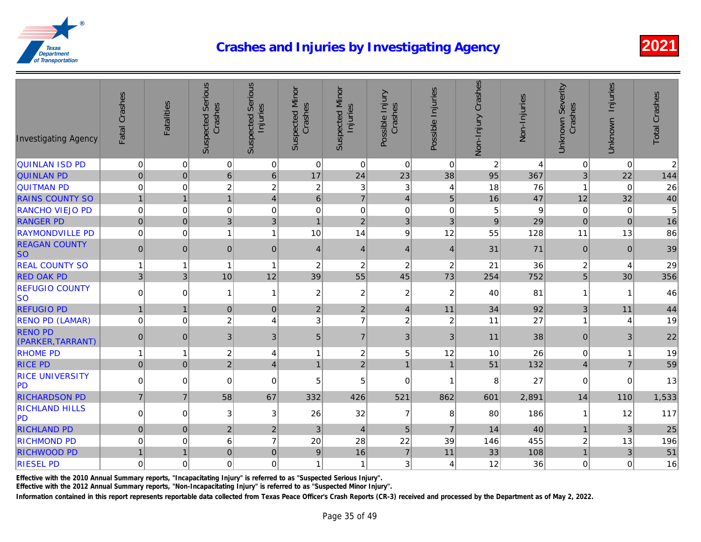| <b>Investigating Agency</b>         | Fatal Crashes  | Fatalities     | <b>Suspected Serious</b><br>Crashes | <b>Suspected Serious</b><br>Injuries | <b>Suspected Minor</b><br>Crashes | <b>Suspected Minor</b><br>Injuries | Possible Injury<br>Crashes | Possible Injuries | Non-Injury Crashes | Non-Injuries    |
|-------------------------------------|----------------|----------------|-------------------------------------|--------------------------------------|-----------------------------------|------------------------------------|----------------------------|-------------------|--------------------|-----------------|
| <b>QUINLAN ISD PD</b>               | $\mathbf 0$    | 0              | 0                                   | 0                                    | $\overline{0}$                    | 0                                  | $\mathbf 0$                | 0                 | $\overline{c}$     |                 |
| <b>QUINLAN PD</b>                   | $\pmb{0}$      | $\mathbf 0$    | $6\phantom{1}$                      | $6\phantom{1}$                       | 17                                | 24                                 | 23                         | 38                | 95                 | 367             |
| <b>QUITMAN PD</b>                   | $\mathbf 0$    | $\mathbf 0$    | $\overline{c}$                      | $\boldsymbol{2}$                     | $\overline{c}$                    | 3                                  | 3                          | $\overline{4}$    | 18                 | 76              |
| <b>RAINS COUNTY SO</b>              | $\mathbf{1}$   | $\mathbf{1}$   | $\mathbf{1}$                        | $\overline{4}$                       | 6 <sup>1</sup>                    | $\overline{7}$                     | $\overline{4}$             | 5                 | 16                 | $\overline{47}$ |
| <b>RANCHO VIEJO PD</b>              | $\pmb{0}$      | $\mathbf 0$    | $\mathbf 0$                         | $\Omega$                             | $\mathbf 0$                       | $\mathbf 0$                        | $\mathbf 0$                | $\mathbf 0$       | 5                  |                 |
| <b>RANGER PD</b>                    | $\pmb{0}$      | $\mathbf 0$    | 3                                   | $\mathfrak{B}$                       | $\mathbf{1}$                      | $\mathbf 2$                        | 3 <sup>1</sup>             | 3                 | $\boldsymbol{9}$   | 29              |
| <b>RAYMONDVILLE PD</b>              | $\mathbf 0$    | 0              | $\mathbf{1}$                        | 1                                    | 10                                | 14                                 | $\boldsymbol{9}$           | 12                | 55                 | 128             |
| <b>REAGAN COUNTY</b><br><b>SO</b>   | $\overline{0}$ | $\mathbf{0}$   | $\mathbf 0$                         | $\mathbf{0}$                         | $\overline{4}$                    | $\overline{4}$                     | $\overline{4}$             | $\overline{4}$    | 31                 | 71              |
| <b>REAL COUNTY SO</b>               | $\mathbf{1}$   | $\mathbf 1$    | $\overline{1}$                      | 1                                    | $\boldsymbol{2}$                  | $\overline{c}$                     | $\boldsymbol{2}$           | $\sqrt{2}$        | 21                 | 36              |
| <b>RED OAK PD</b>                   | $\sqrt{3}$     | $\mathfrak{B}$ | 10                                  | 12                                   | 39                                | 55                                 | 45                         | 73                | 254                | 752             |
| <b>REFUGIO COUNTY</b><br><b>SO</b>  | $\pmb{0}$      | $\mathbf 0$    | 1                                   | 1                                    | $\overline{c}$                    | $\boldsymbol{2}$                   | $\overline{c}$             | $\overline{c}$    | 40                 | 81              |
| <b>REFUGIO PD</b>                   | $\mathbf{1}$   | $\mathbf{1}$   | $\mathbf 0$                         | $\mathbf{0}$                         | $\overline{2}$                    | $\overline{2}$                     | $\overline{4}$             | 11                | 34                 | 92              |
| <b>RENO PD (LAMAR)</b>              | $\mathbf 0$    | $\mathbf 0$    | $\overline{c}$                      | 4                                    | 3                                 | $\overline{7}$                     | $\overline{c}$             | $\overline{c}$    | 11                 | 27              |
| <b>RENO PD</b><br>(PARKER, TARRANT) | 0              | $\mathbf{0}$   | 3                                   | 3                                    | 5 <sup>1</sup>                    | $\overline{7}$                     | $\sqrt{3}$                 | 3                 | 11                 | 38              |
| <b>RHOME PD</b>                     | 1              | $\mathbf 1$    | $\overline{c}$                      | 4                                    | $\mathbf{1}$                      | $\overline{c}$                     | 5                          | 12                | 10                 | 26              |
| <b>RICE PD</b>                      | $\mathbf 0$    | $\overline{0}$ | $\overline{2}$                      | $\overline{4}$                       | 1                                 | $\overline{2}$                     | $\mathbf{1}$               | $\mathbf{1}$      | 51                 | 132             |
| <b>RICE UNIVERSITY</b><br>PD        | $\Omega$       | $\mathbf 0$    | 0                                   | $\mathbf 0$                          | 5                                 | 5                                  | $\mathbf 0$                | 1                 | 8                  | 27              |
| <b>RICHARDSON PD</b>                | $\overline{7}$ | $\overline{7}$ | 58                                  | 67                                   | 332                               | 426                                | 521                        | 862               | 601                | 2,891           |
| <b>RICHLAND HILLS</b><br>PD         | $\Omega$       | $\mathbf 0$    | 3                                   | 3                                    | 26                                | 32                                 | $\overline{7}$             | 8                 | 80                 | 186             |
| <b>RICHLAND PD</b>                  | 0              | $\overline{0}$ | $\overline{2}$                      | $\overline{2}$                       | $\mathbf{3}$                      | $\overline{4}$                     | $\overline{5}$             | $\overline{7}$    | 14                 | 40              |
| <b>RICHMOND PD</b>                  | $\pmb{0}$      | $\pmb{0}$      | 6                                   | $\overline{7}$                       | 20                                | 28                                 | 22                         | 39                | 146                | 455             |
| <b>RICHWOOD PD</b>                  | $\mathbf{1}$   | $\mathbf{1}$   | $\pmb{0}$                           | $\mathbf 0$                          | $\boldsymbol{9}$                  | 16                                 | $\overline{7}$             | 11                | 33                 | 108             |
| <b>RIESEL PD</b>                    | $\pmb{0}$      | $\mathbf 0$    | $\mathsf 0$                         | $\mathbf 0$                          | $\mathbf{1}$                      | -1                                 | 3 <sub>l</sub>             | 4                 | 12                 | 36              |

Effective with the 2010 Annual Summary reports, "Incapacitating Injury" is referred to as "Suspected Serious Injury".

Effective with the 2012 Annual Summary reports, "Non-Incapacitating Injury" is referred to as "Suspected Minor Injury".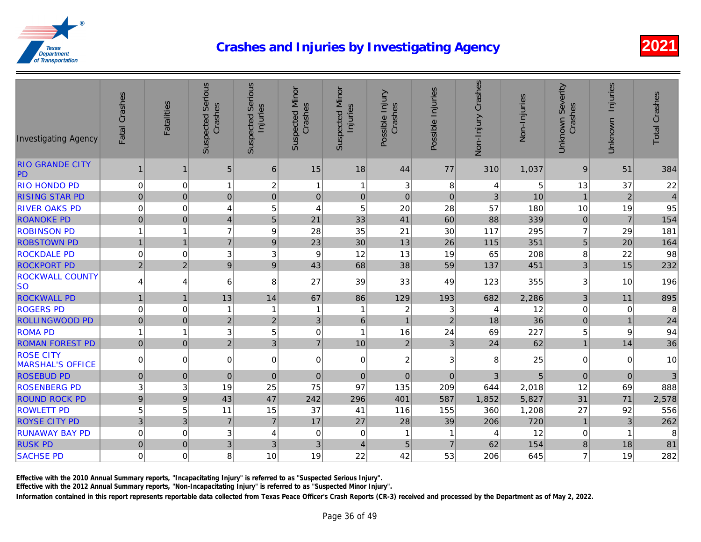| <b>Investigating Agency</b>                 | Fatal Crashes    | <b>Fatalities</b> | <b>Suspected Serious</b><br>Crashes | <b>Suspected Serious</b><br>Injuries | Suspected Minor<br>Crashes | <b>Suspected Minor</b><br>Injuries | Possible Injury<br>Crashes | Possible Injuries | Non-Injury Crashes | Non-Injuries |
|---------------------------------------------|------------------|-------------------|-------------------------------------|--------------------------------------|----------------------------|------------------------------------|----------------------------|-------------------|--------------------|--------------|
| <b>RIO GRANDE CITY</b><br>PD                | 1                | 1                 | 5                                   | 6                                    | 15                         | 18                                 | 44                         | 77                | 310                | 1,037        |
| <b>RIO HONDO PD</b>                         | $\Omega$         | 0                 | $\mathbf{1}$                        | $\boldsymbol{2}$                     | $\mathbf{1}$               | -1                                 | 3                          | 8                 | 4                  |              |
| <b>RISING STAR PD</b>                       | $\overline{0}$   | $\mathbf 0$       | $\pmb{0}$                           | $\mathbf 0$                          | $\overline{0}$             | $\mathbf{0}$                       | $\pmb{0}$                  | $\pmb{0}$         | $\sqrt{3}$         | 10           |
| <b>RIVER OAKS PD</b>                        | $\pmb{0}$        | $\mathbf 0$       | 4                                   | 5                                    | 4                          | 5                                  | 20                         | 28                | 57                 | 180          |
| <b>ROANOKE PD</b>                           | 0                | $\mathbf 0$       | $\overline{4}$                      | 5                                    | 21                         | 33                                 | 41                         | 60                | 88                 | 339          |
| <b>ROBINSON PD</b>                          | $\mathbf{1}$     | 1                 | $\overline{7}$                      | 9                                    | 28                         | 35                                 | 21                         | 30                | 117                | 295          |
| <b>ROBSTOWN PD</b>                          | $\mathbf{1}$     | $\mathbf{1}$      | $\overline{7}$                      | $9\,$                                | 23                         | 30                                 | 13                         | 26                | 115                | 351          |
| <b>ROCKDALE PD</b>                          | $\pmb{0}$        | 0                 | 3                                   | 3                                    | 9                          | 12                                 | 13                         | 19                | 65                 | 208          |
| <b>ROCKPORT PD</b>                          | $\overline{2}$   | $\overline{2}$    | $\boldsymbol{9}$                    | $\boldsymbol{9}$                     | 43                         | 68                                 | 38                         | 59                | 137                | 451          |
| <b>ROCKWALL COUNTY</b><br><b>SO</b>         | $\vert$          | 4                 | 6                                   | 8                                    | 27                         | 39                                 | 33                         | 49                | 123                | 355          |
| <b>ROCKWALL PD</b>                          | $\mathbf{1}$     | $\mathbf{1}$      | 13                                  | 14                                   | 67                         | 86                                 | 129                        | 193               | 682                | 2,286        |
| <b>ROGERS PD</b>                            | $\mathbf 0$      | $\mathbf 0$       | 1                                   | 1                                    | $\mathbf{1}$               |                                    | $\overline{c}$             | 3                 | 4                  | 12           |
| <b>ROLLINGWOOD PD</b>                       | $\overline{0}$   | $\overline{0}$    | $\overline{c}$                      | $\boldsymbol{2}$                     | 3 <sup>1</sup>             | $\,6$                              | $\mathbf{1}$               | $\overline{2}$    | 18                 | 36           |
| <b>ROMA PD</b>                              | $\mathbf{1}$     | $\overline{1}$    | 3                                   | 5                                    | 0                          | $\overline{1}$                     | 16                         | 24                | 69                 | 227          |
| <b>ROMAN FOREST PD</b>                      | 0                | $\mathbf 0$       | $\overline{2}$                      | $\overline{3}$                       | $\overline{7}$             | 10                                 | $\overline{2}$             | $\overline{3}$    | 24                 | 62           |
| <b>ROSE CITY</b><br><b>MARSHAL'S OFFICE</b> | $\Omega$         | $\mathbf 0$       | 0                                   | 0                                    | 0                          | $\mathbf 0$                        | $\mathbf{2}$               | 3                 | 8                  | 25           |
| <b>ROSEBUD PD</b>                           | $\overline{0}$   | $\pmb{0}$         | $\pmb{0}$                           | $\mathbf 0$                          | $\overline{0}$             | $\mathbf 0$                        | $\pmb{0}$                  | $\pmb{0}$         | 3                  |              |
| <b>ROSENBERG PD</b>                         | 3 <sup>1</sup>   | 3                 | 19                                  | 25                                   | 75                         | 97                                 | 135                        | 209               | 644                | 2,018        |
| <b>ROUND ROCK PD</b>                        | $\boldsymbol{9}$ | $9\,$             | 43                                  | 47                                   | 242                        | 296                                | 401                        | 587               | 1,852              | 5,827        |
| <b>ROWLETT PD</b>                           | 5                | 5                 | 11                                  | 15                                   | 37                         | 41                                 | 116                        | 155               | 360                | 1,208        |
| <b>ROYSE CITY PD</b>                        | $\mathbf{3}$     | 3                 | $\overline{7}$                      | $\overline{7}$                       | 17                         | 27                                 | 28                         | 39                | 206                | 720          |
| <b>RUNAWAY BAY PD</b>                       | $\pmb{0}$        | $\mathbf 0$       | 3                                   | 4                                    | 0                          | $\pmb{0}$                          | 1                          |                   | 4                  | 12           |
| <b>RUSK PD</b>                              | $\pmb{0}$        | $\pmb{0}$         | 3                                   | 3                                    | 3                          | $\overline{4}$                     | 5                          | $\overline{7}$    | 62                 | 154          |
| <b>SACHSE PD</b>                            | $\mathbf 0$      | $\mathbf 0$       | 8                                   | 10                                   | 19                         | 22                                 | 42                         | 53                | 206                | 645          |

Effective with the 2010 Annual Summary reports, "Incapacitating Injury" is referred to as "Suspected Serious Injury".

Effective with the 2012 Annual Summary reports, "Non-Incapacitating Injury" is referred to as "Suspected Minor Injury".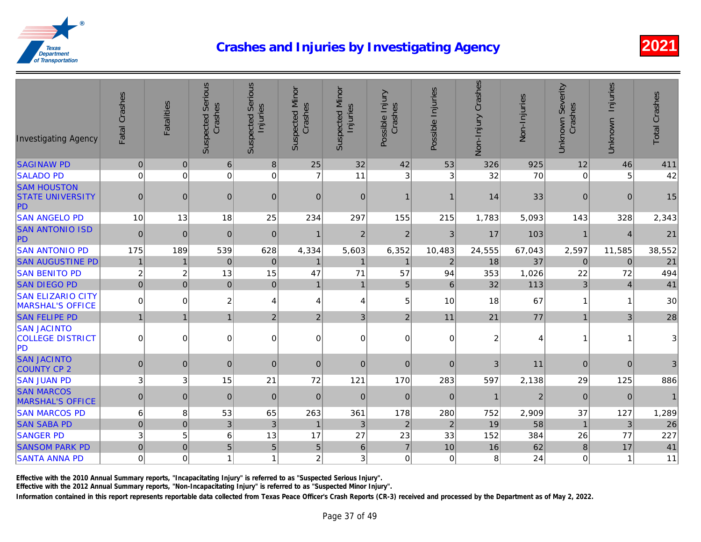| <b>Investigating Agency</b>                                | Fatal Crashes    | <b>Fatalities</b> | <b>Suspected Serious</b><br>Crashes | <b>Suspected Serious</b><br>Injuries | <b>Suspected Minor</b><br>Crashes | <b>Suspected Minor</b><br>Injuries | Possible Injury<br>Crashes | Possible Injuries | Non-Injury Crashes | Non-Injuries |
|------------------------------------------------------------|------------------|-------------------|-------------------------------------|--------------------------------------|-----------------------------------|------------------------------------|----------------------------|-------------------|--------------------|--------------|
| <b>SAGINAW PD</b>                                          | $\mathbf 0$      | $\pmb{0}$         | 6                                   | 8                                    | 25                                | 32                                 | 42                         | 53                | 326                | 925          |
| <b>SALADO PD</b>                                           | $\pmb{0}$        | $\mathbf 0$       | 0                                   | 0                                    | $\overline{7}$                    | 11                                 | 3                          | $\sqrt{3}$        | 32                 | 70           |
| <b>SAM HOUSTON</b><br><b>STATE UNIVERSITY</b><br><b>PD</b> | $\mathbf 0$      | $\mathbf 0$       | $\mathbf 0$                         | $\pmb{0}$                            | $\mathbf 0$                       | 0                                  | 1                          |                   | 14                 | 33           |
| <b>SAN ANGELO PD</b>                                       | 10               | 13                | 18                                  | 25                                   | 234                               | 297                                | 155                        | 215               | 1,783              | 5,093        |
| <b>SAN ANTONIO ISD</b><br>PD                               | $\mathbf 0$      | $\mathbf 0$       | $\mathbf 0$                         | $\mathbf 0$                          |                                   | $\overline{c}$                     | $\overline{2}$             | 3                 | 17                 | 103          |
| <b>SAN ANTONIO PD</b>                                      | 175              | 189               | 539                                 | 628                                  | 4,334                             | 5,603                              | 6,352                      | 10,483            | 24,555             | 67,043       |
| <b>SAN AUGUSTINE PD</b>                                    | $\overline{1}$   | 1                 | $\pmb{0}$                           | $\mathbf 0$                          |                                   | $\mathbf{1}$                       | $\mathbf 1$                | $\overline{2}$    | 18                 | 37           |
| <b>SAN BENITO PD</b>                                       | $\overline{c}$   | $\overline{c}$    | 13                                  | 15                                   | 47                                | 71                                 | 57                         | 94                | 353                | 1,026        |
| <b>SAN DIEGO PD</b>                                        | $\mathbf 0$      | $\mathbf 0$       | $\pmb{0}$                           | $\mathbf 0$                          | $\mathbf{1}$                      | $\mathbf{1}$                       | 5 <sup>1</sup>             | $\,6\,$           | 32                 | 113          |
| <b>SAN ELIZARIO CITY</b><br><b>MARSHAL'S OFFICE</b>        | $\pmb{0}$        | $\mathbf 0$       | $\overline{c}$                      | 4                                    | 4                                 | 4                                  | 5 <sup>5</sup>             | 10                | 18                 | 67           |
| <b>SAN FELIPE PD</b>                                       | $\mathbf{1}$     | $\mathbf{1}$      | $\mathbf{1}$                        | $\overline{2}$                       | $\mathbf 2$                       | 3 <sup>1</sup>                     | $\overline{2}$             | 11                | 21                 | 77           |
| <b>SAN JACINTO</b><br><b>COLLEGE DISTRICT</b><br><b>PD</b> | $\mathbf 0$      | $\Omega$          | $\mathbf 0$                         | $\Omega$                             | $\mathbf 0$                       | $\Omega$                           | $\overline{0}$             | $\Omega$          | $\overline{c}$     |              |
| <b>SAN JACINTO</b><br><b>COUNTY CP 2</b>                   | $\mathbf 0$      | $\mathbf 0$       | $\overline{0}$                      | $\mathbf{0}$                         | $\mathbf{0}$                      | $\overline{0}$                     | $\mathbf{0}$               | $\mathbf{0}$      | 3                  | 11           |
| <b>SAN JUAN PD</b>                                         | 3                | 3                 | 15                                  | 21                                   | 72                                | 121                                | 170                        | 283               | 597                | 2,138        |
| <b>SAN MARCOS</b><br><b>MARSHAL'S OFFICE</b>               | $\pmb{0}$        | 0                 | $\mathbf 0$                         | $\mathbf{0}$                         | $\mathbf 0$                       | 0                                  | $\mathbf 0$                | $\mathbf{0}$      | $\mathbf{1}$       |              |
| <b>SAN MARCOS PD</b>                                       | $\,6\,$          | 8                 | 53                                  | 65                                   | 263                               | 361                                | 178                        | 280               | 752                | 2,909        |
| <b>SAN SABA PD</b>                                         | $\pmb{0}$        | $\mathbf 0$       | $\mathbf{3}$                        | $\mathfrak{3}$                       |                                   | $\mathfrak{3}$                     | $\mathbf 2$                | $\overline{2}$    | 19                 | 58           |
| <b>SANGER PD</b>                                           | $\mathbf 3$      | $\sqrt{5}$        | $\,6$                               | 13                                   | 17                                | 27                                 | 23                         | 33                | 152                | 384          |
| <b>SANSOM PARK PD</b>                                      | $\mathbf 0$      | $\mathbf 0$       | 5                                   | 5                                    | $\overline{5}$                    | 6 <sup>1</sup>                     | $\overline{7}$             | 10                | 16                 | 62           |
| <b>SANTA ANNA PD</b>                                       | $\boldsymbol{0}$ | $\mathbf 0$       | $\overline{1}$                      | 1                                    | $\boldsymbol{2}$                  | 3                                  | $\mathsf 0$                | $\mathbf 0$       | 8                  | 24           |

Effective with the 2010 Annual Summary reports, "Incapacitating Injury" is referred to as "Suspected Serious Injury".

Effective with the 2012 Annual Summary reports, "Non-Incapacitating Injury" is referred to as "Suspected Minor Injury".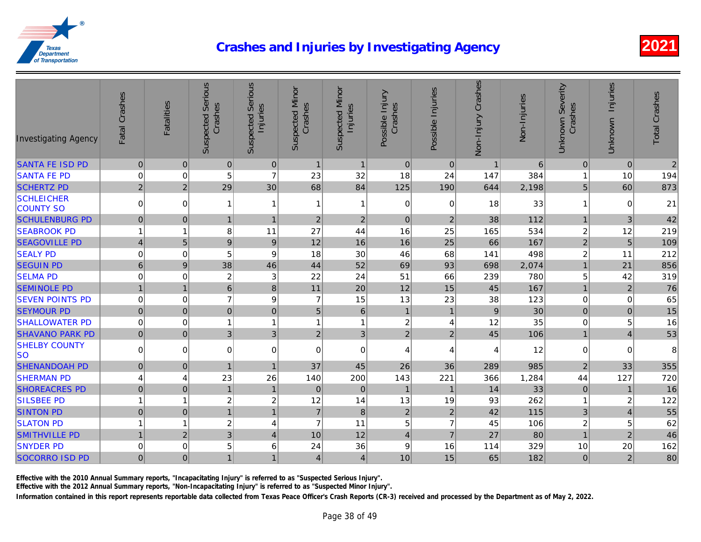| <b>Investigating Agency</b>           | Fatal Crashes    | <b>Fatalities</b> | <b>Suspected Serious</b><br>Crashes | <b>Suspected Serious</b><br>Injuries | <b>Suspected Minor</b><br>Crashes | <b>Suspected Minor</b><br>Injuries | Possible Injury<br>Crashes | Possible Injuries | Non-Injury Crashes | Non-Injuries |
|---------------------------------------|------------------|-------------------|-------------------------------------|--------------------------------------|-----------------------------------|------------------------------------|----------------------------|-------------------|--------------------|--------------|
| <b>SANTA FE ISD PD</b>                | $\mathbf 0$      | $\mathbf 0$       | $\mathbf 0$                         | 0                                    | $\mathbf{1}$                      | $\mathbf{1}$                       | 0                          | $\mathbf 0$       | $\mathbf{1}$       |              |
| <b>SANTA FE PD</b>                    | $\mathbf 0$      | $\mathbf 0$       | 5                                   | $\overline{7}$                       | 23                                | 32                                 | 18                         | 24                | 147                | 384          |
| <b>SCHERTZ PD</b>                     | $\mathbf 2$      | $\sqrt{2}$        | 29                                  | 30                                   | 68                                | 84                                 | 125                        | 190               | 644                | 2,198        |
| <b>SCHLEICHER</b><br><b>COUNTY SO</b> | $\boldsymbol{0}$ | $\mathbf 0$       | 1                                   | 1                                    | 1                                 | 1                                  | 0                          | $\mathbf 0$       | 18                 | 33           |
| <b>SCHULENBURG PD</b>                 | $\pmb{0}$        | $\pmb{0}$         | $\mathbf{1}$                        | $\mathbf{1}$                         | $\overline{2}$                    | $\overline{2}$                     | $\mathbf 0$                | $\overline{2}$    | 38                 | 112          |
| <b>SEABROOK PD</b>                    | $\overline{1}$   | 1                 | 8                                   | 11                                   | 27                                | 44                                 | 16                         | 25                | 165                | 534          |
| <b>SEAGOVILLE PD</b>                  | $\overline{4}$   | $\overline{5}$    | $\boldsymbol{9}$                    | 9                                    | 12                                | 16                                 | 16                         | 25                | 66                 | 167          |
| <b>SEALY PD</b>                       | $\mathbf 0$      | $\mathbf 0$       | 5                                   | 9                                    | 18                                | 30                                 | 46                         | 68                | 141                | 498          |
| <b>SEGUIN PD</b>                      | $\,6$            | 9                 | 38                                  | 46                                   | 44                                | 52                                 | 69                         | 93                | 698                | 2,074        |
| <b>SELMA PD</b>                       | $\pmb{0}$        | 0                 | $\boldsymbol{2}$                    | 3                                    | 22                                | 24                                 | 51                         | 66                | 239                | 780          |
| <b>SEMINOLE PD</b>                    | $\overline{1}$   | $\mathbf{1}$      | $\,$ 6 $\,$                         | 8                                    | 11                                | 20                                 | 12                         | 15                | 45                 | 167          |
| <b>SEVEN POINTS PD</b>                | $\mathbf 0$      | $\mathbf 0$       | $\overline{7}$                      | 9                                    | $\overline{7}$                    | 15                                 | 13                         | 23                | 38                 | 123          |
| <b>SEYMOUR PD</b>                     | $\mathbf 0$      | $\mathbf{0}$      | $\mathbf 0$                         | $\mathbf{0}$                         | 5                                 | 6                                  | $\mathbf{1}$               | $\mathbf{1}$      | $\boldsymbol{9}$   | 30           |
| <b>SHALLOWATER PD</b>                 | $\mathbf 0$      | $\mathbf 0$       | $\overline{1}$                      | 1                                    | 1                                 | 1                                  | $\overline{\mathbf{c}}$    | 4                 | 12                 | 35           |
| <b>SHAVANO PARK PD</b>                | $\pmb{0}$        | 0                 | $\mathfrak{B}$                      | 3                                    | $\overline{2}$                    | 3                                  | $\overline{2}$             | $\overline{2}$    | 45                 | 106          |
| <b>SHELBY COUNTY</b><br>lso           | 0                | $\overline{0}$    | 0                                   | 0                                    | 0                                 | $\Omega$                           | 4                          | $\overline{4}$    | 4                  | 12           |
| <b>SHENANDOAH PD</b>                  | $\pmb{0}$        | $\mathbf{0}$      | $\mathbf{1}$                        | $\overline{1}$                       | 37                                | 45                                 | 26                         | 36                | 289                | 985          |
| <b>SHERMAN PD</b>                     | $\overline{4}$   | 4                 | 23                                  | 26                                   | 140                               | 200                                | 143                        | 221               | 366                | 1,284        |
| <b>SHOREACRES PD</b>                  | $\mathbf 0$      | $\pmb{0}$         | $\mathbf{1}$                        | $\overline{1}$                       | $\mathbf 0$                       | 0                                  | $\mathbf 1$                | $\mathbf{1}$      | 14                 | 33           |
| <b>SILSBEE PD</b>                     | $\overline{1}$   | $\mathbf{1}$      | $\boldsymbol{2}$                    | $\overline{c}$                       | 12                                | 14                                 | 13                         | 19                | 93                 | 262          |
| <b>SINTON PD</b>                      | $\pmb{0}$        | $\pmb{0}$         | $\mathbf{1}$                        | $\mathbf{1}$                         | $\overline{7}$                    | 8                                  | $\mathbf 2$                | $\overline{2}$    | 42                 | 115          |
| <b>SLATON PD</b>                      | $\overline{1}$   | $\mathbf{1}$      | $\boldsymbol{2}$                    | 4                                    | $\overline{7}$                    | 11                                 | 5                          | 7                 | 45                 | 106          |
| <b>SMITHVILLE PD</b>                  | $\overline{1}$   | $\overline{2}$    | 3                                   | $\overline{4}$                       | 10                                | 12                                 | $\overline{4}$             | $\overline{7}$    | 27                 | 80           |
| <b>SNYDER PD</b>                      | $\mathbf 0$      | $\mathbf 0$       | 5                                   | 6                                    | 24                                | 36                                 | $\boldsymbol{9}$           | 16                | 114                | 329          |
| <b>SOCORRO ISD PD</b>                 | 0                | 0                 | $\mathbf{1}$                        | $\mathbf{1}$                         | $\vert 4 \vert$                   | $\overline{4}$                     | 10                         | 15                | 65                 | 182          |

Effective with the 2010 Annual Summary reports, "Incapacitating Injury" is referred to as "Suspected Serious Injury".

Effective with the 2012 Annual Summary reports, "Non-Incapacitating Injury" is referred to as "Suspected Minor Injury".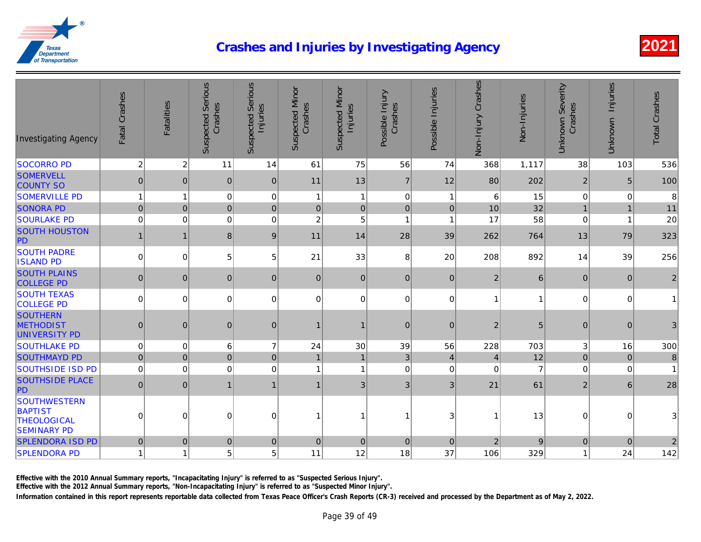| <b>Suspected Serious</b><br><b>Suspected Serious</b><br>Non-Injury Crashes<br><b>Suspected Minor</b><br>Suspected Minor<br>Possible Injuries<br>Fatal Crashes<br>Possible Injury<br>Non-Injuries<br><b>Fatalities</b><br>Crashes<br>Crashes<br>Crashes<br>Injuries<br>Injuries<br><b>Investigating Agency</b> |
|---------------------------------------------------------------------------------------------------------------------------------------------------------------------------------------------------------------------------------------------------------------------------------------------------------------|
| $\overline{2}$<br>$\overline{c}$<br>75<br>1,117<br><b>SOCORRO PD</b><br>11<br>56<br>74<br>14<br>61<br>368                                                                                                                                                                                                     |
| <b>SOMERVELL</b><br>$\pmb{0}$<br>$\overline{7}$<br>202<br>$\mathbf{0}$<br> 0 <br>$\mathbf{0}$<br>11<br>13<br>12<br>80<br><b>COUNTY SO</b>                                                                                                                                                                     |
| <b>SOMERVILLE PD</b><br>$\mathbf{1}$<br>$\pmb{0}$<br>$\pmb{0}$<br>$\,6$<br>15<br>$\overline{1}$<br>0<br>1<br>$\mathbf{1}$<br>$\mathbf{1}$                                                                                                                                                                     |
| 32<br>$\mathbf 0$<br>$\overline{0}$<br>$\pmb{0}$<br>10<br><b>SONORA PD</b><br>$\pmb{0}$<br>$\pmb{0}$<br>$\mathbf 0$<br>$\mathbf 0$<br>$\overline{0}$                                                                                                                                                          |
| 58<br>$\overline{c}$<br><b>SOURLAKE PD</b><br>$\mathbf 0$<br>$\mathbf 0$<br>$\mathbf 0$<br>5<br>17<br>$\mathbf 0$<br>1<br>$\overline{1}$                                                                                                                                                                      |
| <b>SOUTH HOUSTON</b><br>$\mathbf{1}$<br>8 <sup>1</sup><br>9<br>11<br>28<br>39<br>262<br>764<br>$\overline{1}$<br>14<br>PD                                                                                                                                                                                     |
| <b>SOUTH PADRE</b><br>892<br>$\mathbf 0$<br>21<br>33<br>8<br>208<br>0<br>5 <sup>1</sup><br>5<br>20<br><b>ISLAND PD</b>                                                                                                                                                                                        |
| <b>SOUTH PLAINS</b><br>$\mathbf{0}$<br> 0 <br>$\mathbf{0}$<br>$\overline{2}$<br>$\overline{0}$<br> 0 <br>$\mathbf{0}$<br>$\mathbf{0}$<br>$\overline{0}$<br><b>COLLEGE PD</b>                                                                                                                                  |
| <b>SOUTH TEXAS</b><br>$\mathbf 0$<br>$\mathbf 0$<br>$\mathbf 0$<br>$\mathbf 0$<br>$\overline{0}$<br>$\mathbf 0$<br>0<br>$\overline{0}$<br>$\mathbf{1}$<br><b>COLLEGE PD</b>                                                                                                                                   |
| <b>SOUTHERN</b><br><b>METHODIST</b><br>$\boldsymbol{0}$<br>$\mathbf 0$<br>$\mathbf 2$<br>$\mathbf 0$<br> 0 <br>$\overline{0}$<br>$\mathbf 0$<br>1<br>$\mathbf{1}$<br>UNIVERSITY PD                                                                                                                            |
| 39<br>703<br><b>SOUTHLAKE PD</b><br>$\mathbf 0$<br>$\mathbf 0$<br>6<br>$\overline{7}$<br>24<br>30<br>56<br>228                                                                                                                                                                                                |
| 12<br>$\mathbf 0$<br>$\overline{0}$<br>$\pmb{0}$<br>$\mathbf{3}$<br><b>SOUTHMAYD PD</b><br>$\mathbf 0$<br>$\overline{1}$<br>$\overline{4}$<br>$\overline{4}$<br>$\mathbf{1}$                                                                                                                                  |
| <b>SOUTHSIDE ISD PD</b><br>$\pmb{0}$<br>$\mathbf 0$<br>$\mathbf 0$<br>$\mathbf 0$<br>$\mathbf 0$<br>$\mathbf 0$<br>$\mathbf 0$<br>1<br>1                                                                                                                                                                      |
| <b>SOUTHSIDE PLACE</b><br>$\mathbf 0$<br>$\mathfrak{B}$<br>61<br>$\mathbf 0$<br>$\mathbf{1}$<br>3 <sup>1</sup><br>3<br>21<br>$\mathbf 1$<br>$\mathbf 1$<br>PD                                                                                                                                                 |
| <b>SOUTHWESTERN</b><br><b>BAPTIST</b><br>13<br>$\Omega$<br>$\Omega$<br>0<br>$\Omega$<br>3<br>1<br>1<br>1<br><b>THEOLOGICAL</b><br><b>SEMINARY PD</b>                                                                                                                                                          |
| <b>SPLENDORA ISD PD</b><br>$\boldsymbol{0}$<br>$\overline{c}$<br>$\mathbf 0$<br>$\mathbf 0$<br>$\mathbf 0$<br>$\mathbf 0$<br>$\mathbf{0}$<br>$\mathbf{0}$<br>$\mathbf 0$                                                                                                                                      |
| 5 <sup>1</sup><br>11<br>18<br>37<br><b>SPLENDORA PD</b><br>$\mathbf{1}$<br>5<br>12<br>106<br>329<br>$\overline{1}$                                                                                                                                                                                            |

Effective with the 2010 Annual Summary reports, "Incapacitating Injury" is referred to as "Suspected Serious Injury".

Effective with the 2012 Annual Summary reports, "Non-Incapacitating Injury" is referred to as "Suspected Minor Injury".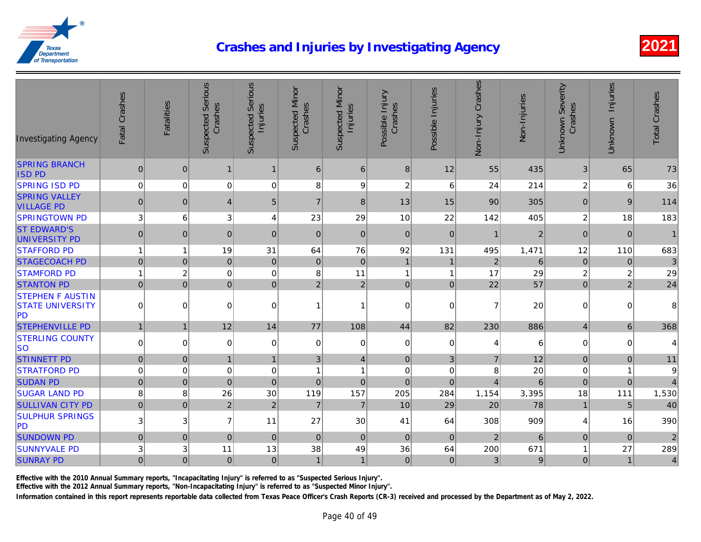| <b>Investigating Agency</b>                                     | Fatal Crashes  | <b>Fatalities</b> | <b>Suspected Serious</b><br>Crashes | <b>Suspected Serious</b><br>Injuries | Suspected Minor<br>Crashes | <b>Suspected Minor</b><br>Injuries | Possible Injury<br>Crashes | Possible Injuries | Non-Injury Crashes | Non-Injuries   |
|-----------------------------------------------------------------|----------------|-------------------|-------------------------------------|--------------------------------------|----------------------------|------------------------------------|----------------------------|-------------------|--------------------|----------------|
| <b>SPRING BRANCH</b><br><b>ISD PD</b>                           | 0              | $\mathbf{0}$      | $\mathbf 1$                         | 1                                    | $6 \mid$                   | 6                                  | 8                          | 12                | 55                 | 435            |
| <b>SPRING ISD PD</b>                                            | $\overline{0}$ | $\mathbf 0$       | 0                                   | $\mathbf 0$                          | 8                          | 9                                  | $\boldsymbol{2}$           | 6                 | 24                 | 214            |
| <b>SPRING VALLEY</b><br><b>VILLAGE PD</b>                       | $\pmb{0}$      | $\boldsymbol{0}$  | $\overline{4}$                      | $\sqrt{5}$                           | $\overline{7}$             | 8                                  | 13                         | 15                | 90                 | 305            |
| <b>SPRINGTOWN PD</b>                                            | 3 <sup>1</sup> | 6                 | 3                                   | $\overline{4}$                       | 23                         | 29                                 | 10                         | 22                | 142                | 405            |
| <b>ST EDWARD'S</b><br>UNIVERSITY PD                             | $\mathbf{0}$   | $\mathbf{0}$      | $\mathbf{0}$                        | $\Omega$                             | $\overline{0}$             | $\Omega$                           | $\mathbf{0}$               | $\mathbf{0}$      | $\mathbf{1}$       | $\overline{c}$ |
| <b>STAFFORD PD</b>                                              | 1              | 1                 | 19                                  | 31                                   | 64                         | 76                                 | 92                         | 131               | 495                | 1,471          |
| <b>STAGECOACH PD</b>                                            | 0              | $\overline{0}$    | $\pmb{0}$                           | $\mathbf{0}$                         | $\overline{0}$             | $\mathbf{0}$                       | $\mathbf{1}$               | $\mathbf{1}$      | $\overline{2}$     | 6              |
| <b>STAMFORD PD</b>                                              | $\mathbf{1}$   | $\overline{c}$    | $\mathbf 0$                         | $\mathbf 0$                          | 8                          | 11                                 | $\mathbf{1}$               | $\mathbf{1}$      | 17                 | 29             |
| <b>STANTON PD</b>                                               | $\overline{0}$ | $\mathbf 0$       | $\mathbf 0$                         | $\mathbf{0}$                         | $\overline{2}$             | $\overline{2}$                     | $\pmb{0}$                  | $\mathbf 0$       | 22                 | 57             |
| <b>STEPHEN F AUSTIN</b><br><b>STATE UNIVERSITY</b><br><b>PD</b> | $\mathbf 0$    | $\Omega$          | 0                                   | $\Omega$                             | $\mathbf{1}$               |                                    | $\mathbf 0$                | $\mathbf 0$       | $\overline{7}$     | 20             |
| <b>STEPHENVILLE PD</b>                                          | $\mathbf{1}$   | $\mathbf{1}$      | 12                                  | 14                                   | 77                         | 108                                | 44                         | 82                | 230                | 886            |
| <b>STERLING COUNTY</b><br><b>SO</b>                             | $\pmb{0}$      | $\mathbf 0$       | 0                                   | $\Omega$                             | $\Omega$                   | $\Omega$                           | $\pmb{0}$                  | $\mathbf 0$       | 4                  | 6              |
| <b>STINNETT PD</b>                                              | $\pmb{0}$      | $\mathbf 0$       | $\mathbf{1}$                        |                                      | 3 <sup>1</sup>             | $\overline{4}$                     | $\pmb{0}$                  | 3                 | $\overline{7}$     | 12             |
| <b>STRATFORD PD</b>                                             | $\pmb{0}$      | $\pmb{0}$         | $\mathbf 0$                         | 0                                    | $\mathbf{1}$               | $\overline{1}$                     | $\mathbf 0$                | $\mathbf 0$       | 8                  | 20             |
| <b>SUDAN PD</b>                                                 | $\mathbf 0$    | $\mathbf 0$       | $\pmb{0}$                           | $\mathbf 0$                          | $\pmb{0}$                  | $\mathbf 0$                        | $\mathbf 0$                | $\overline{0}$    | $\overline{4}$     | 6              |
| <b>SUGAR LAND PD</b>                                            | 8              | 8                 | 26                                  | 30                                   | 119                        | 157                                | 205                        | 284               | 1,154              | 3,395          |
| <b>SULLIVAN CITY PD</b>                                         | $\overline{0}$ | $\mathbf 0$       | $\overline{2}$                      | $\overline{2}$                       | $\overline{7}$             | $\overline{7}$                     | 10                         | 29                | 20                 | 78             |
| <b>SULPHUR SPRINGS</b><br>PD                                    | 3              | 3                 | $\overline{7}$                      | 11                                   | 27                         | 30                                 | 41                         | 64                | 308                | 909            |
| <b>SUNDOWN PD</b>                                               | $\pmb{0}$      | $\boldsymbol{0}$  | $\pmb{0}$                           | $\mathbf{0}$                         | $\overline{0}$             | $\mathbf 0$                        | $\pmb{0}$                  | $\mathbf{0}$      | $\sqrt{2}$         | 6              |
| <b>SUNNYVALE PD</b>                                             | $\mathsf 3$    | 3                 | 11                                  | 13                                   | 38                         | 49                                 | 36                         | 64                | 200                | 671            |
| <b>SUNRAY PD</b>                                                | $\overline{0}$ | $\overline{0}$    | $\pmb{0}$                           | $\mathbf{0}$                         | $\mathbf{1}$               | $\mathbf{1}$                       | $\pmb{0}$                  | $\mathbf 0$       | 3 <sup>1</sup>     |                |

Effective with the 2010 Annual Summary reports, "Incapacitating Injury" is referred to as "Suspected Serious Injury".

Effective with the 2012 Annual Summary reports, "Non-Incapacitating Injury" is referred to as "Suspected Minor Injury".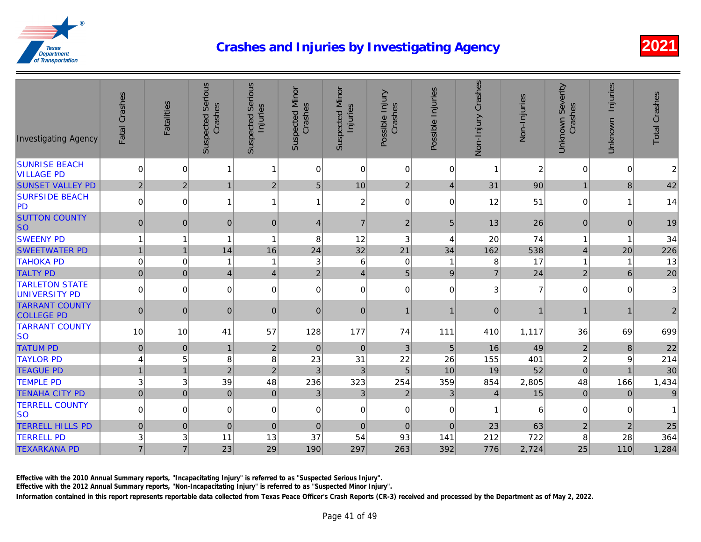| <b>Investigating Agency</b>                | Fatal Crashes    | <b>Fatalities</b> | <b>Suspected Serious</b><br>Crashes | <b>Suspected Serious</b><br>Injuries | <b>Suspected Minor</b><br>Crashes | <b>Suspected Minor</b><br>Injuries | Possible Injury<br>Crashes | Possible Injuries | Non-Injury Crashes | Non-Injuries |
|--------------------------------------------|------------------|-------------------|-------------------------------------|--------------------------------------|-----------------------------------|------------------------------------|----------------------------|-------------------|--------------------|--------------|
| <b>SUNRISE BEACH</b><br><b>VILLAGE PD</b>  | $\mathbf 0$      | $\overline{0}$    | 1                                   | 1                                    | 0                                 | $\Omega$                           | $\mathbf 0$                | $\mathbf 0$       | $\overline{1}$     |              |
| <b>SUNSET VALLEY PD</b>                    | 2                | $\overline{2}$    | 1                                   | $\overline{2}$                       | 5                                 | 10                                 | 2                          | $\vert 4 \vert$   | 31                 | 90           |
| <b>SURFSIDE BEACH</b><br>PD                | $\mathbf 0$      | 0                 | $\mathbf{1}$                        | 1                                    | 1                                 | $\overline{c}$                     | 0                          | $\mathbf 0$       | 12                 | 51           |
| <b>SUTTON COUNTY</b><br><b>SO</b>          | $\mathbf 0$      | $\mathbf 0$       | $\overline{0}$                      | $\mathbf{0}$                         | 4                                 | $\overline{7}$                     | $\boldsymbol{2}$           | 5                 | 13                 | 26           |
| <b>SWEENY PD</b>                           | $\mathbf{1}$     |                   | $\overline{1}$                      | 1                                    | 8                                 | 12                                 | 3                          | 4                 | 20                 | 74           |
| <b>SWEETWATER PD</b>                       | $\mathbf{1}$     | $\overline{1}$    | 14                                  | 16                                   | 24                                | 32                                 | 21                         | 34                | 162                | 538          |
| <b>TAHOKA PD</b>                           | $\mathbf 0$      | $\mathbf 0$       | $\mathbf{1}$                        | -1                                   | 3                                 | 6                                  | $\pmb{0}$                  | -1                | 8                  | 17           |
| <b>TALTY PD</b>                            | $\overline{0}$   | $\mathbf 0$       | $\overline{4}$                      | $\overline{4}$                       | $\overline{2}$                    | $\overline{4}$                     | $\overline{5}$             | $\boldsymbol{9}$  | $\overline{7}$     | 24           |
| <b>TARLETON STATE</b><br>UNIVERSITY PD     | $\mathbf 0$      | $\mathbf 0$       | $\overline{0}$                      | $\Omega$                             | 0                                 | $\overline{0}$                     | $\mathbf 0$                | $\mathbf 0$       | 3                  |              |
| <b>TARRANT COUNTY</b><br><b>COLLEGE PD</b> | $\overline{0}$   | $\mathbf{0}$      | $\mathbf{0}$                        | $\mathbf{0}$                         | $\mathbf{0}$                      | $\overline{0}$                     | $\mathbf{1}$               |                   | $\mathbf 0$        |              |
| <b>TARRANT COUNTY</b><br><b>SO</b>         | 10               | 10                | 41                                  | 57                                   | 128                               | 177                                | 74                         | 111               | 410                | 1,117        |
| <b>TATUM PD</b>                            | $\boldsymbol{0}$ | $\mathbf 0$       | $\mathbf{1}$                        | $\overline{2}$                       | $\pmb{0}$                         | $\overline{0}$                     | $\sqrt{3}$                 | 5                 | 16                 | 49           |
| <b>TAYLOR PD</b>                           | $\overline{4}$   | 5                 | $\bf 8$                             | 8                                    | 23                                | 31                                 | 22                         | 26                | 155                | 401          |
| <b>TEAGUE PD</b>                           | $\mathbf{1}$     | $\overline{1}$    | $\overline{2}$                      | $\overline{2}$                       | 3                                 | $\mathbf{3}$                       | $\overline{5}$             | 10                | 19                 | 52           |
| <b>TEMPLE PD</b>                           | 3                | 3                 | 39                                  | 48                                   | 236                               | 323                                | 254                        | 359               | 854                | 2,805        |
| <b>TENAHA CITY PD</b>                      | $\mathbf 0$      | $\mathbf 0$       | $\overline{0}$                      | $\mathbf 0$                          | 3                                 | 3 <sup>1</sup>                     | $\mathbf 2$                | 3 <sup>1</sup>    | 4                  | 15           |
| <b>TERRELL COUNTY</b><br><b>SO</b>         | $\pmb{0}$        | 0                 | $\Omega$                            | 0                                    | 0                                 | $\overline{0}$                     | $\pmb{0}$                  | 0                 | $\mathbf{1}$       |              |
| <b>TERRELL HILLS PD</b>                    | $\pmb{0}$        | $\mathbf{0}$      | 0                                   | $\mathbf 0$                          | $\mathbf 0$                       | $\overline{0}$                     | $\mathbf 0$                | $\mathbf 0$       | 23                 | 63           |
| <b>TERRELL PD</b>                          | 3                | 3                 | 11                                  | 13                                   | 37                                | 54                                 | 93                         | 141               | 212                | 722          |
| <b>TEXARKANA PD</b>                        | $\overline{7}$   | $\overline{7}$    | 23                                  | 29                                   | 190                               | 297                                | 263                        | 392               | 776                | 2,724        |

Effective with the 2010 Annual Summary reports, "Incapacitating Injury" is referred to as "Suspected Serious Injury".

Effective with the 2012 Annual Summary reports, "Non-Incapacitating Injury" is referred to as "Suspected Minor Injury".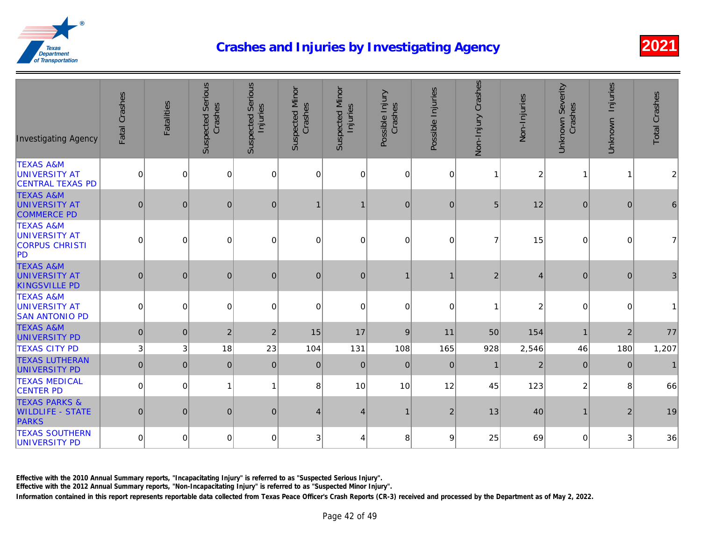| <b>Investigating Agency</b>                                           | Fatal Crashes | Fatalities  | <b>Suspected Serious</b><br>Crashes | <b>Suspected Serious</b><br>Injuries | <b>Suspected Minor</b><br>Crashes | <b>Suspected Minor</b><br>Injuries | Possible Injury<br>Crashes | Possible Injuries | Non-Injury Crashes | Non-Injuries |
|-----------------------------------------------------------------------|---------------|-------------|-------------------------------------|--------------------------------------|-----------------------------------|------------------------------------|----------------------------|-------------------|--------------------|--------------|
| <b>TEXAS A&amp;M</b><br>UNIVERSITY AT<br><b>CENTRAL TEXAS PD</b>      | $\mathbf 0$   | $\mathbf 0$ | $\overline{0}$                      | $\mathbf 0$                          | 0                                 | 0                                  | $\overline{0}$             | $\mathbf 0$       | $\mathbf{1}$       |              |
| <b>TEXAS A&amp;M</b><br><b>UNIVERSITY AT</b><br><b>COMMERCE PD</b>    | $\mathbf 0$   | $\mathbf 0$ | $\mathbf 0$                         | $\pmb{0}$                            | 1                                 |                                    | 0                          | $\boldsymbol{0}$  | 5                  | 12           |
| <b>TEXAS A&amp;M</b><br>UNIVERSITY AT<br><b>CORPUS CHRISTI</b><br>PD  | $\Omega$      | $\mathbf 0$ | $\mathbf 0$                         | $\Omega$                             | $\Omega$                          | $\Omega$                           | $\Omega$                   | $\Omega$          | $\overline{7}$     | 15           |
| <b>TEXAS A&amp;M</b><br><b>UNIVERSITY AT</b><br><b>KINGSVILLE PD</b>  | $\mathbf 0$   | $\mathbf 0$ | $\mathbf 0$                         | $\mathbf{0}$                         | $\pmb{0}$                         | $\overline{0}$                     |                            |                   | $\overline{2}$     |              |
| <b>TEXAS A&amp;M</b><br><b>UNIVERSITY AT</b><br><b>SAN ANTONIO PD</b> | $\mathbf 0$   | $\mathbf 0$ | $\mathbf 0$                         | $\Omega$                             | 0                                 | $\Omega$                           | $\Omega$                   | $\Omega$          | 1                  |              |
| <b>TEXAS A&amp;M</b><br>UNIVERSITY PD                                 | $\mathbf 0$   | $\mathbf 0$ | $\overline{2}$                      | $\overline{2}$                       | 15                                | 17                                 | 9                          | 11                | 50                 | 154          |
| <b>TEXAS CITY PD</b>                                                  | 3             | $\mathsf 3$ | 18                                  | 23                                   | 104                               | 131                                | 108                        | 165               | 928                | 2,546        |
| <b>TEXAS LUTHERAN</b><br>UNIVERSITY PD                                | $\pmb{0}$     | $\mathbf 0$ | $\mathbf{0}$                        | $\mathbf{0}$                         | $\mathbf{0}$                      | $\mathbf{0}$                       | 0                          | $\overline{0}$    | $\mathbf{1}$       |              |
| <b>TEXAS MEDICAL</b><br><b>CENTER PD</b>                              | $\mathbf 0$   | $\mathbf 0$ | $\overline{1}$                      | 1                                    | 8                                 | 10                                 | 10                         | 12                | 45                 | 123          |
| <b>TEXAS PARKS &amp;</b><br><b>WILDLIFE - STATE</b><br><b>PARKS</b>   | $\pmb{0}$     | $\mathbf 0$ | $\mathbf 0$                         | $\pmb{0}$                            | $\overline{4}$                    | 4                                  | $\mathbf{1}$               | $\overline{2}$    | 13                 | 40           |
| <b>TEXAS SOUTHERN</b><br>UNIVERSITY PD                                | $\mathbf 0$   | $\mathbf 0$ | $\mathbf 0$                         | 0                                    | 3                                 | 4                                  | 8                          | 9                 | 25                 | 69           |

Effective with the 2010 Annual Summary reports, "Incapacitating Injury" is referred to as "Suspected Serious Injury".

Effective with the 2012 Annual Summary reports, "Non-Incapacitating Injury" is referred to as "Suspected Minor Injury".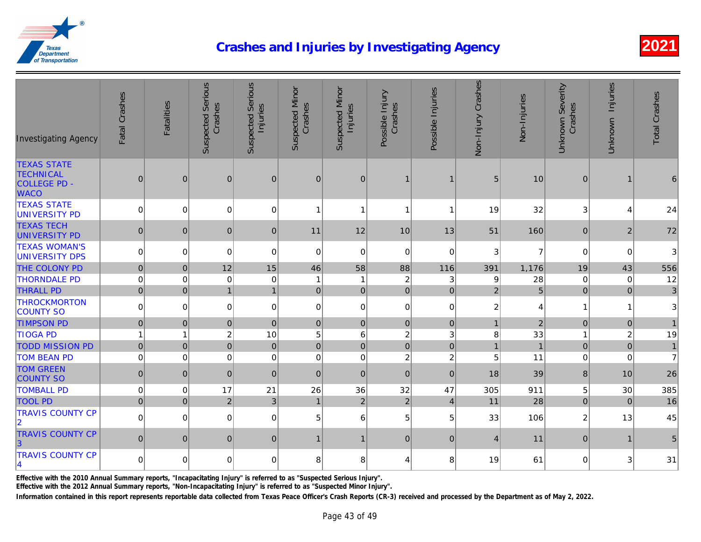| <b>Investigating Agency</b>                                                  | Fatal Crashes  | Fatalities     | <b>Suspected Serious</b><br>Crashes | <b>Suspected Serious</b><br>Injuries | <b>Suspected Minor</b><br>Crashes | Suspected Minor<br>Injuries | Possible Injury<br>Crashes | Possible Injuries | Non-Injury Crashes | Non-Injuries |
|------------------------------------------------------------------------------|----------------|----------------|-------------------------------------|--------------------------------------|-----------------------------------|-----------------------------|----------------------------|-------------------|--------------------|--------------|
| <b>TEXAS STATE</b><br><b>TECHNICAL</b><br><b>COLLEGE PD -</b><br><b>WACO</b> | $\overline{0}$ | $\overline{0}$ | $\boldsymbol{0}$                    | $\mathbf{0}$                         | $\mathbf{0}$                      | $\mathbf{0}$                | $\mathbf{1}$               | $\mathbf 1$       | 5                  | 10           |
| <b>TEXAS STATE</b><br>UNIVERSITY PD                                          | $\Omega$       | $\mathbf 0$    | $\Omega$                            | $\mathbf 0$                          | 1                                 | 1                           | 1                          |                   | 19                 | 32           |
| <b>TEXAS TECH</b><br><b>UNIVERSITY PD</b>                                    | $\mathbf{0}$   | $\mathbf 0$    | $\mathbf{0}$                        | $\mathbf{0}$                         | 11                                | 12                          | 10                         | 13                | 51                 | 160          |
| <b>TEXAS WOMAN'S</b><br>UNIVERSITY DPS                                       | $\mathbf 0$    | $\mathbf 0$    | $\mathbf 0$                         | $\Omega$                             | $\mathbf 0$                       | $\Omega$                    | $\overline{0}$             | $\Omega$          | 3                  |              |
| THE COLONY PD                                                                | $\mathbf 0$    | $\mathbf 0$    | 12                                  | 15                                   | 46                                | 58                          | 88                         | 116               | 391                | 1,176        |
| <b>THORNDALE PD</b>                                                          | $\mathbf 0$    | $\mathbf 0$    | $\mathbf 0$                         | $\mathbf 0$                          | $\overline{\mathbf{1}}$           | 1                           | $\overline{c}$             | 3                 | 9                  | 28           |
| <b>THRALL PD</b>                                                             | $\mathbf 0$    | $\mathbf 0$    | $\overline{1}$                      | $\mathbf{1}$                         | $\overline{0}$                    | 0                           | 0                          | $\mathbf 0$       | $\overline{2}$     |              |
| <b>THROCKMORTON</b><br><b>COUNTY SO</b>                                      | 0              | $\pmb{0}$      | $\overline{0}$                      | $\mathbf 0$                          | 0                                 | $\mathbf 0$                 | 0                          | $\mathbf 0$       | $\overline{c}$     |              |
| <b>TIMPSON PD</b>                                                            | $\pmb{0}$      | $\pmb{0}$      | $\mathbf 0$                         | $\mathbf 0$                          | $\pmb{0}$                         | $\mathbf{0}$                | 0                          | $\mathbf 0$       | $\mathbf{1}$       |              |
| <b>TIOGA PD</b>                                                              | 1              | $\mathbf{1}$   | $\overline{c}$                      | 10                                   | 5                                 | 6                           | $\sqrt{2}$                 | 3                 | $\bf 8$            | 33           |
| <b>TODD MISSION PD</b>                                                       | $\overline{0}$ | $\mathbf 0$    | $\overline{0}$                      | $\mathbf 0$                          | $\overline{0}$                    | $\Omega$                    | 0                          | $\mathbf 0$       | $\mathbf{1}$       |              |
| <b>TOM BEAN PD</b>                                                           | $\mathbf 0$    | $\mathbf 0$    | $\mathbf 0$                         | $\Omega$                             | $\mathbf 0$                       | $\Omega$                    | $\overline{c}$             | $\overline{c}$    | 5                  | 11           |
| <b>TOM GREEN</b><br><b>COUNTY SO</b>                                         | $\pmb{0}$      | $\pmb{0}$      | $\mathbf{0}$                        | $\mathbf{0}$                         | $\mathbf{0}$                      | $\mathbf{0}$                | 0                          | $\mathbf{0}$      | 18                 | 39           |
| <b>TOMBALL PD</b>                                                            | $\mathbf 0$    | $\mathbf 0$    | 17                                  | 21                                   | 26                                | 36                          | 32                         | 47                | 305                | 911          |
| <b>TOOL PD</b>                                                               | $\mathbf 0$    | $\mathbf 0$    | $\vert$ 2                           | $\mathfrak{S}$                       | $\mathbf{1}$                      | $\overline{2}$              | $\overline{2}$             | $\vert$           | 11                 | 28           |
| <b>TRAVIS COUNTY CP</b><br>$ 2\rangle$                                       | 0              | $\mathbf 0$    | $\overline{0}$                      | $\mathbf 0$                          | 5                                 | 6                           | 5 <sup>5</sup>             | 5 <sup>5</sup>    | 33                 | 106          |
| <b>TRAVIS COUNTY CP</b><br> 3                                                | $\mathbf{0}$   | $\mathbf{0}$   | $\mathbf 0$                         | $\overline{0}$                       | $\mathbf{1}$                      | $\mathbf 1$                 | 0                          | $\mathbf{0}$      | $\overline{4}$     | 11           |
| <b>TRAVIS COUNTY CP</b><br>$\vert$ 4                                         | 0              | $\mathbf 0$    | 0                                   | $\mathbf 0$                          | 8                                 | 8                           | 4                          | 8                 | 19                 | 61           |

Effective with the 2010 Annual Summary reports, "Incapacitating Injury" is referred to as "Suspected Serious Injury".

Effective with the 2012 Annual Summary reports, "Non-Incapacitating Injury" is referred to as "Suspected Minor Injury".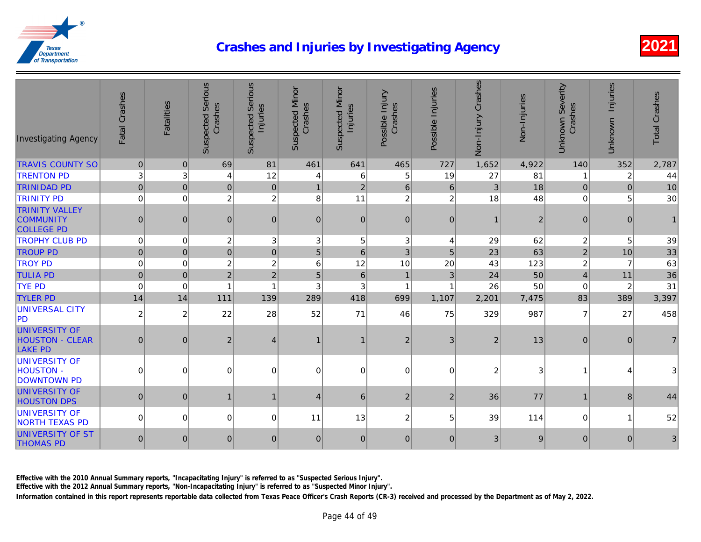| <b>Investigating Agency</b>                                      | Fatal Crashes  | <b>Fatalities</b> | <b>Suspected Serious</b><br>Crashes | <b>Suspected Serious</b><br>Injuries | <b>Suspected Minor</b><br>Crashes | <b>Suspected Minor</b><br>Injuries | Possible Injury<br>Crashes | Possible Injuries | Non-Injury Crashes | Non-Injuries   |
|------------------------------------------------------------------|----------------|-------------------|-------------------------------------|--------------------------------------|-----------------------------------|------------------------------------|----------------------------|-------------------|--------------------|----------------|
| <b>TRAVIS COUNTY SO</b>                                          | $\mathbf 0$    | $\overline{0}$    | 69                                  | 81                                   | 461                               | 641                                | 465                        | 727               | 1,652              | 4,922          |
| <b>TRENTON PD</b>                                                | 3              | 3                 | $\overline{4}$                      | 12                                   | 4                                 | 6                                  | 5                          | 19                | 27                 | 81             |
| <b>TRINIDAD PD</b>                                               | $\pmb{0}$      | $\mathbf{0}$      | 0                                   | $\mathbf{0}$                         | $\mathbf{1}$                      | $\overline{2}$                     | $\,6\,$                    | 6                 | $\mathfrak{B}$     | 18             |
| <b>TRINITY PD</b>                                                | $\mathbf 0$    | $\Omega$          | $\overline{2}$                      | $\overline{2}$                       | 8                                 | 11                                 | $\overline{c}$             | $\overline{2}$    | 18                 | 48             |
| <b>TRINITY VALLEY</b><br><b>COMMUNITY</b><br><b>COLLEGE PD</b>   | $\mathbf 0$    | $\boldsymbol{0}$  | 0                                   | $\overline{0}$                       | $\pmb{0}$                         | $\overline{0}$                     | $\mathbf 0$                | $\overline{0}$    | $\mathbf{1}$       | $\overline{a}$ |
| <b>TROPHY CLUB PD</b>                                            | $\mathbf 0$    | $\mathbf 0$       | $\overline{c}$                      | 3                                    | 3                                 | 5                                  | 3                          | 4                 | 29                 | 62             |
| <b>TROUP PD</b>                                                  | $\mathbf 0$    | $\mathbf 0$       | $\overline{0}$                      | $\mathbf 0$                          | 5                                 | $6\phantom{1}$                     | $\overline{3}$             | 5                 | 23                 | 63             |
| <b>TROY PD</b>                                                   | $\mathbf 0$    | $\mathbf 0$       | $\overline{c}$                      | $\overline{c}$                       | 6                                 | 12                                 | 10                         | 20                | 43                 | 123            |
| <b>TULIA PD</b>                                                  | $\mathbf 0$    | $\mathbf 0$       | $\overline{2}$                      | $\overline{2}$                       | 5                                 | $6\phantom{1}$                     | $\mathbf{1}$               | 3                 | 24                 | 50             |
| <b>TYE PD</b>                                                    | $\mathbf 0$    | $\Omega$          | 1                                   | $\overline{1}$                       | 3                                 | 3                                  |                            | 1                 | 26                 | 50             |
| <b>TYLER PD</b>                                                  | 14             | 14                | 111                                 | 139                                  | 289                               | 418                                | 699                        | 1,107             | 2,201              | 7,475          |
| UNIVERSAL CITY<br><b>PD</b>                                      | $\overline{c}$ | $\overline{c}$    | 22                                  | 28                                   | 52                                | 71                                 | 46                         | 75                | 329                | 987            |
| <b>UNIVERSITY OF</b><br><b>HOUSTON - CLEAR</b><br><b>LAKE PD</b> | $\mathbf{0}$   | $\boldsymbol{0}$  | $\overline{c}$                      | 4                                    | $\overline{1}$                    | $\mathbf 1$                        | $\overline{2}$             | 3                 | $\mathbf 2$        | 13             |
| UNIVERSITY OF<br><b>HOUSTON-</b><br><b>DOWNTOWN PD</b>           | $\mathbf 0$    | $\mathbf 0$       | 0                                   | 0                                    | 0                                 | $\Omega$                           | $\mathbf 0$                | $\Omega$          | $\boldsymbol{2}$   |                |
| <b>UNIVERSITY OF</b><br><b>HOUSTON DPS</b>                       | $\overline{0}$ | $\overline{0}$    | $\overline{1}$                      | 1                                    | $\overline{4}$                    | 6                                  | $\overline{2}$             | $\overline{2}$    | 36                 | 77             |
| UNIVERSITY OF<br><b>NORTH TEXAS PD</b>                           | 0              | $\mathbf 0$       | 0                                   | 0                                    | 11                                | 13                                 | $\overline{c}$             | 5                 | 39                 | 114            |
| UNIVERSITY OF ST<br><b>THOMAS PD</b>                             | $\pmb{0}$      | $\overline{0}$    | $\overline{0}$                      | $\overline{0}$                       | $\pmb{0}$                         | $\overline{0}$                     | $\mathbf{0}$               | $\mathbf 0$       | $\mathfrak{B}$     |                |

Effective with the 2010 Annual Summary reports, "Incapacitating Injury" is referred to as "Suspected Serious Injury".

Effective with the 2012 Annual Summary reports, "Non-Incapacitating Injury" is referred to as "Suspected Minor Injury".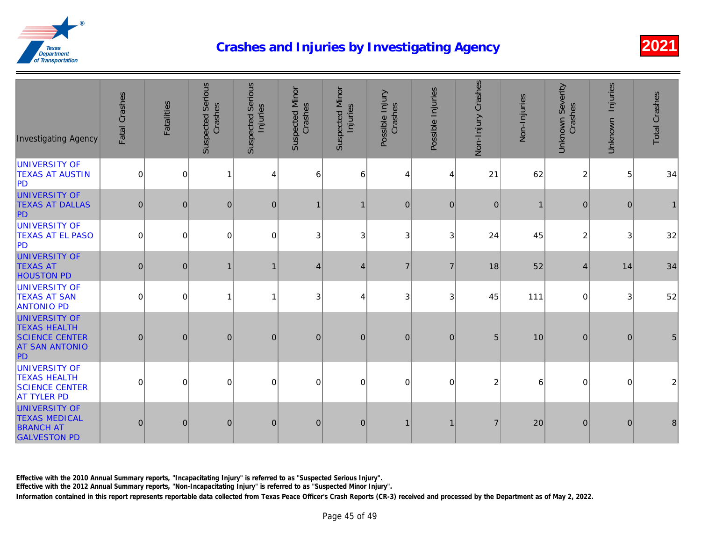| <b>Investigating Agency</b>                                                                         | Fatal Crashes  | <b>Fatalities</b> | <b>Suspected Serious</b><br>Crashes | <b>Suspected Serious</b><br>Injuries | <b>Suspected Minor</b><br>Crashes | Suspected Minor<br>Injuries | Possible Injury<br>Crashes | Possible Injuries | Non-Injury Crashes | Non-Injuries |
|-----------------------------------------------------------------------------------------------------|----------------|-------------------|-------------------------------------|--------------------------------------|-----------------------------------|-----------------------------|----------------------------|-------------------|--------------------|--------------|
| UNIVERSITY OF<br><b>TEXAS AT AUSTIN</b><br><b>PD</b>                                                | $\mathbf 0$    | $\mathbf 0$       | $\overline{1}$                      | 4                                    | 6                                 | 6                           | 4                          | 4                 | 21                 | 62           |
| <b>UNIVERSITY OF</b><br><b>TEXAS AT DALLAS</b><br>PD                                                | $\overline{0}$ | $\mathbf{0}$      | $\mathbf{0}$                        | $\overline{0}$                       | 1                                 | -1                          | $\mathbf{0}$               | $\overline{0}$    | $\mathbf 0$        |              |
| UNIVERSITY OF<br><b>TEXAS AT EL PASO</b><br>PD                                                      | $\mathbf 0$    | $\overline{0}$    | 0                                   | $\Omega$                             | 3                                 | 3                           | 3                          | 3                 | 24                 | 45           |
| <b>UNIVERSITY OF</b><br><b>TEXAS AT</b><br><b>HOUSTON PD</b>                                        | $\mathbf 0$    | $\mathbf{0}$      |                                     |                                      | $\overline{4}$                    | $\overline{4}$              | $\overline{7}$             | $\overline{7}$    | 18                 | 52           |
| UNIVERSITY OF<br><b>TEXAS AT SAN</b><br><b>ANTONIO PD</b>                                           | $\Omega$       | $\mathbf 0$       | 1                                   | 1                                    | 3                                 | 4                           | 3                          | 3                 | 45                 | 111          |
| <b>UNIVERSITY OF</b><br><b>TEXAS HEALTH</b><br><b>SCIENCE CENTER</b><br><b>AT SAN ANTONIO</b><br>PD | $\overline{0}$ | $\overline{0}$    | $\mathbf{0}$                        | $\overline{0}$                       | $\mathbf{0}$                      | $\overline{0}$              | $\mathbf{0}$               | $\overline{0}$    | 5                  | 10           |
| UNIVERSITY OF<br><b>TEXAS HEALTH</b><br><b>SCIENCE CENTER</b><br><b>AT TYLER PD</b>                 | $\mathbf 0$    | $\mathbf 0$       | 0                                   | $\Omega$                             | 0                                 | $\Omega$                    | $\Omega$                   | $\Omega$          | $\overline{c}$     |              |
| <b>UNIVERSITY OF</b><br><b>TEXAS MEDICAL</b><br><b>BRANCH AT</b><br><b>GALVESTON PD</b>             | $\overline{0}$ | $\mathbf 0$       | $\pmb{0}$                           | $\overline{0}$                       | $\pmb{0}$                         | $\overline{0}$              | $\mathbf{1}$               | $\mathbf{1}$      | $\overline{7}$     | 20           |

Effective with the 2010 Annual Summary reports, "Incapacitating Injury" is referred to as "Suspected Serious Injury".

Effective with the 2012 Annual Summary reports, "Non-Incapacitating Injury" is referred to as "Suspected Minor Injury".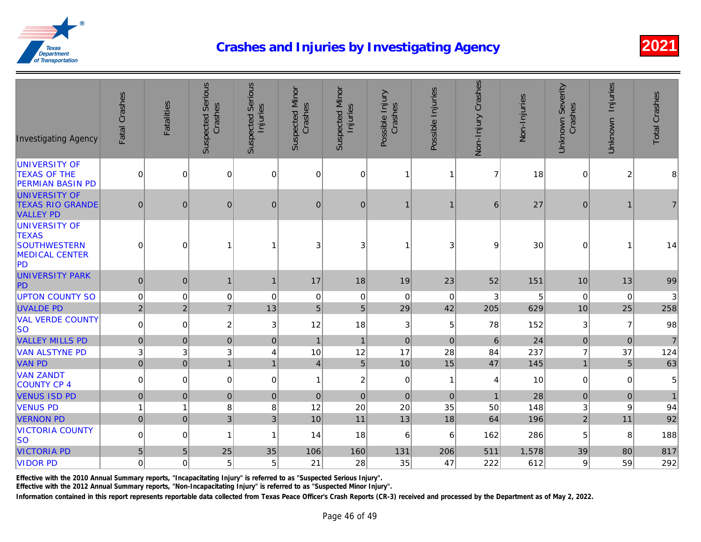| <b>Investigating Agency</b>                                                                       | Fatal Crashes  | Fatalities           | <b>Suspected Serious</b><br>Crashes | <b>Suspected Serious</b><br>Injuries | <b>Suspected Minor</b><br>Crashes | <b>Suspected Minor</b><br>Injuries | Possible Injury<br>Crashes | Possible Injuries | Non-Injury Crashes | Non-Injuries |
|---------------------------------------------------------------------------------------------------|----------------|----------------------|-------------------------------------|--------------------------------------|-----------------------------------|------------------------------------|----------------------------|-------------------|--------------------|--------------|
| <b>UNIVERSITY OF</b><br><b>TEXAS OF THE</b><br><b>PERMIAN BASIN PD</b>                            | $\mathbf 0$    | 0                    | $\mathbf 0$                         | 0                                    | $\mathbf 0$                       | $\overline{0}$                     | $\overline{1}$             | 1                 | $\overline{7}$     | 18           |
| <b>UNIVERSITY OF</b><br><b>TEXAS RIO GRANDE</b><br><b>VALLEY PD</b>                               | $\mathbf 0$    | $\mathbf{0}$         | $\mathbf{0}$                        | $\mathbf{0}$                         | $\mathbf{0}$                      | 0                                  |                            | 1                 | 6                  | 27           |
| <b>UNIVERSITY OF</b><br><b>TEXAS</b><br><b>SOUTHWESTERN</b><br><b>MEDICAL CENTER</b><br><b>PD</b> | $\mathbf 0$    | 0                    | 1                                   | 1                                    | 3                                 | 3                                  |                            | 3                 | 9                  | 30           |
| <b>UNIVERSITY PARK</b><br>PD                                                                      | $\mathbf 0$    | $\mathbf 0$          | $\mathbf{1}$                        | $\mathbf{1}$                         | 17                                | 18                                 | 19                         | 23                | 52                 | 151          |
| <b>UPTON COUNTY SO</b>                                                                            | $\pmb{0}$      | $\mathbf 0$          | 0                                   | 0                                    | 0                                 | 0                                  | $\mathbf 0$                | 0                 | 3                  |              |
| <b>UVALDE PD</b>                                                                                  | $\overline{2}$ | $\overline{2}$       | $\overline{7}$                      | 13                                   | $\overline{5}$                    | 5                                  | 29                         | 42                | 205                | 629          |
| <b>VAL VERDE COUNTY</b><br><b>SO</b>                                                              | $\pmb{0}$      | $\Omega$             | $\overline{c}$                      | 3                                    | 12                                | 18                                 | $\mathbf{3}$               | $\,$ 5 $\,$       | 78                 | 152          |
| <b>VALLEY MILLS PD</b>                                                                            | $\pmb{0}$      | $\mathbf 0$          | $\mathbf 0$                         | $\mathbf{0}$                         | $\mathbf{1}$                      | $\mathbf{1}$                       | $\mathbf 0$                | $\mathbf{0}$      | 6                  | 24           |
| <b>VAN ALSTYNE PD</b>                                                                             | 3              | $\sqrt{3}$           | $\ensuremath{\mathsf{3}}$           | 4                                    | 10                                | 12                                 | 17                         | 28                | 84                 | 237          |
| <b>VAN PD</b>                                                                                     |                | 0 <br>$\overline{0}$ | $\mathbf{1}$                        | $\overline{1}$                       | $\vert 4 \vert$                   | 5 <sup>1</sup>                     | 10                         | 15                | 47                 | 145          |
| <b>VAN ZANDT</b><br><b>COUNTY CP 4</b>                                                            | $\pmb{0}$      | $\overline{0}$       | $\mathbf 0$                         | 0                                    | $\mathbf{1}$                      | 2 <sup>1</sup>                     | $\mathsf 0$                | $\mathbf{1}$      | 4                  | 10           |
| <b>VENUS ISD PD</b>                                                                               | $\pmb{0}$      | $\pmb{0}$            | $\pmb{0}$                           | $\pmb{0}$                            | $\pmb{0}$                         | $\overline{0}$                     | $\vert 0 \vert$            | $\mathbf{0}$      | $\mathbf{1}$       | 28           |
| <b>VENUS PD</b>                                                                                   | $\overline{1}$ | $\mathbf{1}$         | 8                                   | 8                                    | 12                                | 20                                 | 20                         | 35                | 50                 | 148          |
| <b>VERNON PD</b>                                                                                  | $\mathbf 0$    | $\overline{0}$       | $\mathfrak{S}$                      | 3                                    | 10                                | 11                                 | 13                         | 18                | 64                 | 196          |
| <b>VICTORIA COUNTY</b><br><b>SO</b>                                                               | $\pmb{0}$      | $\mathbf 0$          | 1                                   | 1                                    | 14                                | 18                                 | 6                          | 6                 | 162                | 286          |
| <b>VICTORIA PD</b>                                                                                | $\sqrt{5}$     | $\sqrt{5}$           | 25                                  | 35                                   | 106                               | 160                                | 131                        | 206               | 511                | 1,578        |
| <b>VIDOR PD</b>                                                                                   | $\pmb{0}$      | $\overline{0}$       | $\,$ 5 $\,$                         | 5                                    | 21                                | 28                                 | 35                         | 47                | 222                | 612          |

Effective with the 2010 Annual Summary reports, "Incapacitating Injury" is referred to as "Suspected Serious Injury".

Effective with the 2012 Annual Summary reports, "Non-Incapacitating Injury" is referred to as "Suspected Minor Injury".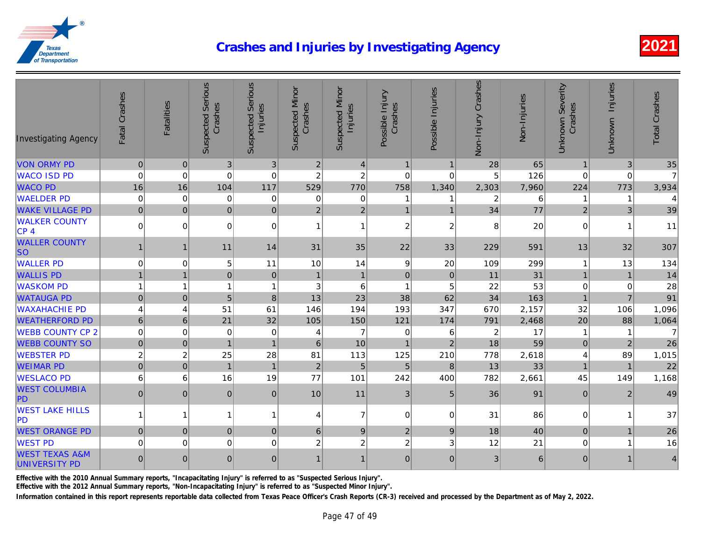| <b>Investigating Agency</b>                | Fatal Crashes   | <b>Fatalities</b> | <b>Suspected Serious</b><br>Crashes | <b>Suspected Serious</b><br>Injuries | <b>Suspected Minor</b><br>Crashes | <b>Suspected Minor</b><br>Injuries | Possible Injury<br>Crashes | Possible Injuries | Non-Injury Crashes | Non-Injuries |
|--------------------------------------------|-----------------|-------------------|-------------------------------------|--------------------------------------|-----------------------------------|------------------------------------|----------------------------|-------------------|--------------------|--------------|
| <b>VON ORMY PD</b>                         | $\overline{0}$  | $\mathbf 0$       | $\mathfrak{3}$                      | $\mathbf{3}$                         | $\overline{2}$                    | $\overline{4}$                     | $\mathbf{1}$               | $\mathbf{1}$      | 28                 | 65           |
| <b>WACO ISD PD</b>                         | $\mathbf 0$     | $\mathbf 0$       | $\mathbf 0$                         | $\mathbf 0$                          | $\overline{c}$                    | $\boldsymbol{2}$                   | $\mathbf 0$                | $\mathbf 0$       | 5                  | 126          |
| <b>WACO PD</b>                             | 16              | 16                | 104                                 | 117                                  | 529                               | 770                                | 758                        | 1,340             | 2,303              | 7,960        |
| <b>WAELDER PD</b>                          | $\mathbf 0$     | $\mathbf 0$       | $\mathbf 0$                         | $\mathbf 0$                          | 0                                 | $\mathbf 0$                        |                            | 1                 | $\overline{c}$     |              |
| <b>WAKE VILLAGE PD</b>                     | $\mathbf 0$     | $\pmb{0}$         | $\overline{0}$                      | $\mathbf 0$                          | $\overline{2}$                    | $\overline{2}$                     | $\mathbf{1}$               | $\mathbf{1}$      | 34                 | 77           |
| <b>WALKER COUNTY</b><br>CP 4               | $\pmb{0}$       | $\mathbf 0$       | $\overline{0}$                      | $\mathbf 0$                          | $\mathbf{1}$                      | $\mathbf{1}$                       | $\overline{c}$             | $\overline{c}$    | 8                  | 20           |
| <b>WALLER COUNTY</b><br><b>SO</b>          | $\mathbf{1}$    | $\overline{1}$    | 11                                  | 14                                   | 31                                | 35                                 | 22                         | 33                | 229                | 591          |
| <b>WALLER PD</b>                           | $\mathbf 0$     | $\mathbf 0$       | 5                                   | 11                                   | 10                                | 14                                 | 9                          | 20                | 109                | 299          |
| <b>WALLIS PD</b>                           | $\overline{1}$  | $\overline{1}$    | $\mathbf 0$                         | $\mathbf 0$                          | $\overline{1}$                    | $\overline{1}$                     | $\Omega$                   | $\mathbf 0$       | 11                 | 31           |
| <b>WASKOM PD</b>                           | $\mathbf{1}$    |                   | $\mathbf{1}$                        | $\overline{1}$                       | 3                                 | 6                                  | $\overline{1}$             | 5                 | 22                 | 53           |
| <b>WATAUGA PD</b>                          | $\overline{0}$  | $\mathbf 0$       | 5                                   | 8                                    | 13                                | 23                                 | 38                         | 62                | 34                 | 163          |
| <b>WAXAHACHIE PD</b>                       | $\overline{4}$  | $\overline{4}$    | 51                                  | 61                                   | 146                               | 194                                | 193                        | 347               | 670                | 2,157        |
| <b>WEATHERFORD PD</b>                      | $6\phantom{1}6$ | $6\phantom{1}6$   | 21                                  | 32                                   | 105                               | 150                                | 121                        | 174               | 791                | 2,468        |
| <b>WEBB COUNTY CP 2</b>                    | $\mathbf 0$     | $\mathbf 0$       | $\mathbf 0$                         | 0                                    | 4                                 | $\overline{7}$                     | 0                          | 6                 | $\boldsymbol{2}$   | 17           |
| <b>WEBB COUNTY SO</b>                      | $\mathbf 0$     | $\mathbf 0$       | $\mathbf{1}$                        | $\mathbf{1}$                         | 6                                 | 10                                 | $\overline{1}$             | $\overline{2}$    | 18                 | 59           |
| <b>WEBSTER PD</b>                          | $\overline{2}$  | $\overline{2}$    | 25                                  | 28                                   | 81                                | 113                                | 125                        | 210               | 778                | 2,618        |
| <b>WEIMAR PD</b>                           | $\overline{0}$  | $\overline{0}$    | $\mathbf{1}$                        | $\overline{1}$                       | $\overline{2}$                    | 5                                  | 5                          | 8                 | 13                 | 33           |
| <b>WESLACO PD</b>                          | 6               | 6                 | 16                                  | 19                                   | 77                                | 101                                | 242                        | 400               | 782                | 2,661        |
| <b>WEST COLUMBIA</b><br>PD                 | $\mathbf 0$     | $\overline{0}$    | 0                                   | $\Omega$                             | 10                                | 11                                 | 3                          | 5                 | 36                 | 91           |
| <b>WEST LAKE HILLS</b><br><b>PD</b>        | $\mathbf{1}$    | 1                 | $\mathbf{1}$                        | 1                                    | 4                                 | $\overline{7}$                     | $\mathbf 0$                | $\mathbf 0$       | 31                 | 86           |
| <b>WEST ORANGE PD</b>                      | $\overline{0}$  | $\mathbf 0$       | $\mathbf 0$                         | $\mathbf{0}$                         | 6                                 | 9                                  | $\overline{2}$             | $9\,$             | 18                 | 40           |
| <b>WEST PD</b>                             | $\mathbf 0$     | $\overline{0}$    | 0                                   | $\mathbf 0$                          | $\overline{c}$                    | $\overline{c}$                     | $\overline{c}$             | 3                 | 12                 | 21           |
| <b>WEST TEXAS A&amp;M</b><br>UNIVERSITY PD | $\mathbf 0$     | $\mathbf 0$       | $\mathbf 0$                         | $\overline{0}$                       | $\mathbf 1$                       | $\mathbf{1}$                       | 0                          | $\mathbf{0}$      | 3                  | 6            |

Effective with the 2010 Annual Summary reports, "Incapacitating Injury" is referred to as "Suspected Serious Injury".

Effective with the 2012 Annual Summary reports, "Non-Incapacitating Injury" is referred to as "Suspected Minor Injury".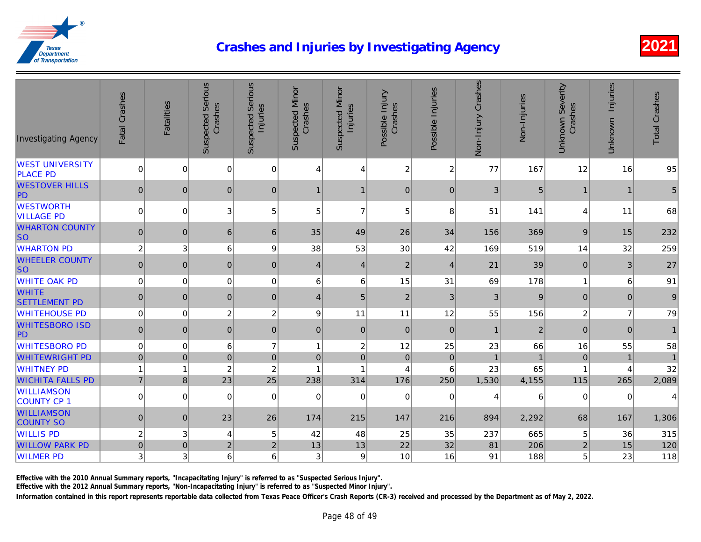| <b>Investigating Agency</b>               | Fatal Crashes    | <b>Fatalities</b> | <b>Suspected Serious</b><br>Crashes | <b>Suspected Serious</b><br>Injuries | <b>Suspected Minor</b><br>Crashes | <b>Suspected Minor</b><br>Injuries | Possible Injury<br>Crashes | Possible Injuries | Non-Injury Crashes | Non-Injuries   |
|-------------------------------------------|------------------|-------------------|-------------------------------------|--------------------------------------|-----------------------------------|------------------------------------|----------------------------|-------------------|--------------------|----------------|
| <b>WEST UNIVERSITY</b><br><b>PLACE PD</b> | $\mathbf 0$      | $\overline{0}$    | $\mathbf 0$                         | 0                                    | 4                                 | 4                                  | $\boldsymbol{2}$           | $\overline{c}$    | 77                 | 167            |
| <b>WESTOVER HILLS</b><br>PD               | $\mathbf 0$      | $\mathbf 0$       | $\mathbf 0$                         | $\mathbf 0$                          | $\mathbf 1$                       | $\mathbf 1$                        | $\mathbf 0$                | $\pmb{0}$         | $\sqrt{3}$         |                |
| <b>WESTWORTH</b><br><b>VILLAGE PD</b>     | $\mathbf 0$      | 0                 | 3                                   | 5                                    | 5                                 | $\overline{7}$                     | 5                          | 8                 | 51                 | 141            |
| <b>WHARTON COUNTY</b><br>lso              | $\pmb{0}$        | $\mathbf 0$       | 6                                   | 6                                    | 35                                | 49                                 | 26                         | 34                | 156                | 369            |
| <b>WHARTON PD</b>                         | $\boldsymbol{2}$ | $\sqrt{3}$        | 6                                   | 9                                    | 38                                | 53                                 | 30                         | 42                | 169                | 519            |
| <b>WHEELER COUNTY</b><br><b>SO</b>        | $\pmb{0}$        | $\mathbf 0$       | $\pmb{0}$                           | $\pmb{0}$                            | $\vert 4 \vert$                   | 4                                  | $\mathbf{2}$               | $\overline{4}$    | 21                 | 39             |
| <b>WHITE OAK PD</b>                       | $\mathbf 0$      | 0                 | 0                                   | 0                                    | 6                                 | 6                                  | 15                         | 31                | 69                 | 178            |
| <b>WHITE</b><br><b>SETTLEMENT PD</b>      | $\pmb{0}$        | $\mathbf 0$       | $\mathbf 0$                         | $\mathbf{0}$                         | $\vert 4 \vert$                   | 5 <sub>5</sub>                     | $\overline{2}$             | $\mathbf{3}$      | 3                  | $\overline{a}$ |
| <b>WHITEHOUSE PD</b>                      | $\pmb{0}$        | $\mathbf 0$       | $\overline{c}$                      | $\overline{c}$                       | 9                                 | 11                                 | 11                         | 12                | 55                 | 156            |
| <b>WHITESBORO ISD</b><br>PD               | $\mathbf 0$      | 0                 | $\mathbf 0$                         | $\pmb{0}$                            | $\Omega$                          | 0                                  | $\mathbf{0}$               | $\mathbf 0$       | $\mathbf{1}$       |                |
| <b>WHITESBORO PD</b>                      | $\pmb{0}$        | $\mathbf 0$       | 6                                   | $\overline{7}$                       | $\overline{1}$                    | $\overline{c}$                     | 12                         | 25                | 23                 | 66             |
| <b>WHITEWRIGHT PD</b>                     | $\pmb{0}$        | $\mathbf 0$       | $\pmb{0}$                           | $\pmb{0}$                            | $\mathbf{0}$                      | $\overline{0}$                     | $\mathbf 0$                | $\mathbf 0$       | $\overline{1}$     |                |
| <b>WHITNEY PD</b>                         | $\overline{1}$   | 1                 | $\boldsymbol{2}$                    | $\overline{c}$                       | ŕ                                 | 1                                  | 4                          | 6                 | 23                 | 65             |
| <b>WICHITA FALLS PD</b>                   | $\overline{7}$   | $\bf{8}$          | 23                                  | 25                                   | 238                               | 314                                | 176                        | 250               | 1,530              | 4,155          |
| <b>WILLIAMSON</b><br>COUNTY CP 1          | $\pmb{0}$        | $\Omega$          | 0                                   | 0                                    | 0                                 | $\overline{0}$                     | 0                          | $\mathbf 0$       | 4                  |                |
| <b>WILLIAMSON</b><br><b>COUNTY SO</b>     | $\mathbf 0$      | $\mathbf 0$       | 23                                  | 26                                   | 174                               | 215                                | 147                        | 216               | 894                | 2,292          |
| <b>WILLIS PD</b>                          | $\overline{c}$   | $\sqrt{3}$        | 4                                   | 5                                    | 42                                | 48                                 | 25                         | 35                | 237                | 665            |
| <b>WILLOW PARK PD</b>                     | $\mathbf 0$      | $\pmb{0}$         | $\mathbf 2$                         | $\overline{2}$                       | 13                                | 13                                 | 22                         | 32                | 81                 | 206            |
| <b>WILMER PD</b>                          | 3                | $\sqrt{3}$        | 6                                   | 6                                    | 3                                 | 9                                  | 10                         | 16                | 91                 | 188            |

Effective with the 2010 Annual Summary reports, "Incapacitating Injury" is referred to as "Suspected Serious Injury".

Effective with the 2012 Annual Summary reports, "Non-Incapacitating Injury" is referred to as "Suspected Minor Injury".